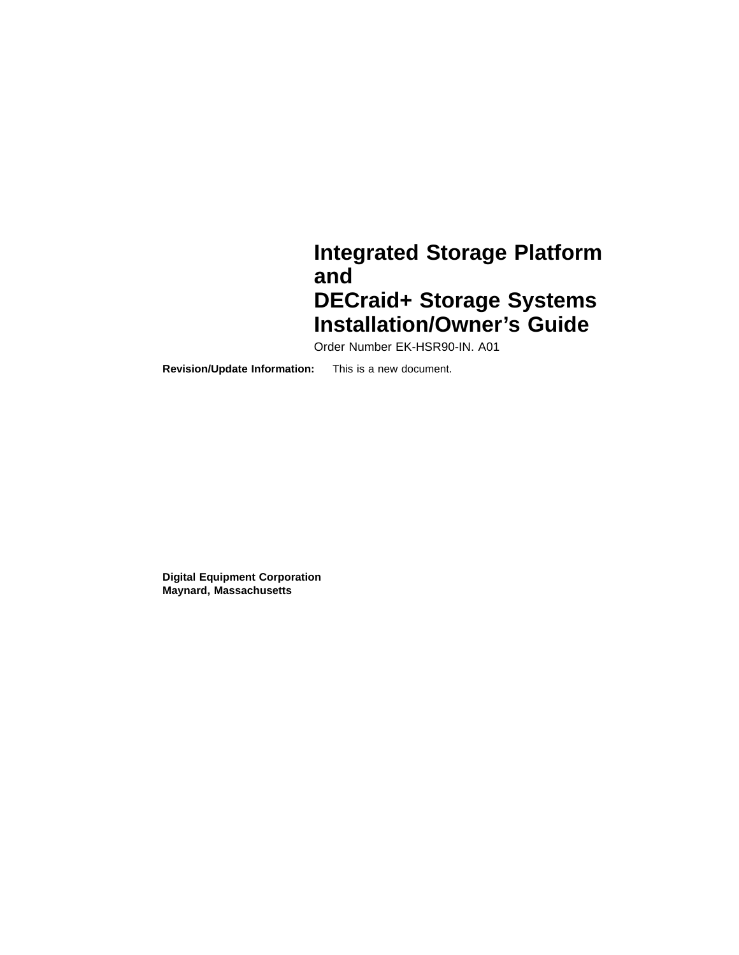### **Integrated Storage Platform and DECraid+ Storage Systems Installation/Owner's Guide**

Order Number EK-HSR90-IN. A01

**Revision/Update Information:** This is a new document.

**Digital Equipment Corporation Maynard, Massachusetts**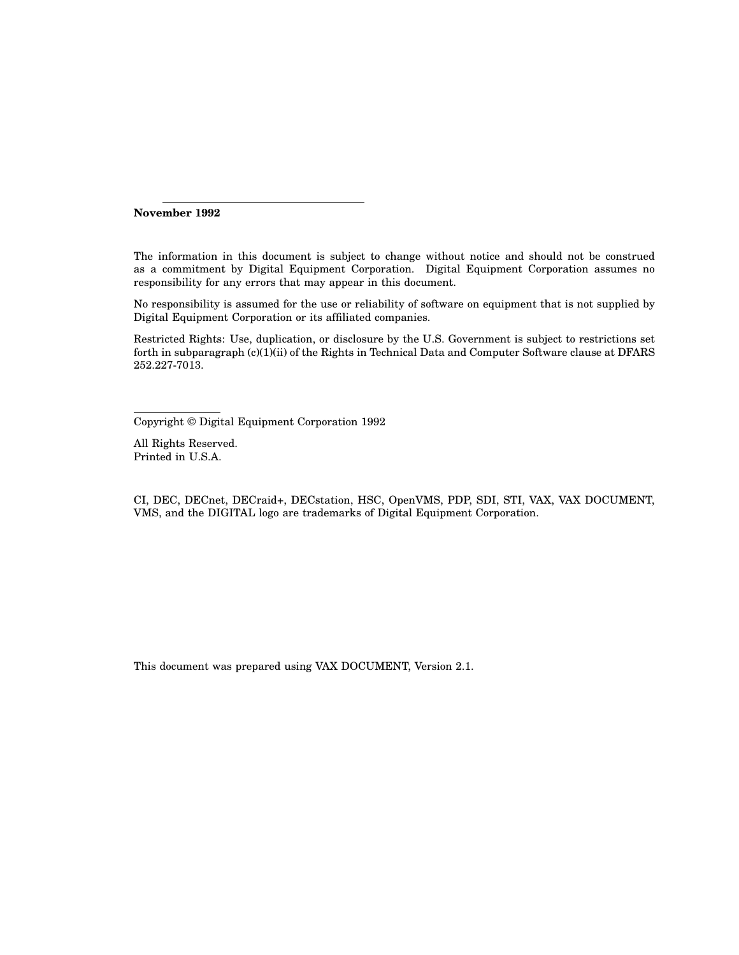**November 1992**

The information in this document is subject to change without notice and should not be construed as a commitment by Digital Equipment Corporation. Digital Equipment Corporation assumes no responsibility for any errors that may appear in this document.

No responsibility is assumed for the use or reliability of software on equipment that is not supplied by Digital Equipment Corporation or its affiliated companies.

Restricted Rights: Use, duplication, or disclosure by the U.S. Government is subject to restrictions set forth in subparagraph (c)(1)(ii) of the Rights in Technical Data and Computer Software clause at DFARS 252.227-7013.

Copyright © Digital Equipment Corporation 1992

All Rights Reserved. Printed in U.S.A.

CI, DEC, DECnet, DECraid+, DECstation, HSC, OpenVMS, PDP, SDI, STI, VAX, VAX DOCUMENT, VMS, and the DIGITAL logo are trademarks of Digital Equipment Corporation.

This document was prepared using VAX DOCUMENT, Version 2.1.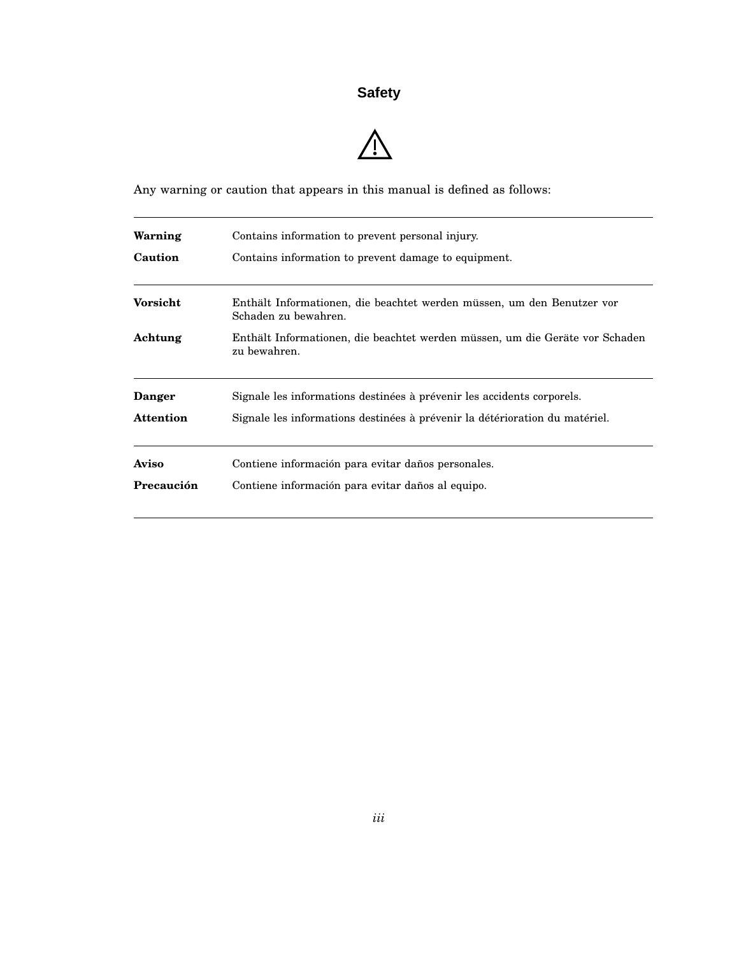### **Safety**

## $\triangle$

Any warning or caution that appears in this manual is defined as follows:

| Warning          | Contains information to prevent personal injury.                                             |
|------------------|----------------------------------------------------------------------------------------------|
| Caution          | Contains information to prevent damage to equipment.                                         |
| <b>Vorsicht</b>  | Enthält Informationen, die beachtet werden müssen, um den Benutzer vor                       |
|                  | Schaden zu bewahren.                                                                         |
| Achtung          | Enthält Informationen, die beachtet werden müssen, um die Geräte vor Schaden<br>zu bewahren. |
| <b>Danger</b>    | Signale les informations destinées à prévenir les accidents corporels.                       |
| <b>Attention</b> | Signale les informations destinées à prévenir la détérioration du matériel.                  |
| Aviso            | Contiene información para evitar daños personales.                                           |
| Precaución       | Contiene información para evitar daños al equipo.                                            |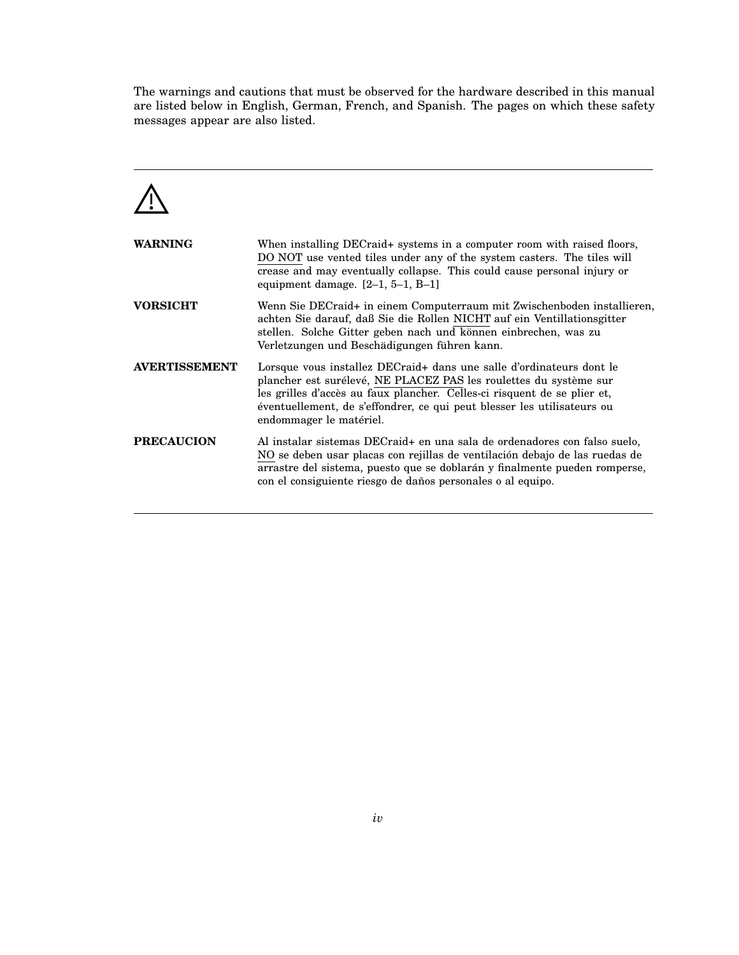The warnings and cautions that must be observed for the hardware described in this manual are listed below in English, German, French, and Spanish. The pages on which these safety messages appear are also listed.



| <b>WARNING</b>       | When installing DECraid+ systems in a computer room with raised floors,<br>DO NOT use vented tiles under any of the system casters. The tiles will<br>crease and may eventually collapse. This could cause personal injury or<br>equipment damage. $[2-1, 5-1, B-1]$                                                        |
|----------------------|-----------------------------------------------------------------------------------------------------------------------------------------------------------------------------------------------------------------------------------------------------------------------------------------------------------------------------|
| <b>VORSICHT</b>      | Wenn Sie DECraid+ in einem Computerraum mit Zwischenboden installieren,<br>achten Sie darauf, daß Sie die Rollen NICHT auf ein Ventillationsgitter<br>stellen. Solche Gitter geben nach und können einbrechen, was zu<br>Verletzungen und Beschädigungen führen kann.                                                       |
| <b>AVERTISSEMENT</b> | Lorsque vous installez DECraid+ dans une salle d'ordinateurs dont le<br>plancher est surélevé, NE PLACEZ PAS les roulettes du système sur<br>les grilles d'accès au faux plancher. Celles-ci risquent de se plier et,<br>éventuellement, de s'effondrer, ce qui peut blesser les utilisateurs ou<br>endommager le matériel. |
| <b>PRECAUCION</b>    | Al instalar sistemas DECraid+ en una sala de ordenadores con falso suelo,<br>NO se deben usar placas con rejillas de ventilación debajo de las ruedas de<br>arrastre del sistema, puesto que se doblarán y finalmente pueden romperse,<br>con el consiguiente riesgo de daños personales o al equipo.                       |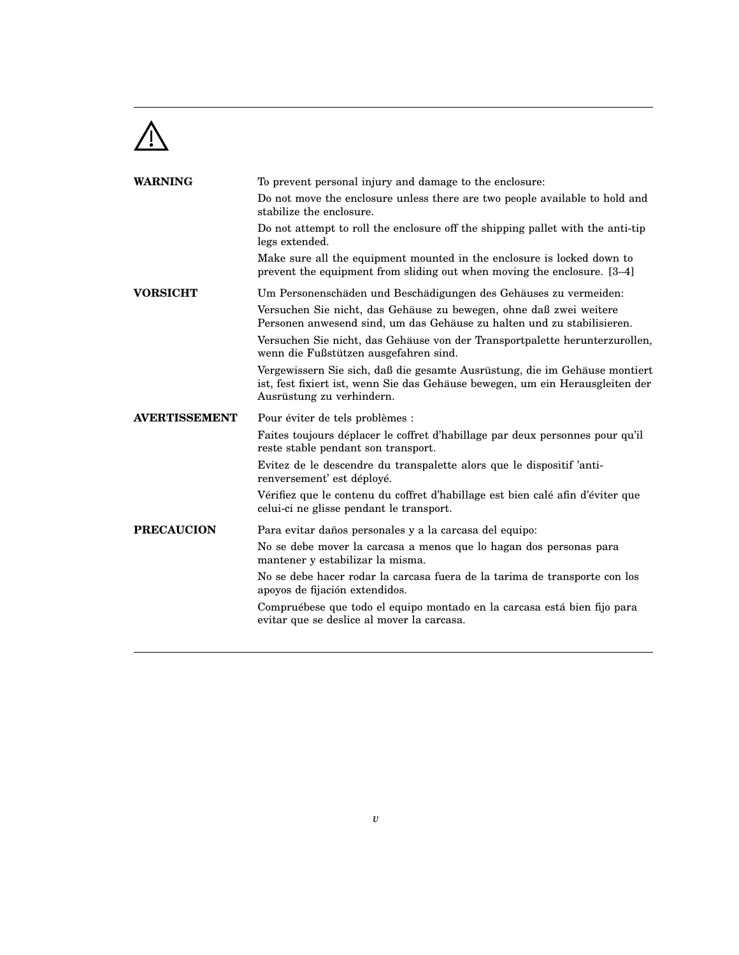

| <b>WARNING</b>       | To prevent personal injury and damage to the enclosure:                                                                                                                                  |
|----------------------|------------------------------------------------------------------------------------------------------------------------------------------------------------------------------------------|
|                      | Do not move the enclosure unless there are two people available to hold and<br>stabilize the enclosure.                                                                                  |
|                      | Do not attempt to roll the enclosure off the shipping pallet with the anti-tip<br>legs extended.                                                                                         |
|                      | Make sure all the equipment mounted in the enclosure is locked down to<br>prevent the equipment from sliding out when moving the enclosure. [3–4]                                        |
| <b>VORSICHT</b>      | Um Personenschäden und Beschädigungen des Gehäuses zu vermeiden:                                                                                                                         |
|                      | Versuchen Sie nicht, das Gehäuse zu bewegen, ohne daß zwei weitere<br>Personen anwesend sind, um das Gehäuse zu halten und zu stabilisieren.                                             |
|                      | Versuchen Sie nicht, das Gehäuse von der Transportpalette herunterzurollen,<br>wenn die Fußstützen ausgefahren sind.                                                                     |
|                      | Vergewissern Sie sich, daß die gesamte Ausrüstung, die im Gehäuse montiert<br>ist, fest fixiert ist, wenn Sie das Gehäuse bewegen, um ein Herausgleiten der<br>Ausrüstung zu verhindern. |
| <b>AVERTISSEMENT</b> | Pour éviter de tels problèmes :                                                                                                                                                          |
|                      | Faites toujours déplacer le coffret d'habillage par deux personnes pour qu'il<br>reste stable pendant son transport.                                                                     |
|                      | Evitez de le descendre du transpalette alors que le dispositif 'anti-<br>renversement' est déployé.                                                                                      |
|                      | Vérifiez que le contenu du coffret d'habillage est bien calé afin d'éviter que<br>celui-ci ne glisse pendant le transport.                                                               |
| <b>PRECAUCION</b>    | Para evitar daños personales y a la carcasa del equipo:                                                                                                                                  |
|                      | No se debe mover la carcasa a menos que lo hagan dos personas para<br>mantener y estabilizar la misma.                                                                                   |
|                      | No se debe hacer rodar la carcasa fuera de la tarima de transporte con los<br>apoyos de fijación extendidos.                                                                             |
|                      | Compruébese que todo el equipo montado en la carcasa está bien fijo para<br>evitar que se deslice al mover la carcasa.                                                                   |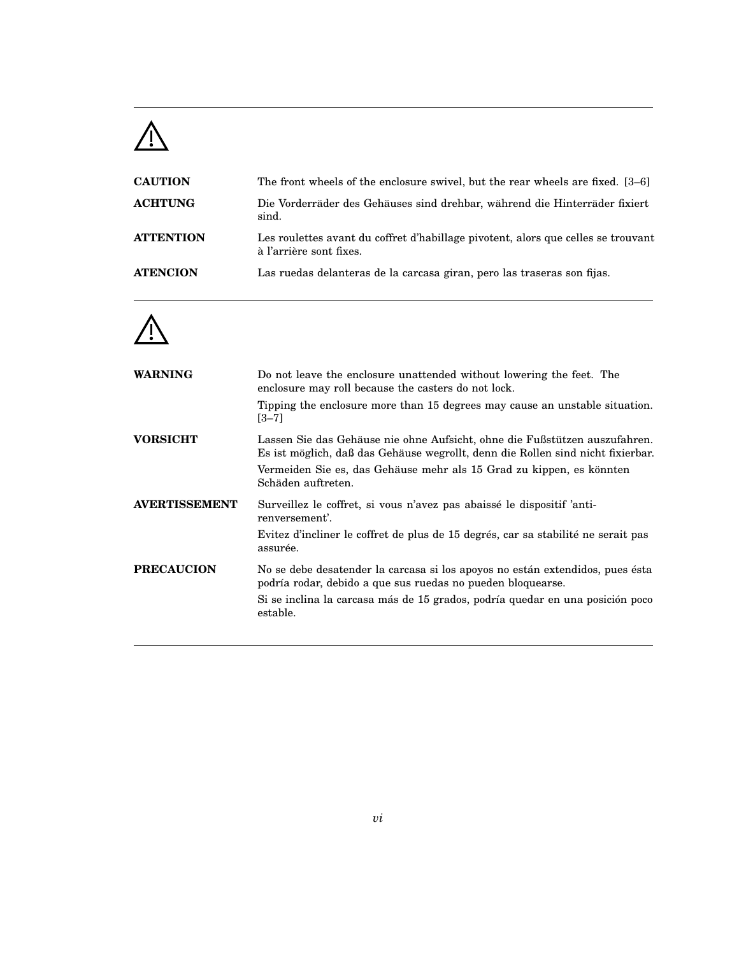## $\triangle$

| <b>CAUTION</b>   | The front wheels of the enclosure swivel, but the rear wheels are fixed. [3–6]                               |
|------------------|--------------------------------------------------------------------------------------------------------------|
| <b>ACHTUNG</b>   | Die Vorderräder des Gehäuses sind drehbar, während die Hinterräder fixiert<br>sind.                          |
| <b>ATTENTION</b> | Les roulettes avant du coffret d'habillage pivotent, alors que celles se trouvant<br>à l'arrière sont fixes. |
| <b>ATENCION</b>  | Las ruedas delanteras de la carcasa giran, pero las traseras son fijas.                                      |



| Do not leave the enclosure unattended without lowering the feet. The<br>enclosure may roll because the casters do not lock.<br>Tipping the enclosure more than 15 degrees may cause an unstable situation. |
|------------------------------------------------------------------------------------------------------------------------------------------------------------------------------------------------------------|
| $[3 - 7]$                                                                                                                                                                                                  |
| Lassen Sie das Gehäuse nie ohne Aufsicht, ohne die Fußstützen auszufahren.<br>Es ist möglich, daß das Gehäuse wegrollt, denn die Rollen sind nicht fixierbar.                                              |
| Vermeiden Sie es, das Gehäuse mehr als 15 Grad zu kippen, es könnten<br>Schäden auftreten.                                                                                                                 |
| Surveillez le coffret, si vous n'avez pas abaissé le dispositif 'anti-<br>renversement'.                                                                                                                   |
| Evitez d'incliner le coffret de plus de 15 degrés, car sa stabilité ne serait pas<br>assurée.                                                                                                              |
| No se debe desatender la carcasa si los apoyos no están extendidos, pues ésta<br>podría rodar, debido a que sus ruedas no pueden bloquearse.                                                               |
| Si se inclina la carcasa más de 15 grados, podría quedar en una posición poco<br>estable.                                                                                                                  |
|                                                                                                                                                                                                            |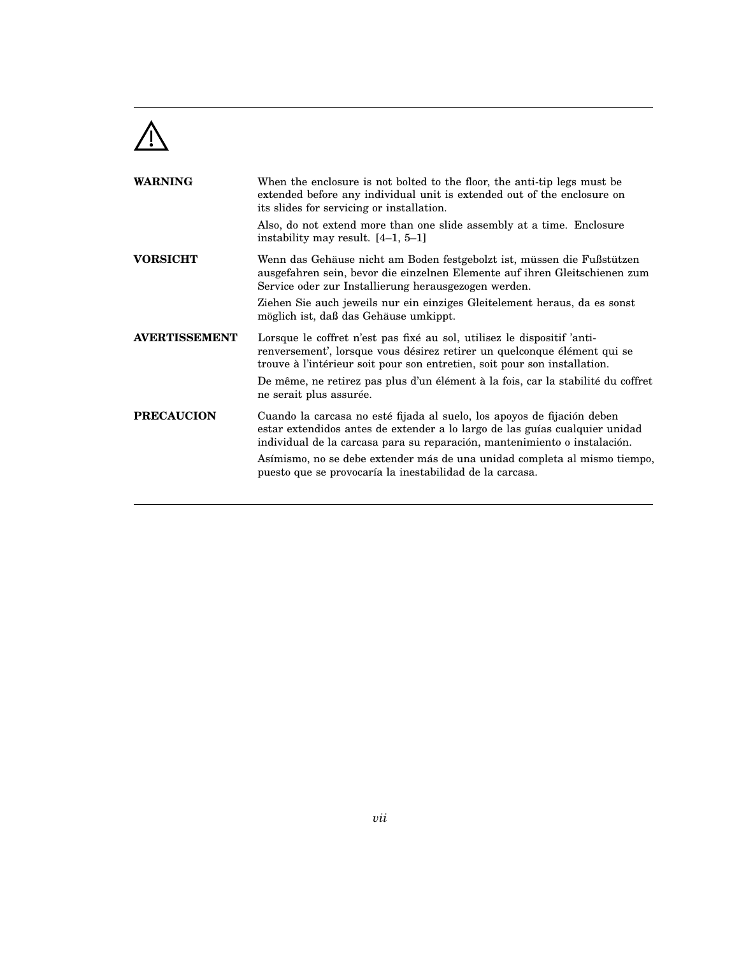

| <b>WARNING</b>       | When the enclosure is not bolted to the floor, the anti-tip legs must be<br>extended before any individual unit is extended out of the enclosure on<br>its slides for servicing or installation.                                    |
|----------------------|-------------------------------------------------------------------------------------------------------------------------------------------------------------------------------------------------------------------------------------|
|                      | Also, do not extend more than one slide assembly at a time. Enclosure<br>instability may result. [4-1, 5-1]                                                                                                                         |
| <b>VORSICHT</b>      | Wenn das Gehäuse nicht am Boden festgebolzt ist, müssen die Fußstützen<br>ausgefahren sein, bevor die einzelnen Elemente auf ihren Gleitschienen zum<br>Service oder zur Installierung herausgezogen werden.                        |
|                      | Ziehen Sie auch jeweils nur ein einziges Gleitelement heraus, da es sonst<br>möglich ist, daß das Gehäuse umkippt.                                                                                                                  |
| <b>AVERTISSEMENT</b> | Lorsque le coffret n'est pas fixé au sol, utilisez le dispositif 'anti-<br>renversement', lorsque vous désirez retirer un quelconque élément qui se<br>trouve à l'intérieur soit pour son entretien, soit pour son installation.    |
|                      | De même, ne retirez pas plus d'un élément à la fois, car la stabilité du coffret<br>ne serait plus assurée.                                                                                                                         |
| <b>PRECAUCION</b>    | Cuando la carcasa no esté fijada al suelo, los apoyos de fijación deben<br>estar extendidos antes de extender a lo largo de las guías cualquier unidad<br>individual de la carcasa para su reparación, mantenimiento o instalación. |
|                      | Asímismo, no se debe extender más de una unidad completa al mismo tiempo,<br>puesto que se provocaría la inestabilidad de la carcasa.                                                                                               |
|                      |                                                                                                                                                                                                                                     |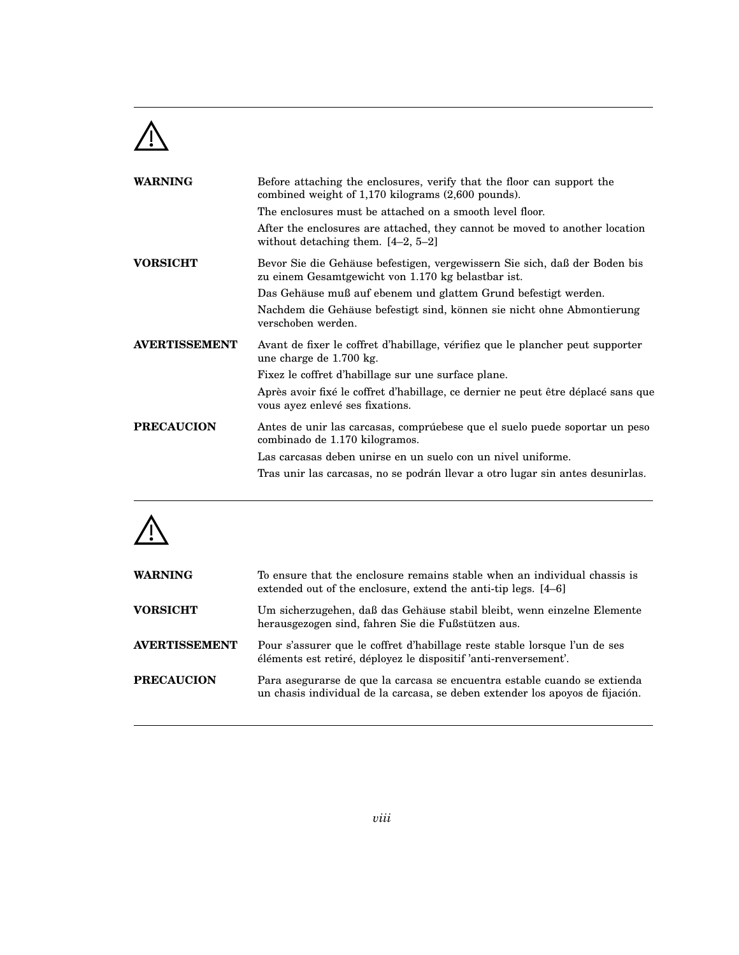

| <b>WARNING</b>       | Before attaching the enclosures, verify that the floor can support the<br>combined weight of $1,170$ kilograms $(2,600$ pounds). |
|----------------------|----------------------------------------------------------------------------------------------------------------------------------|
|                      | The enclosures must be attached on a smooth level floor.                                                                         |
|                      | After the enclosures are attached, they cannot be moved to another location<br>without detaching them. $[4-2, 5-2]$              |
| <b>VORSICHT</b>      | Bevor Sie die Gehäuse befestigen, vergewissern Sie sich, daß der Boden bis<br>zu einem Gesamtgewicht von 1.170 kg belastbar ist. |
|                      | Das Gehäuse muß auf ebenem und glattem Grund befestigt werden.                                                                   |
|                      | Nachdem die Gehäuse befestigt sind, können sie nicht ohne Abmontierung<br>verschoben werden.                                     |
| <b>AVERTISSEMENT</b> | Avant de fixer le coffret d'habillage, vérifiez que le plancher peut supporter<br>une charge de 1.700 kg.                        |
|                      | Fixez le coffret d'habillage sur une surface plane.                                                                              |
|                      | Après avoir fixé le coffret d'habillage, ce dernier ne peut être déplacé sans que<br>vous ayez enlevé ses fixations.             |
| <b>PRECAUCION</b>    | Antes de unir las carcasas, comprúebese que el suelo puede soportar un peso<br>combinado de 1.170 kilogramos.                    |
|                      | Las carcasas deben unirse en un suelo con un nivel uniforme.                                                                     |
|                      | Tras unir las carcasas, no se podrán llevar a otro lugar sin antes desunirlas.                                                   |
|                      |                                                                                                                                  |



| <b>WARNING</b>       | To ensure that the enclosure remains stable when an individual chassis is<br>extended out of the enclosure, extend the anti-tip legs. [4–6]                |
|----------------------|------------------------------------------------------------------------------------------------------------------------------------------------------------|
| <b>VORSICHT</b>      | Um sicherzugehen, daß das Gehäuse stabil bleibt, wenn einzelne Elemente<br>herausgezogen sind, fahren Sie die Fußstützen aus.                              |
| <b>AVERTISSEMENT</b> | Pour s'assurer que le coffret d'habillage reste stable lorsque l'un de ses<br>éléments est retiré, déployez le dispositif 'anti-renversement'.             |
| <b>PRECAUCION</b>    | Para asegurarse de que la carcasa se encuentra estable cuando se extienda<br>un chasis individual de la carcasa, se deben extender los apoyos de fijación. |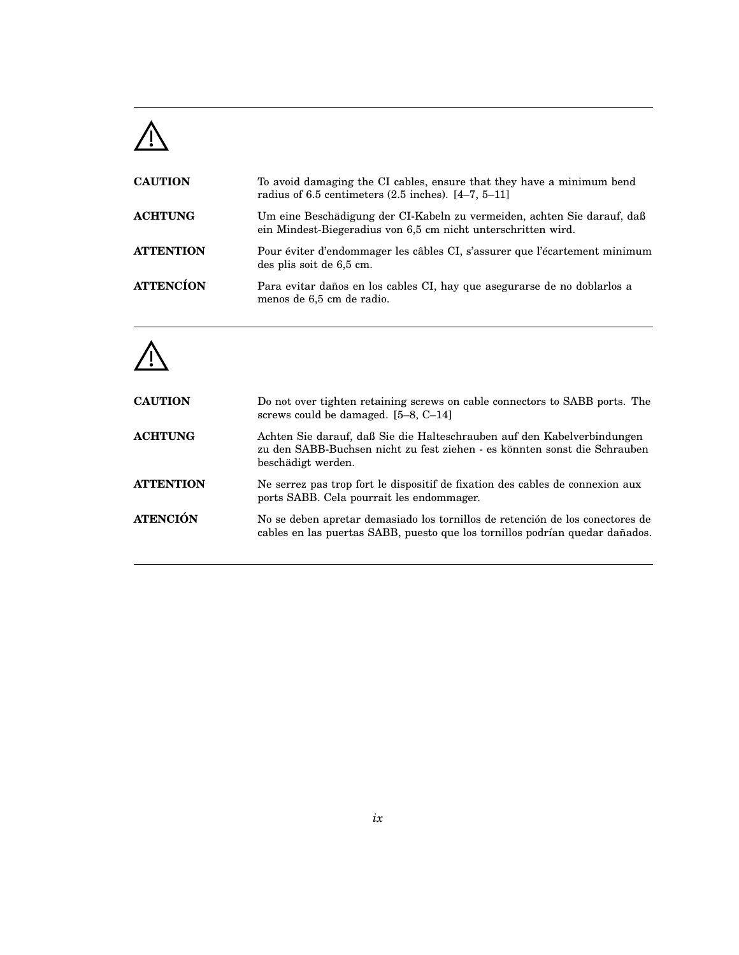## $\triangle$

| <b>CAUTION</b>   | To avoid damaging the CI cables, ensure that they have a minimum bend<br>radius of 6.5 centimeters $(2.5 \text{ inches})$ . [4–7, 5–11]  |
|------------------|------------------------------------------------------------------------------------------------------------------------------------------|
| <b>ACHTUNG</b>   | Um eine Beschädigung der CI-Kabeln zu vermeiden, achten Sie darauf, daß<br>ein Mindest-Biegeradius von 6,5 cm nicht unterschritten wird. |
| <b>ATTENTION</b> | Pour éviter d'endommager les câbles CI, s'assurer que l'écartement minimum<br>des plis soit de 6,5 cm.                                   |
| <b>ATTENCÍON</b> | Para evitar daños en los cables CI, hay que asegurarse de no doblarlos a<br>menos de 6,5 cm de radio.                                    |

# $\triangle$

| <b>CAUTION</b>   | Do not over tighten retaining screws on cable connectors to SABB ports. The<br>screws could be damaged. $[5-8, C-14]$                                                      |
|------------------|----------------------------------------------------------------------------------------------------------------------------------------------------------------------------|
| <b>ACHTUNG</b>   | Achten Sie darauf, daß Sie die Halteschrauben auf den Kabelverbindungen<br>zu den SABB-Buchsen nicht zu fest ziehen - es könnten sonst die Schrauben<br>beschädigt werden. |
| <b>ATTENTION</b> | Ne serrez pas trop fort le dispositif de fixation des cables de connexion aux<br>ports SABB. Cela pourrait les endommager.                                                 |
| <b>ATENCIÓN</b>  | No se deben apretar demasiado los tornillos de retención de los conectores de<br>cables en las puertas SABB, puesto que los tornillos podrían quedar dañados.              |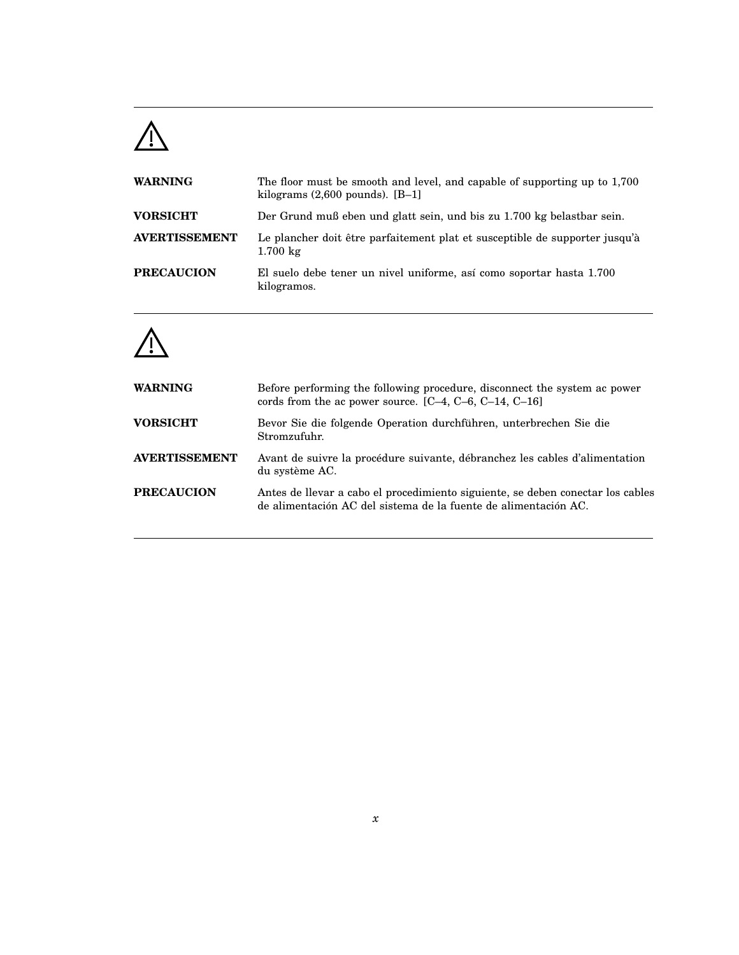# $\triangle$

| <b>WARNING</b>       | The floor must be smooth and level, and capable of supporting up to 1,700<br>kilograms $(2,600$ pounds). $[B-1]$ |
|----------------------|------------------------------------------------------------------------------------------------------------------|
| <b>VORSICHT</b>      | Der Grund muß eben und glatt sein, und bis zu 1.700 kg belastbar sein.                                           |
| <b>AVERTISSEMENT</b> | Le plancher doit être parfaitement plat et susceptible de supporter jusqu'à<br>$1.700 \text{ kg}$                |
| <b>PRECAUCION</b>    | El suelo debe tener un nivel uniforme, así como soportar hasta 1.700<br>kilogramos.                              |



| <b>WARNING</b>       | Before performing the following procedure, disconnect the system ac power<br>cords from the ac power source. $[C-4, C-6, C-14, C-16]$              |
|----------------------|----------------------------------------------------------------------------------------------------------------------------------------------------|
| <b>VORSICHT</b>      | Bevor Sie die folgende Operation durchführen, unterbrechen Sie die<br>Stromzufuhr.                                                                 |
| <b>AVERTISSEMENT</b> | Avant de suivre la procédure suivante, débranchez les cables d'alimentation<br>du système AC.                                                      |
| <b>PRECAUCION</b>    | Antes de llevar a cabo el procedimiento siguiente, se deben conectar los cables<br>de alimentación AC del sistema de la fuente de alimentación AC. |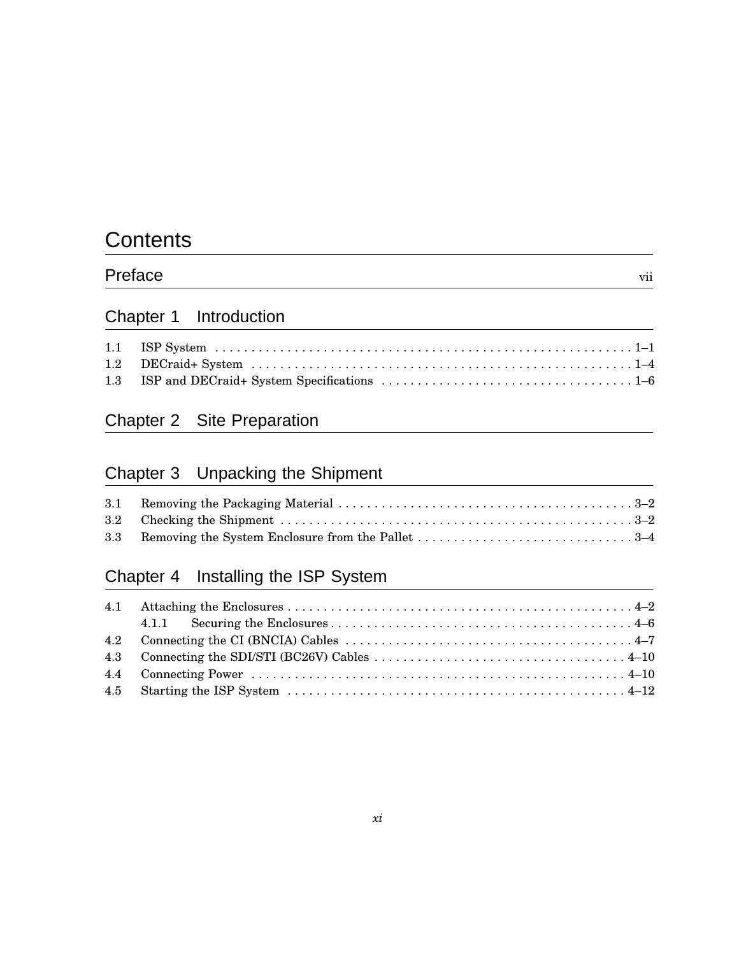### **Contents**

| Preface | . .<br>V <sub>1</sub> |
|---------|-----------------------|
|         |                       |

### Chapter 1 Introduction

### Chapter 2 Site Preparation

### Chapter 3 Unpacking the Shipment

### Chapter 4 Installing the ISP System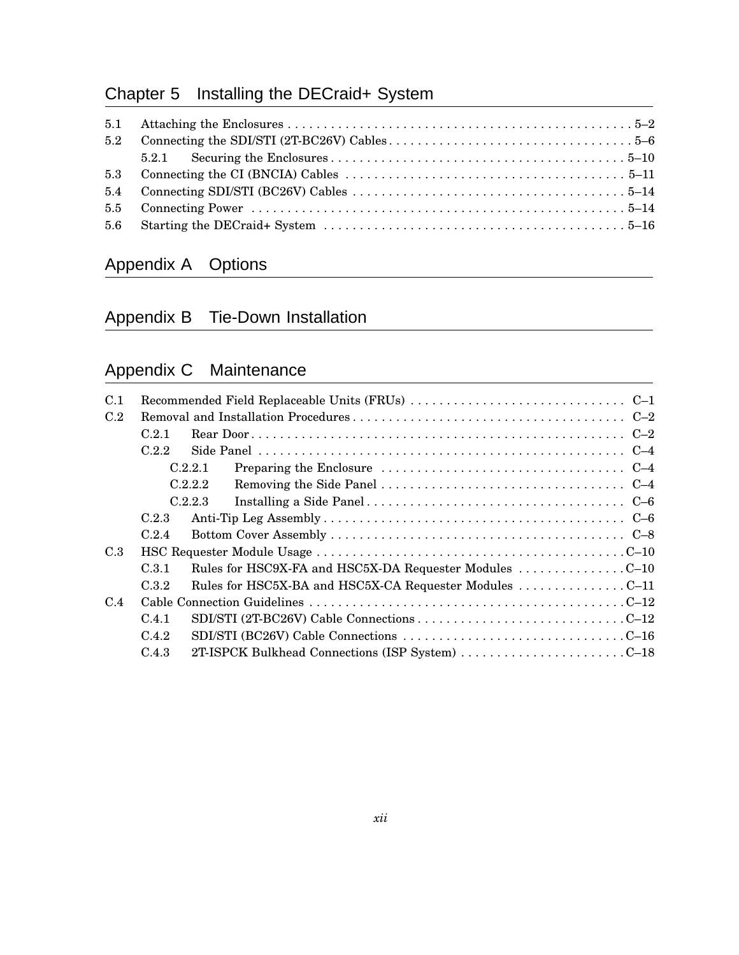### Chapter 5 Installing the DECraid+ System

| 5.2 |  |
|-----|--|
|     |  |
|     |  |
|     |  |
|     |  |
|     |  |

### Appendix A Options

### Appendix B Tie-Down Installation

### Appendix C Maintenance

| C.2.1 |                                                                                                                                                                                                                                                       |
|-------|-------------------------------------------------------------------------------------------------------------------------------------------------------------------------------------------------------------------------------------------------------|
| C22   |                                                                                                                                                                                                                                                       |
|       |                                                                                                                                                                                                                                                       |
|       |                                                                                                                                                                                                                                                       |
|       |                                                                                                                                                                                                                                                       |
| C.2.3 |                                                                                                                                                                                                                                                       |
| C.2.4 |                                                                                                                                                                                                                                                       |
|       |                                                                                                                                                                                                                                                       |
| C.3.1 |                                                                                                                                                                                                                                                       |
| C.3.2 |                                                                                                                                                                                                                                                       |
|       |                                                                                                                                                                                                                                                       |
| C.4.1 |                                                                                                                                                                                                                                                       |
| C.4.2 |                                                                                                                                                                                                                                                       |
| C.4.3 |                                                                                                                                                                                                                                                       |
|       | Preparing the Enclosure $\dots \dots \dots \dots \dots \dots \dots \dots \dots \dots \dots \dots \dots$<br>C.2.2.1<br>C.2.2.2<br>C.2.2.3<br>Rules for HSC9X-FA and HSC5X-DA Requester Modules C-10<br>2T-ISPCK Bulkhead Connections (ISP System) C-18 |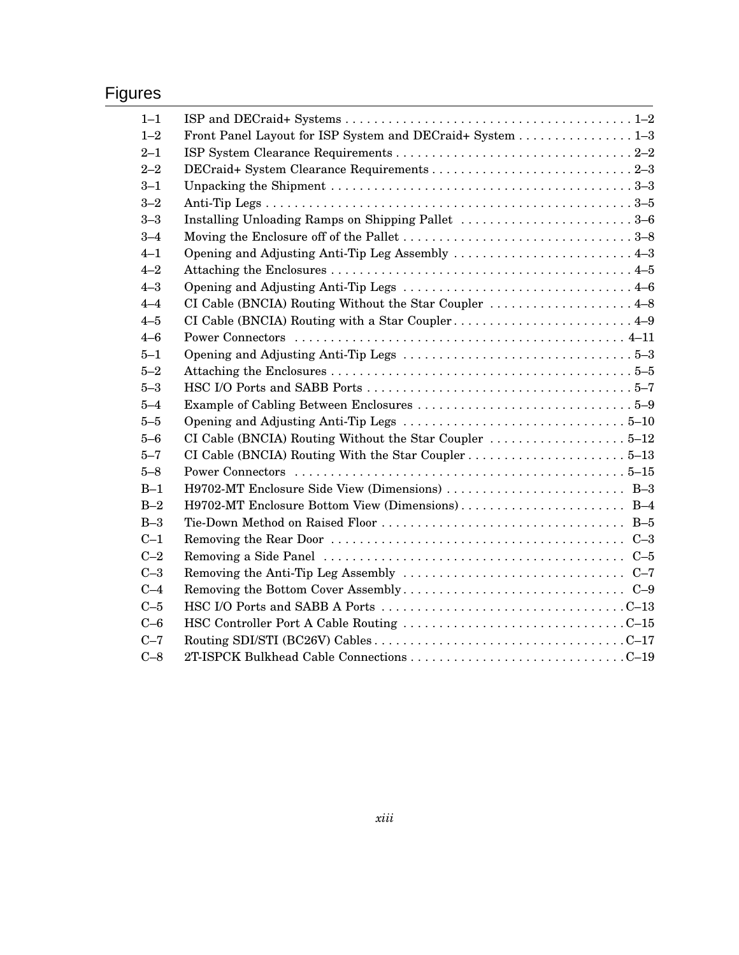### Figures

| $1 - 1$ |                                                                                                          |  |
|---------|----------------------------------------------------------------------------------------------------------|--|
| $1 - 2$ | Front Panel Layout for ISP System and DECraid+ System 1-3                                                |  |
| $2 - 1$ |                                                                                                          |  |
| $2 - 2$ |                                                                                                          |  |
| $3 - 1$ |                                                                                                          |  |
| $3 - 2$ |                                                                                                          |  |
| $3 - 3$ | Installing Unloading Ramps on Shipping Pallet 3-6                                                        |  |
| $3 - 4$ |                                                                                                          |  |
| $4 - 1$ | Opening and Adjusting Anti-Tip Leg Assembly 4–3                                                          |  |
| $4 - 2$ |                                                                                                          |  |
| $4 - 3$ |                                                                                                          |  |
| $4 - 4$ | CI Cable (BNCIA) Routing Without the Star Coupler  4-8                                                   |  |
| $4 - 5$ | CI Cable (BNCIA) Routing with a Star Coupler 4–9                                                         |  |
| $4 - 6$ |                                                                                                          |  |
| $5 - 1$ |                                                                                                          |  |
| $5 - 2$ |                                                                                                          |  |
| $5 - 3$ |                                                                                                          |  |
| $5 - 4$ |                                                                                                          |  |
| $5 - 5$ |                                                                                                          |  |
| $5 - 6$ |                                                                                                          |  |
| $5 - 7$ |                                                                                                          |  |
| $5 - 8$ |                                                                                                          |  |
| $B-1$   |                                                                                                          |  |
| $B-2$   |                                                                                                          |  |
| $B-3$   |                                                                                                          |  |
| $C-1$   |                                                                                                          |  |
| $C-2$   | Removing a Side Panel $\dots\dots\dots\dots\dots\dots\dots\dots\dots\dots\dots\dots\dots\dots\dots\dots$ |  |
| $C-3$   | Removing the Anti-Tip Leg Assembly $\dots \dots \dots \dots \dots \dots \dots \dots \dots \dots \dots$   |  |
| $C-4$   |                                                                                                          |  |
| $C-5$   |                                                                                                          |  |
| $C-6$   |                                                                                                          |  |
| $C-7$   |                                                                                                          |  |
| $C-8$   |                                                                                                          |  |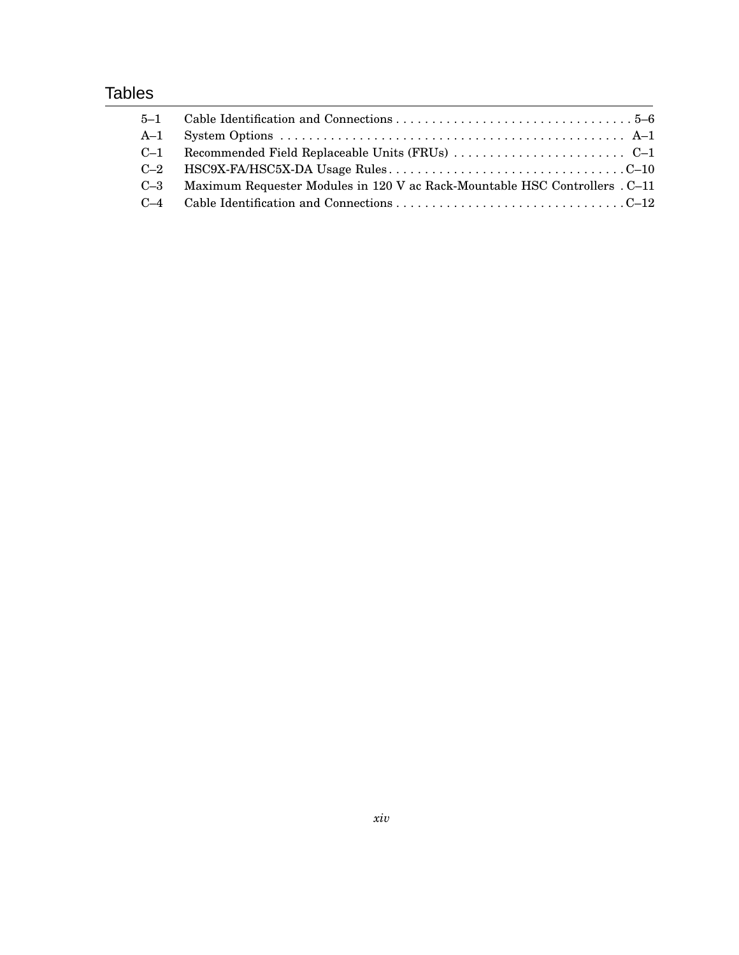### **Tables**

| Maximum Requester Modules in 120 V ac Rack-Mountable HSC Controllers . C-11 |
|-----------------------------------------------------------------------------|
|                                                                             |
|                                                                             |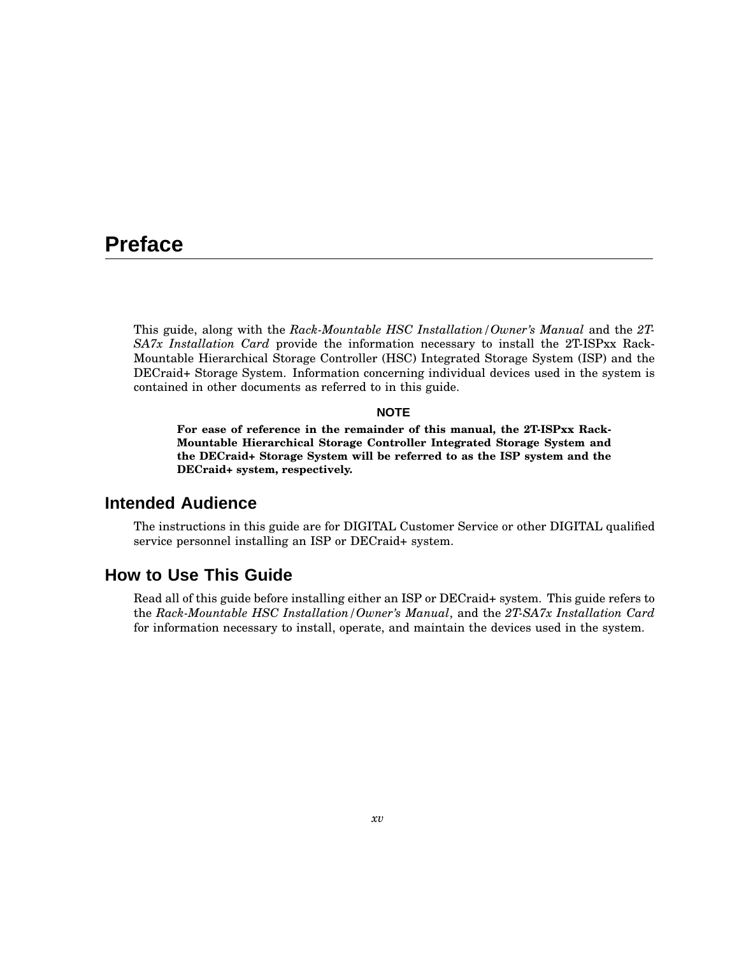### **Preface**

This guide, along with the *Rack-Mountable HSC Installation/Owner's Manual* and the *2T-SA7x Installation Card* provide the information necessary to install the 2T-ISPxx Rack-Mountable Hierarchical Storage Controller (HSC) Integrated Storage System (ISP) and the DECraid+ Storage System. Information concerning individual devices used in the system is contained in other documents as referred to in this guide.

#### **NOTE**

**For ease of reference in the remainder of this manual, the 2T-ISPxx Rack-Mountable Hierarchical Storage Controller Integrated Storage System and the DECraid+ Storage System will be referred to as the ISP system and the DECraid+ system, respectively.**

#### **Intended Audience**

The instructions in this guide are for DIGITAL Customer Service or other DIGITAL qualified service personnel installing an ISP or DECraid+ system.

#### **How to Use This Guide**

Read all of this guide before installing either an ISP or DECraid+ system. This guide refers to the *Rack-Mountable HSC Installation/Owner's Manual*, and the *2T-SA7x Installation Card* for information necessary to install, operate, and maintain the devices used in the system.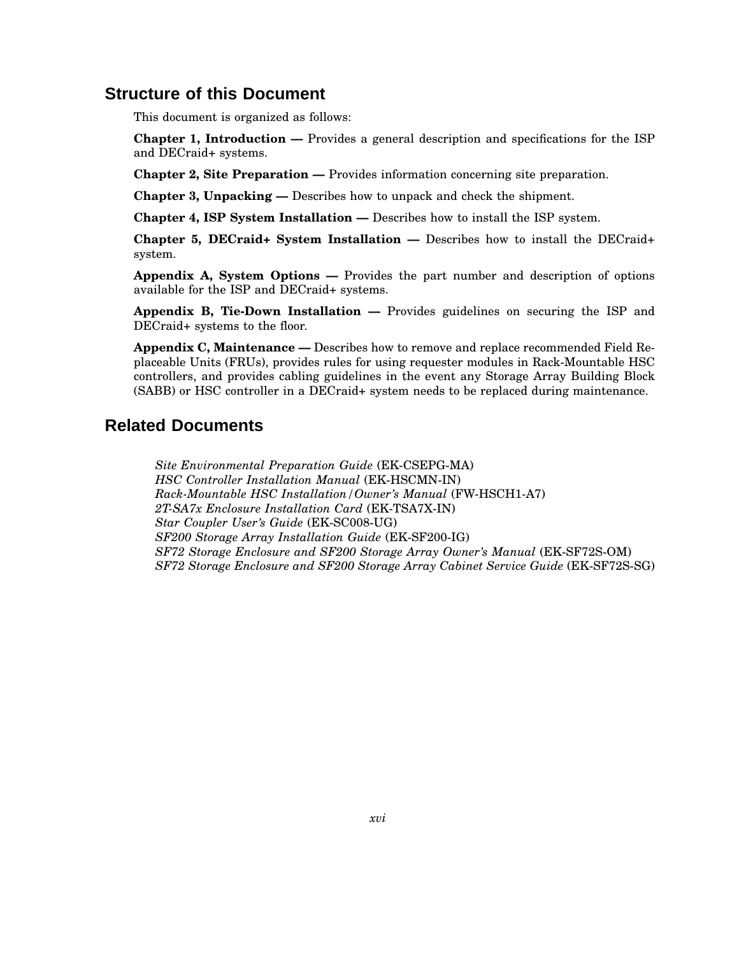#### **Structure of this Document**

This document is organized as follows:

**Chapter 1, Introduction —** Provides a general description and specifications for the ISP and DECraid+ systems.

**Chapter 2, Site Preparation —** Provides information concerning site preparation.

**Chapter 3, Unpacking —** Describes how to unpack and check the shipment.

**Chapter 4, ISP System Installation —** Describes how to install the ISP system.

**Chapter 5, DECraid+ System Installation —** Describes how to install the DECraid+ system.

**Appendix A, System Options —** Provides the part number and description of options available for the ISP and DECraid+ systems.

**Appendix B, Tie-Down Installation —** Provides guidelines on securing the ISP and DECraid+ systems to the floor.

**Appendix C, Maintenance —** Describes how to remove and replace recommended Field Replaceable Units (FRUs), provides rules for using requester modules in Rack-Mountable HSC controllers, and provides cabling guidelines in the event any Storage Array Building Block (SABB) or HSC controller in a DECraid+ system needs to be replaced during maintenance.

#### **Related Documents**

*Site Environmental Preparation Guide* (EK-CSEPG-MA) *HSC Controller Installation Manual* (EK-HSCMN-IN) *Rack-Mountable HSC Installation/Owner's Manual* (FW-HSCH1-A7) *2T-SA7x Enclosure Installation Card* (EK-TSA7X-IN) *Star Coupler User's Guide* (EK-SC008-UG) *SF200 Storage Array Installation Guide* (EK-SF200-IG) *SF72 Storage Enclosure and SF200 Storage Array Owner's Manual* (EK-SF72S-OM) *SF72 Storage Enclosure and SF200 Storage Array Cabinet Service Guide* (EK-SF72S-SG)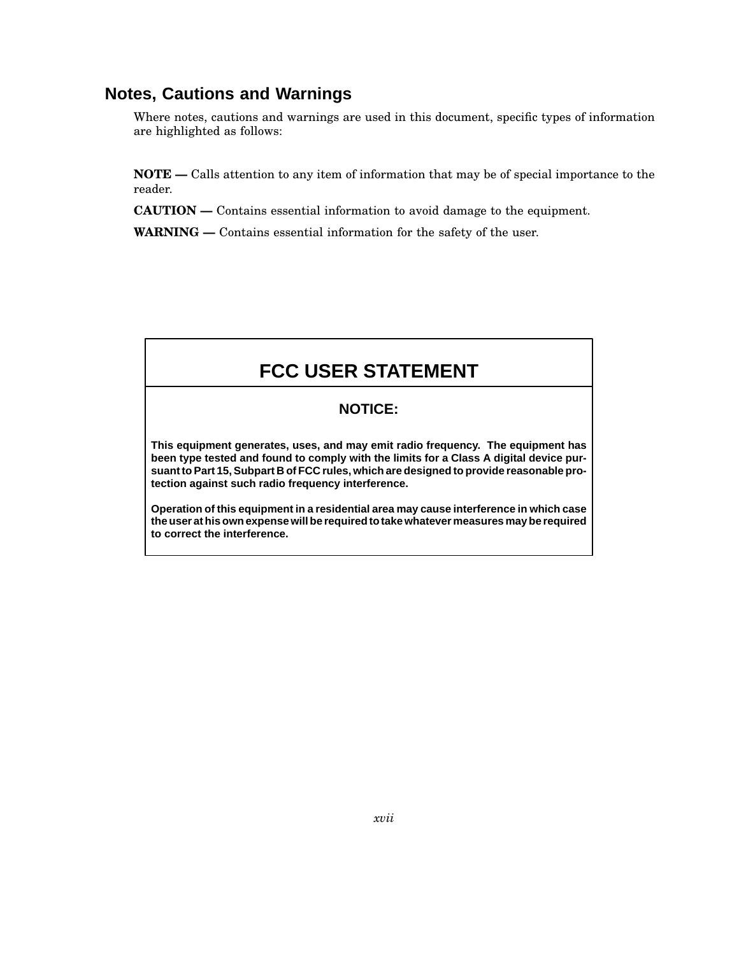### **Notes, Cautions and Warnings**

Where notes, cautions and warnings are used in this document, specific types of information are highlighted as follows:

**NOTE —** Calls attention to any item of information that may be of special importance to the reader.

**CAUTION —** Contains essential information to avoid damage to the equipment.

**WARNING —** Contains essential information for the safety of the user.

### **FCC USER STATEMENT**

#### **NOTICE:**

**This equipment generates, uses, and may emit radio frequency. The equipment has been type tested and found to comply with the limits for a Class A digital device pursuant to Part 15, Subpart B of FCC rules, which are designed to provide reasonable protection against such radio frequency interference.**

**Operation of this equipment in a residential area may cause interference in which case the user at his own expense will be required to take whatever measures may be required to correct the interference.**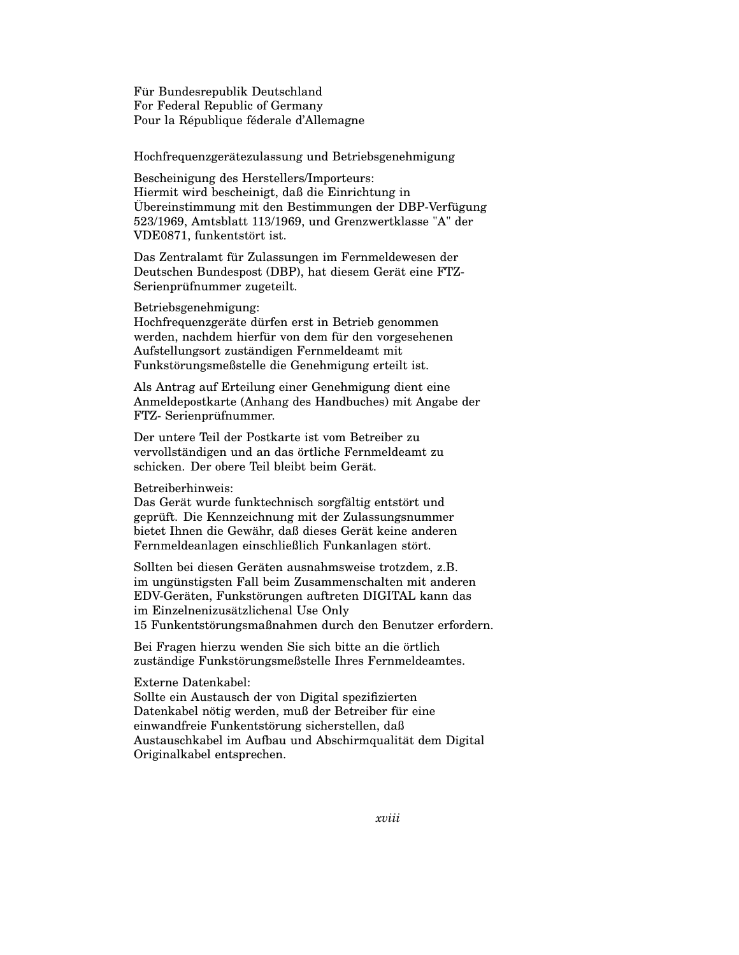Für Bundesrepublik Deutschland For Federal Republic of Germany Pour la République féderale d'Allemagne

Hochfrequenzgerätezulassung und Betriebsgenehmigung

Bescheinigung des Herstellers/Importeurs: Hiermit wird bescheinigt, daß die Einrichtung in Übereinstimmung mit den Bestimmungen der DBP-Verfügung 523/1969, Amtsblatt 113/1969, und Grenzwertklasse "A" der VDE0871, funkentstört ist.

Das Zentralamt für Zulassungen im Fernmeldewesen der Deutschen Bundespost (DBP), hat diesem Gerät eine FTZ-Serienprüfnummer zugeteilt.

#### Betriebsgenehmigung:

Hochfrequenzgeräte dürfen erst in Betrieb genommen werden, nachdem hierfür von dem für den vorgesehenen Aufstellungsort zuständigen Fernmeldeamt mit Funkstörungsmeßstelle die Genehmigung erteilt ist.

Als Antrag auf Erteilung einer Genehmigung dient eine Anmeldepostkarte (Anhang des Handbuches) mit Angabe der FTZ- Serienprüfnummer.

Der untere Teil der Postkarte ist vom Betreiber zu vervollständigen und an das örtliche Fernmeldeamt zu schicken. Der obere Teil bleibt beim Gerät.

Betreiberhinweis:

Das Gerät wurde funktechnisch sorgfältig entstört und geprüft. Die Kennzeichnung mit der Zulassungsnummer bietet Ihnen die Gewähr, daß dieses Gerät keine anderen Fernmeldeanlagen einschließlich Funkanlagen stört.

Sollten bei diesen Geräten ausnahmsweise trotzdem, z.B. im ungünstigsten Fall beim Zusammenschalten mit anderen EDV-Geräten, Funkstörungen auftreten DIGITAL kann das im Einzelnenizusätzlichenal Use Only 15 Funkentstörungsmaßnahmen durch den Benutzer erfordern.

Bei Fragen hierzu wenden Sie sich bitte an die örtlich zuständige Funkstörungsmeßstelle Ihres Fernmeldeamtes.

#### Externe Datenkabel:

Sollte ein Austausch der von Digital spezifizierten Datenkabel nötig werden, muß der Betreiber für eine einwandfreie Funkentstörung sicherstellen, daß Austauschkabel im Aufbau und Abschirmqualität dem Digital Originalkabel entsprechen.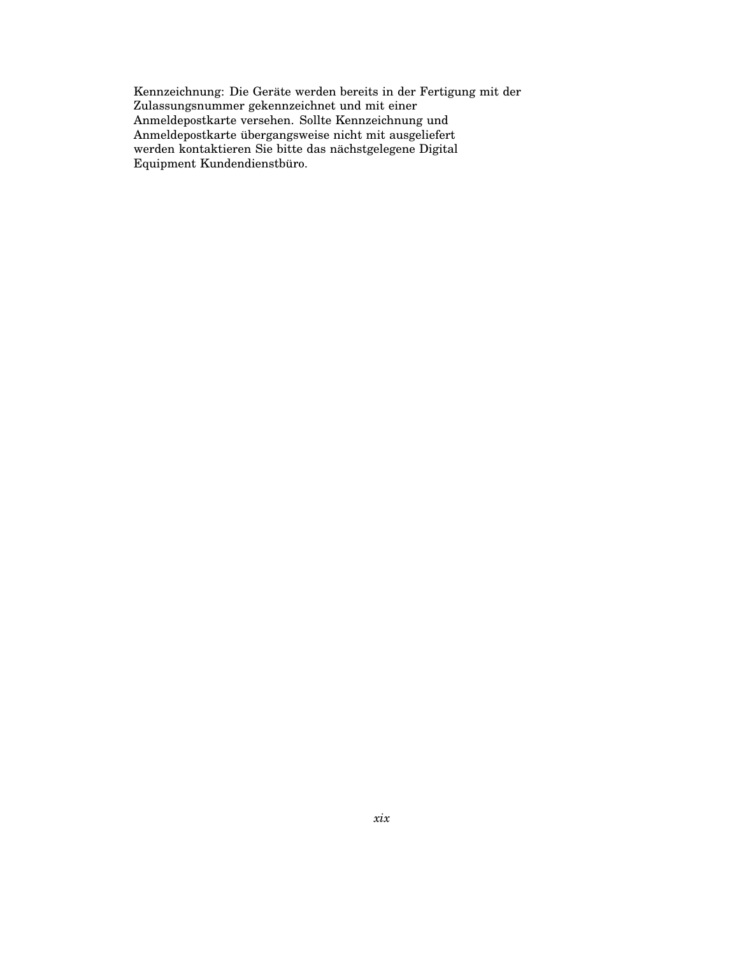Kennzeichnung: Die Geräte werden bereits in der Fertigung mit der Zulassungsnummer gekennzeichnet und mit einer Anmeldepostkarte versehen. Sollte Kennzeichnung und Anmeldepostkarte übergangsweise nicht mit ausgeliefert werden kontaktieren Sie bitte das nächstgelegene Digital Equipment Kundendienstbüro.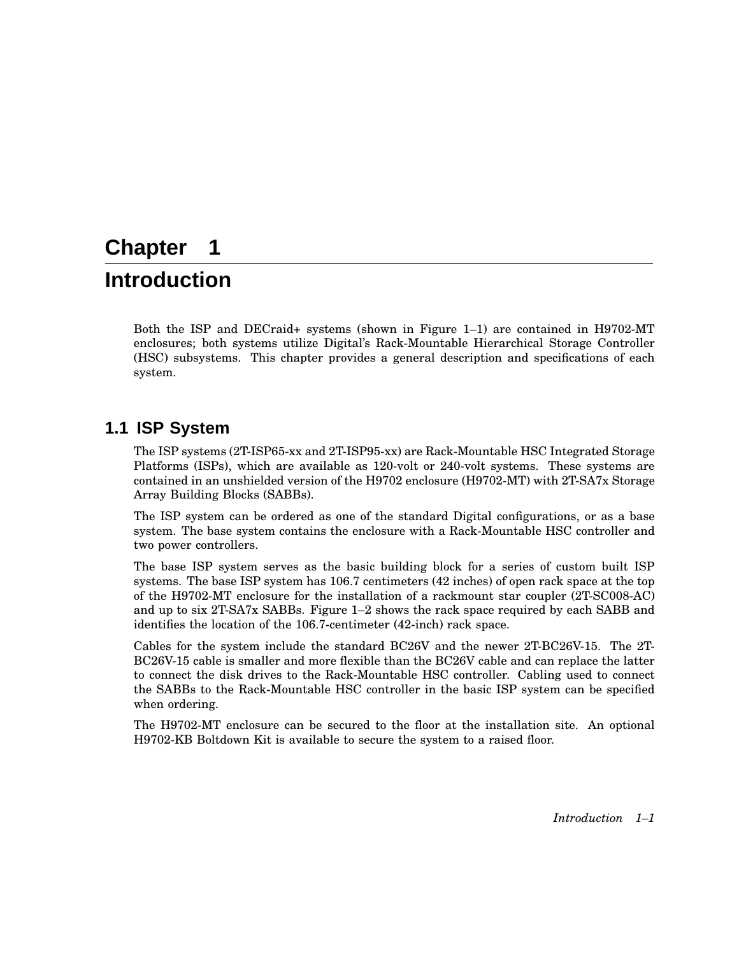### **Chapter 1**

### **Introduction**

Both the ISP and DECraid+ systems (shown in Figure 1–1) are contained in H9702-MT enclosures; both systems utilize Digital's Rack-Mountable Hierarchical Storage Controller (HSC) subsystems. This chapter provides a general description and specifications of each system.

### **1.1 ISP System**

The ISP systems (2T-ISP65-xx and 2T-ISP95-xx) are Rack-Mountable HSC Integrated Storage Platforms (ISPs), which are available as 120-volt or 240-volt systems. These systems are contained in an unshielded version of the H9702 enclosure (H9702-MT) with 2T-SA7x Storage Array Building Blocks (SABBs).

The ISP system can be ordered as one of the standard Digital configurations, or as a base system. The base system contains the enclosure with a Rack-Mountable HSC controller and two power controllers.

The base ISP system serves as the basic building block for a series of custom built ISP systems. The base ISP system has 106.7 centimeters (42 inches) of open rack space at the top of the H9702-MT enclosure for the installation of a rackmount star coupler (2T-SC008-AC) and up to six 2T-SA7x SABBs. Figure 1–2 shows the rack space required by each SABB and identifies the location of the 106.7-centimeter (42-inch) rack space.

Cables for the system include the standard BC26V and the newer 2T-BC26V-15. The 2T-BC26V-15 cable is smaller and more flexible than the BC26V cable and can replace the latter to connect the disk drives to the Rack-Mountable HSC controller. Cabling used to connect the SABBs to the Rack-Mountable HSC controller in the basic ISP system can be specified when ordering.

The H9702-MT enclosure can be secured to the floor at the installation site. An optional H9702-KB Boltdown Kit is available to secure the system to a raised floor.

*Introduction 1–1*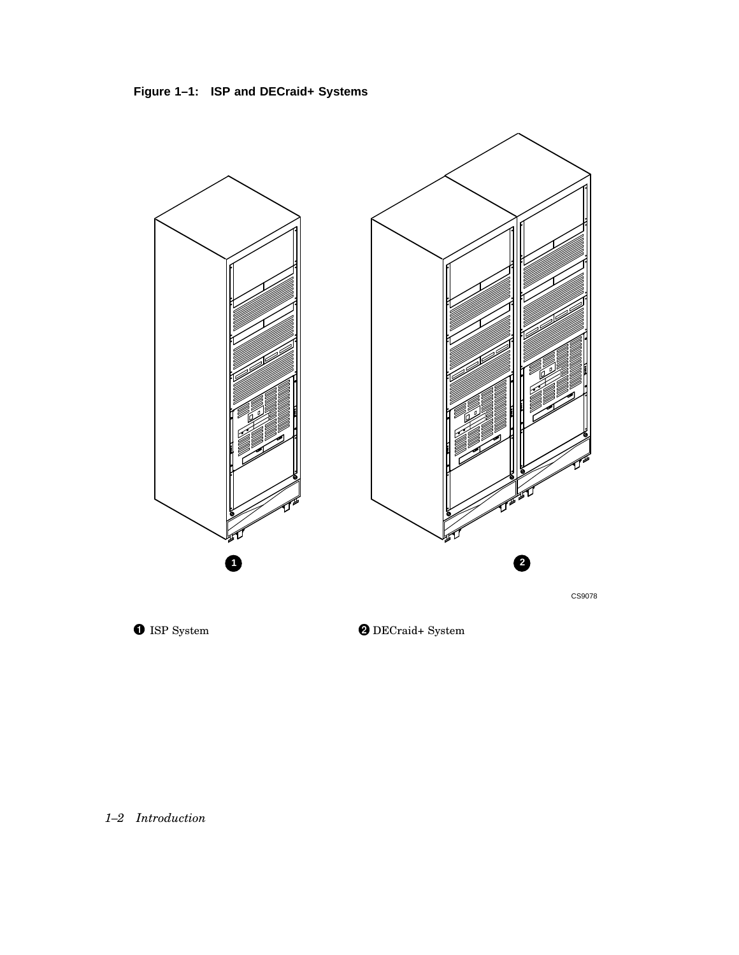**Figure 1–1: ISP and DECraid+ Systems**



*1–2 Introduction*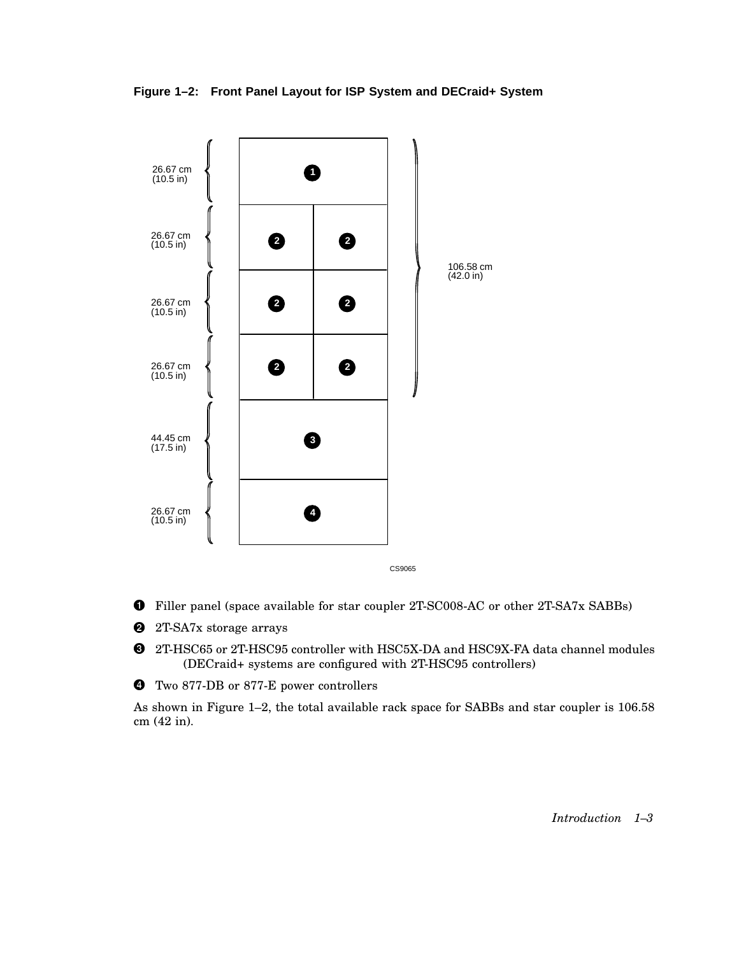**Figure 1–2: Front Panel Layout for ISP System and DECraid+ System**



- Filler panel (space available for star coupler 2T-SC008-AC or other 2T-SA7x SABBs)
- **2** 2T-SA7x storage arrays
- 2T-HSC65 or 2T-HSC95 controller with HSC5X-DA and HSC9X-FA data channel modules (DECraid+ systems are configured with 2T-HSC95 controllers)
- Two 877-DB or 877-E power controllers

As shown in Figure 1–2, the total available rack space for SABBs and star coupler is 106.58 cm (42 in).

*Introduction 1–3*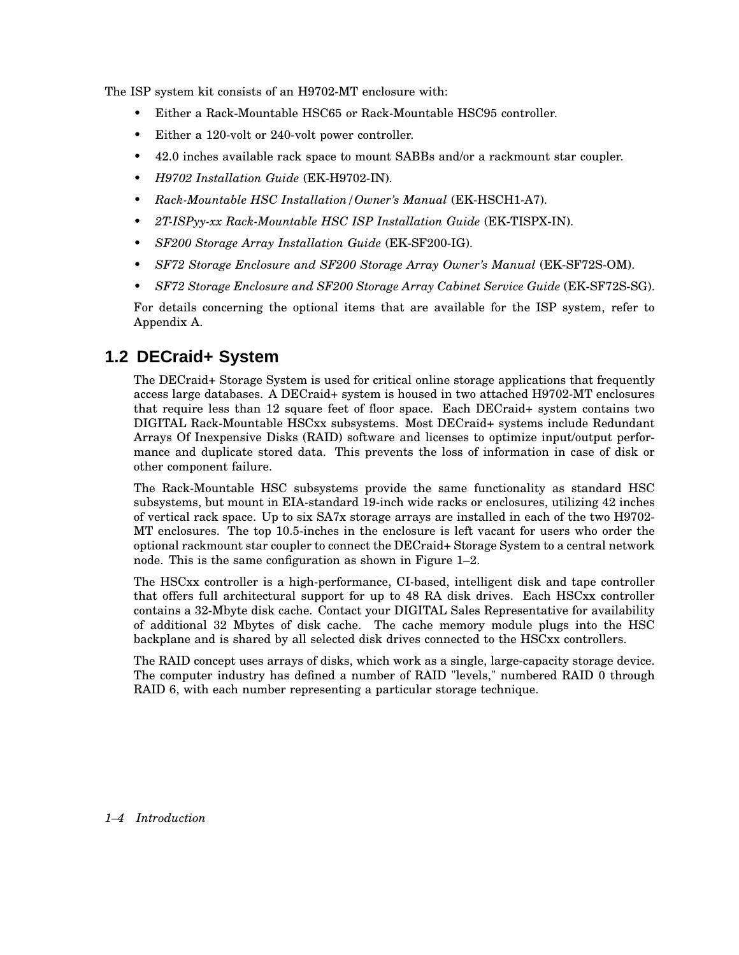The ISP system kit consists of an H9702-MT enclosure with:

- Either a Rack-Mountable HSC65 or Rack-Mountable HSC95 controller.
- Either a 120-volt or 240-volt power controller.
- 42.0 inches available rack space to mount SABBs and/or a rackmount star coupler.
- *H9702 Installation Guide* (EK-H9702-IN).
- *Rack-Mountable HSC Installation/Owner's Manual* (EK-HSCH1-A7).
- *2T-ISPyy-xx Rack-Mountable HSC ISP Installation Guide* (EK-TISPX-IN).
- *SF200 Storage Array Installation Guide* (EK-SF200-IG).
- *SF72 Storage Enclosure and SF200 Storage Array Owner's Manual* (EK-SF72S-OM).
- *SF72 Storage Enclosure and SF200 Storage Array Cabinet Service Guide* (EK-SF72S-SG).

For details concerning the optional items that are available for the ISP system, refer to Appendix A.

### **1.2 DECraid+ System**

The DECraid+ Storage System is used for critical online storage applications that frequently access large databases. A DECraid+ system is housed in two attached H9702-MT enclosures that require less than 12 square feet of floor space. Each DECraid+ system contains two DIGITAL Rack-Mountable HSCxx subsystems. Most DECraid+ systems include Redundant Arrays Of Inexpensive Disks (RAID) software and licenses to optimize input/output performance and duplicate stored data. This prevents the loss of information in case of disk or other component failure.

The Rack-Mountable HSC subsystems provide the same functionality as standard HSC subsystems, but mount in EIA-standard 19-inch wide racks or enclosures, utilizing 42 inches of vertical rack space. Up to six SA7x storage arrays are installed in each of the two H9702- MT enclosures. The top 10.5-inches in the enclosure is left vacant for users who order the optional rackmount star coupler to connect the DECraid+ Storage System to a central network node. This is the same configuration as shown in Figure 1–2.

The HSCxx controller is a high-performance, CI-based, intelligent disk and tape controller that offers full architectural support for up to 48 RA disk drives. Each HSCxx controller contains a 32-Mbyte disk cache. Contact your DIGITAL Sales Representative for availability of additional 32 Mbytes of disk cache. The cache memory module plugs into the HSC backplane and is shared by all selected disk drives connected to the HSCxx controllers.

The RAID concept uses arrays of disks, which work as a single, large-capacity storage device. The computer industry has defined a number of RAID "levels," numbered RAID 0 through RAID 6, with each number representing a particular storage technique.

#### *1–4 Introduction*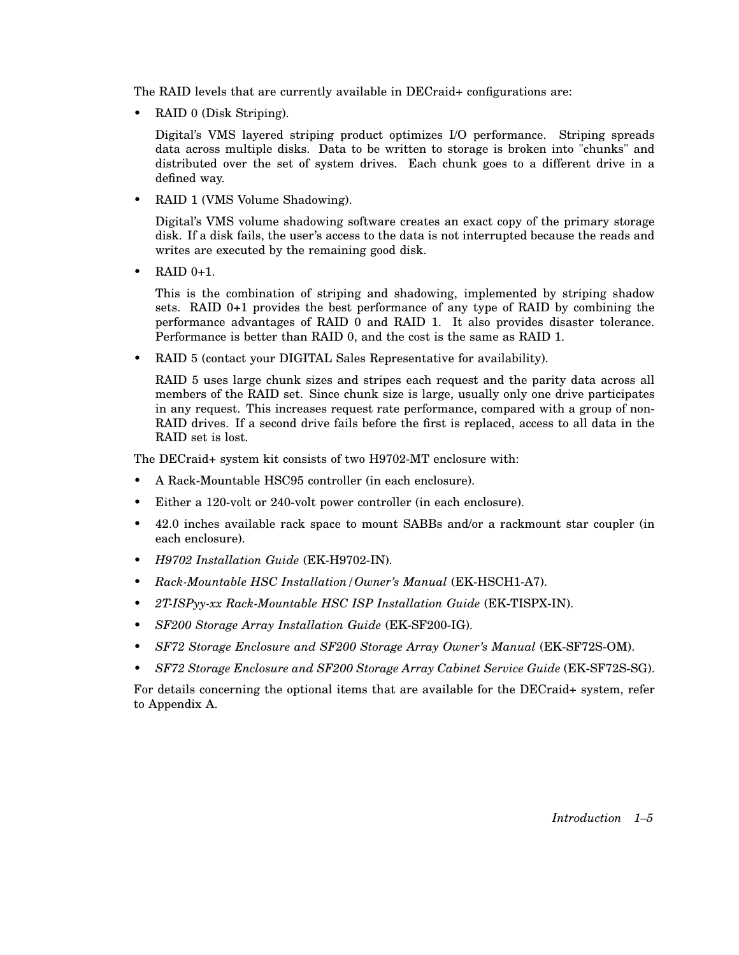The RAID levels that are currently available in DECraid+ configurations are:

• RAID 0 (Disk Striping).

Digital's VMS layered striping product optimizes I/O performance. Striping spreads data across multiple disks. Data to be written to storage is broken into "chunks" and distributed over the set of system drives. Each chunk goes to a different drive in a defined way.

• RAID 1 (VMS Volume Shadowing).

Digital's VMS volume shadowing software creates an exact copy of the primary storage disk. If a disk fails, the user's access to the data is not interrupted because the reads and writes are executed by the remaining good disk.

 $RAID$   $0+1$ .

This is the combination of striping and shadowing, implemented by striping shadow sets. RAID 0+1 provides the best performance of any type of RAID by combining the performance advantages of RAID 0 and RAID 1. It also provides disaster tolerance. Performance is better than RAID 0, and the cost is the same as RAID 1.

• RAID 5 (contact your DIGITAL Sales Representative for availability).

RAID 5 uses large chunk sizes and stripes each request and the parity data across all members of the RAID set. Since chunk size is large, usually only one drive participates in any request. This increases request rate performance, compared with a group of non-RAID drives. If a second drive fails before the first is replaced, access to all data in the RAID set is lost.

The DECraid+ system kit consists of two H9702-MT enclosure with:

- A Rack-Mountable HSC95 controller (in each enclosure).
- Either a 120-volt or 240-volt power controller (in each enclosure).
- 42.0 inches available rack space to mount SABBs and/or a rackmount star coupler (in each enclosure).
- *H9702 Installation Guide* (EK-H9702-IN).
- *Rack-Mountable HSC Installation/Owner's Manual* (EK-HSCH1-A7).
- *2T-ISPyy-xx Rack-Mountable HSC ISP Installation Guide* (EK-TISPX-IN).
- *SF200 Storage Array Installation Guide* (EK-SF200-IG).
- *SF72 Storage Enclosure and SF200 Storage Array Owner's Manual* (EK-SF72S-OM).
- *SF72 Storage Enclosure and SF200 Storage Array Cabinet Service Guide* (EK-SF72S-SG).

For details concerning the optional items that are available for the DECraid+ system, refer to Appendix A.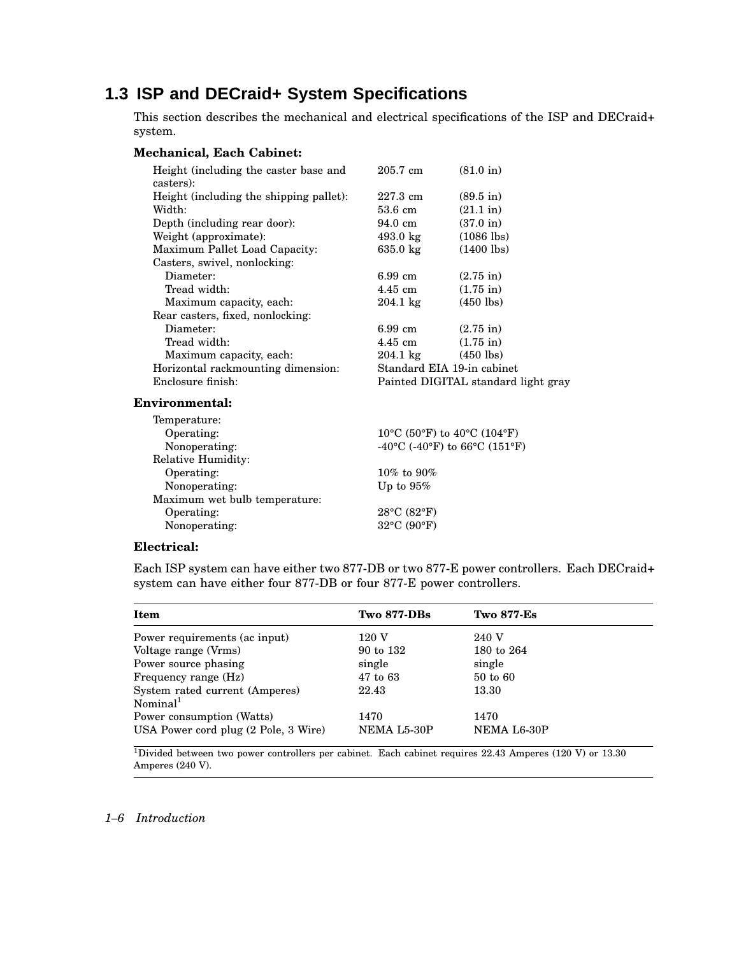### **1.3 ISP and DECraid+ System Specifications**

This section describes the mechanical and electrical specifications of the ISP and DECraid+ system.

#### **Mechanical, Each Cabinet:**

| Height (including the caster base and<br>casters): | 205.7 cm           | $(81.0 \text{ in})$                 |
|----------------------------------------------------|--------------------|-------------------------------------|
| Height (including the shipping pallet):            | 227.3 cm           | $(89.5 \text{ in})$                 |
| Width:                                             | 53.6 cm            | $(21.1 \text{ in})$                 |
| Depth (including rear door):                       | 94.0 cm            | $(37.0 \text{ in})$                 |
| Weight (approximate):                              | $493.0 \text{ kg}$ | $(1086$ lbs)                        |
| Maximum Pallet Load Capacity:                      | $635.0 \text{ kg}$ | $(1400 \text{ lbs})$                |
| Casters, swivel, nonlocking:                       |                    |                                     |
| Diameter:                                          | $6.99 \text{ cm}$  | $(2.75 \text{ in})$                 |
| Tread width:                                       | $4.45$ cm          | $(1.75 \text{ in})$                 |
| Maximum capacity, each:                            | $204.1 \text{ kg}$ | $(450$ lbs)                         |
| Rear casters, fixed, nonlocking:                   |                    |                                     |
| Diameter:                                          | 6.99 cm            | $(2.75 \text{ in})$                 |
| Tread width:                                       | 4.45 cm            | $(1.75 \text{ in})$                 |
| Maximum capacity, each:                            | $204.1 \text{ kg}$ | $(450$ lbs)                         |
| Horizontal rackmounting dimension:                 |                    | Standard EIA 19-in cabinet          |
| Enclosure finish:                                  |                    | Painted DIGITAL standard light gray |
|                                                    |                    |                                     |

#### **Environmental:**

| Temperature:                  |                                                                        |
|-------------------------------|------------------------------------------------------------------------|
| Operating:                    | $10^{\circ}$ C (50 $^{\circ}$ F) to 40 $^{\circ}$ C (104 $^{\circ}$ F) |
| Nonoperating:                 | -40°C (-40°F) to 66°C (151°F)                                          |
| Relative Humidity:            |                                                                        |
| Operating:                    | 10% to 90%                                                             |
| Nonoperating:                 | Up to $95\%$                                                           |
| Maximum wet bulb temperature: |                                                                        |
| Operating:                    | $28^{\circ}$ C (82°F)                                                  |
| Nonoperating:                 | 32°C (90°F)                                                            |
|                               |                                                                        |

#### **Electrical:**

Each ISP system can have either two 877-DB or two 877-E power controllers. Each DECraid+ system can have either four 877-DB or four 877-E power controllers.

| Item                                 | <b>Two 877-DBs</b> | <b>Two 877-Es</b> |
|--------------------------------------|--------------------|-------------------|
| Power requirements (ac input)        | 120 V              | 240 V             |
| Voltage range (Vrms)                 | 90 to 132          | 180 to 264        |
| Power source phasing                 | single             | single            |
| Frequency range (Hz)                 | 47 to 63           | 50 to 60          |
| System rated current (Amperes)       | 22.43              | 13.30             |
| Nominal <sup>1</sup>                 |                    |                   |
| Power consumption (Watts)            | 1470               | 1470              |
| USA Power cord plug (2 Pole, 3 Wire) | NEMA L5-30P        | NEMA L6-30P       |

<sup>1</sup>Divided between two power controllers per cabinet. Each cabinet requires 22.43 Amperes (120 V) or 13.30 Amperes (240 V).

#### *1–6 Introduction*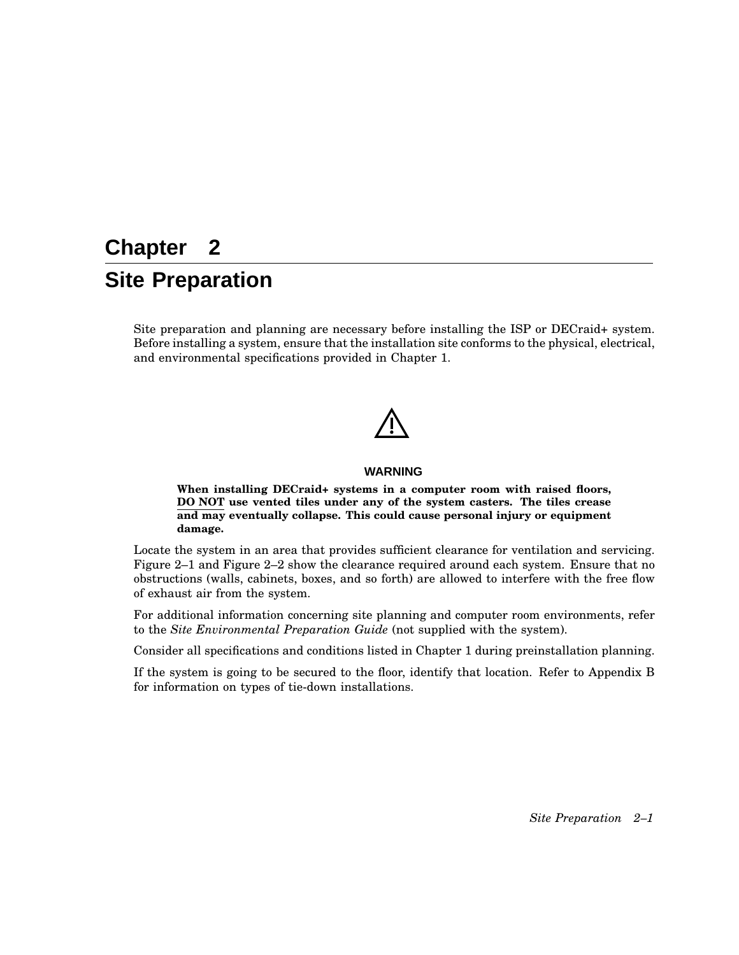## **Chapter 2 Site Preparation**

Site preparation and planning are necessary before installing the ISP or DECraid+ system. Before installing a system, ensure that the installation site conforms to the physical, electrical, and environmental specifications provided in Chapter 1.

#### **WARNING**

**When installing DECraid+ systems in a computer room with raised floors, DO NOT use vented tiles under any of the system casters. The tiles crease and may eventually collapse. This could cause personal injury or equipment damage.**

Locate the system in an area that provides sufficient clearance for ventilation and servicing. Figure 2–1 and Figure 2–2 show the clearance required around each system. Ensure that no obstructions (walls, cabinets, boxes, and so forth) are allowed to interfere with the free flow of exhaust air from the system.

For additional information concerning site planning and computer room environments, refer to the *Site Environmental Preparation Guide* (not supplied with the system).

Consider all specifications and conditions listed in Chapter 1 during preinstallation planning.

If the system is going to be secured to the floor, identify that location. Refer to Appendix B for information on types of tie-down installations.

*Site Preparation 2–1*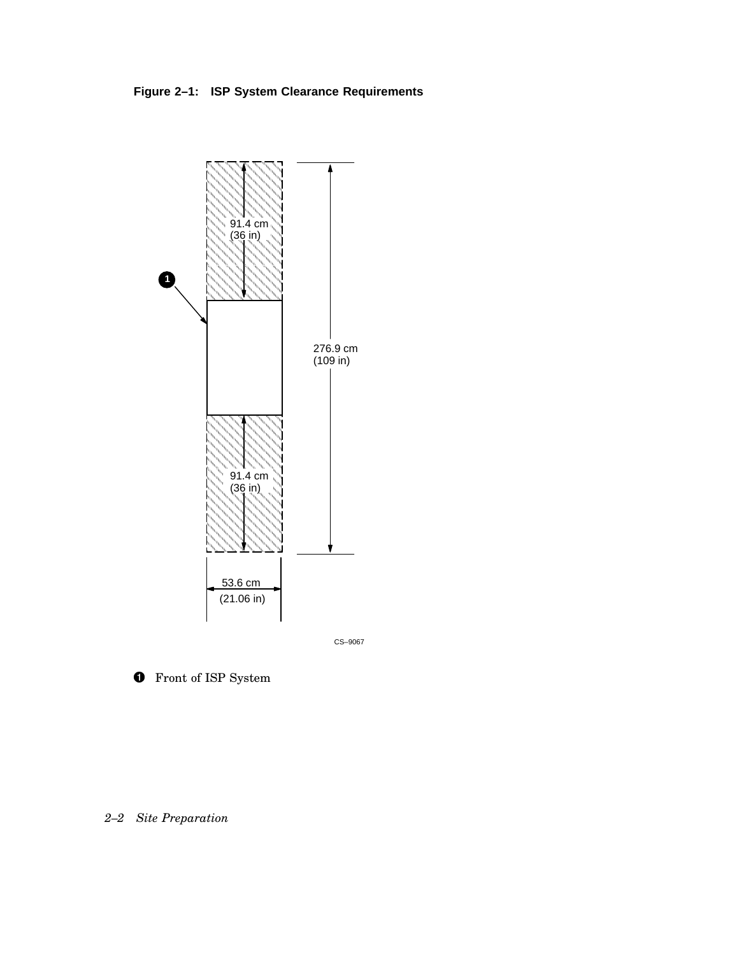**Figure 2–1: ISP System Clearance Requirements**



CS–9067

**O** Front of ISP System

*2–2 Site Preparation*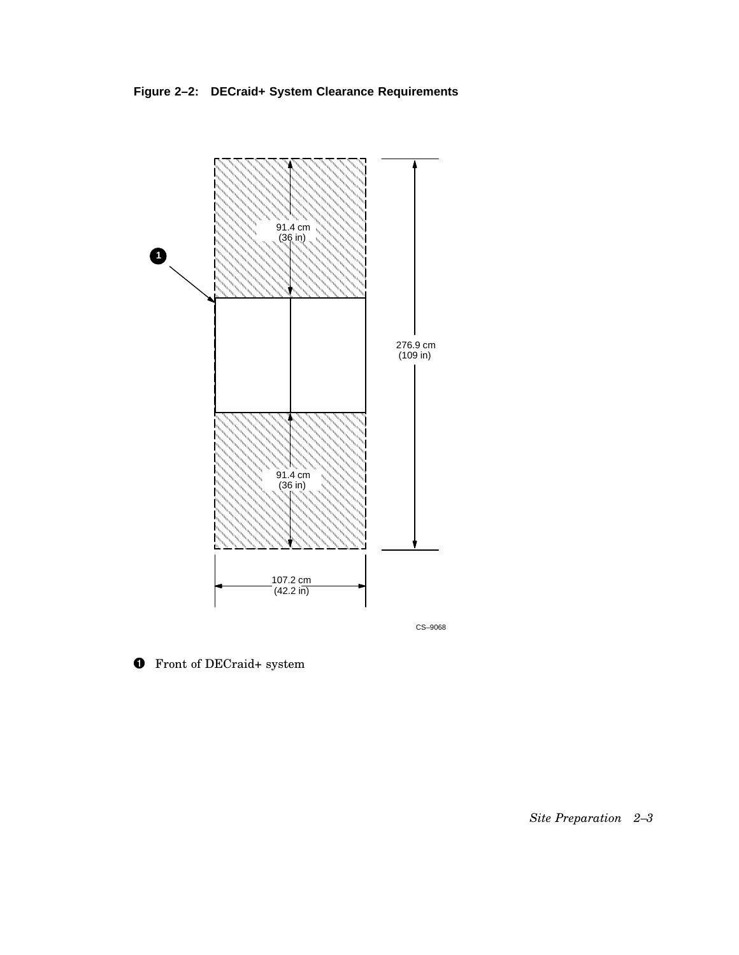**Figure 2–2: DECraid+ System Clearance Requirements**



**O** Front of DECraid+ system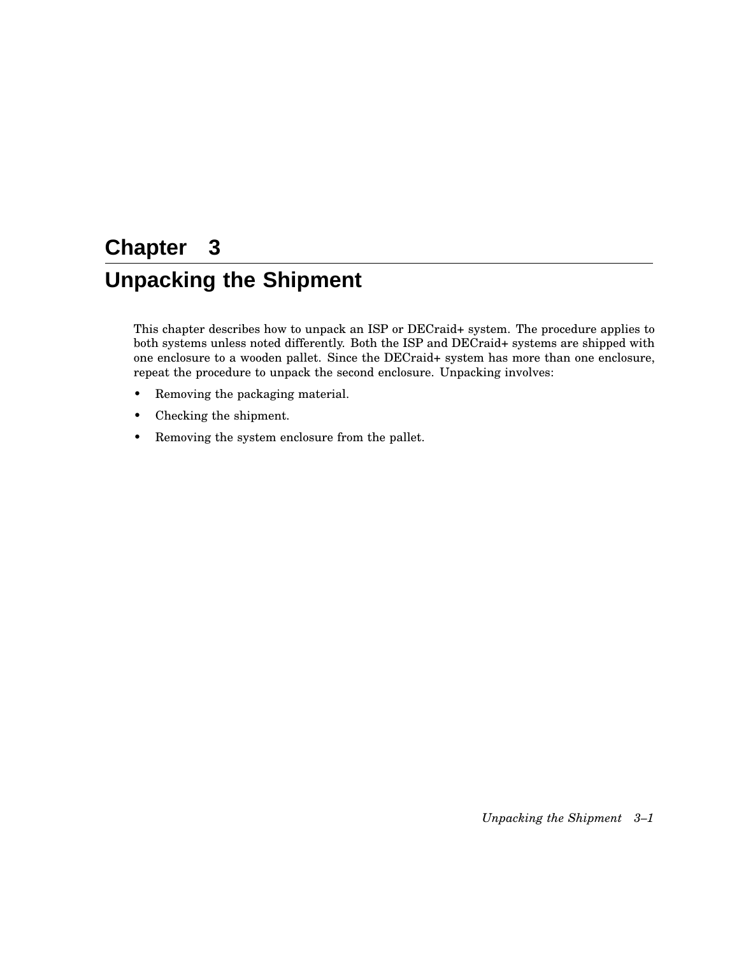## **Chapter 3 Unpacking the Shipment**

This chapter describes how to unpack an ISP or DECraid+ system. The procedure applies to both systems unless noted differently. Both the ISP and DECraid+ systems are shipped with one enclosure to a wooden pallet. Since the DECraid+ system has more than one enclosure, repeat the procedure to unpack the second enclosure. Unpacking involves:

- Removing the packaging material.
- Checking the shipment.
- Removing the system enclosure from the pallet.

*Unpacking the Shipment 3–1*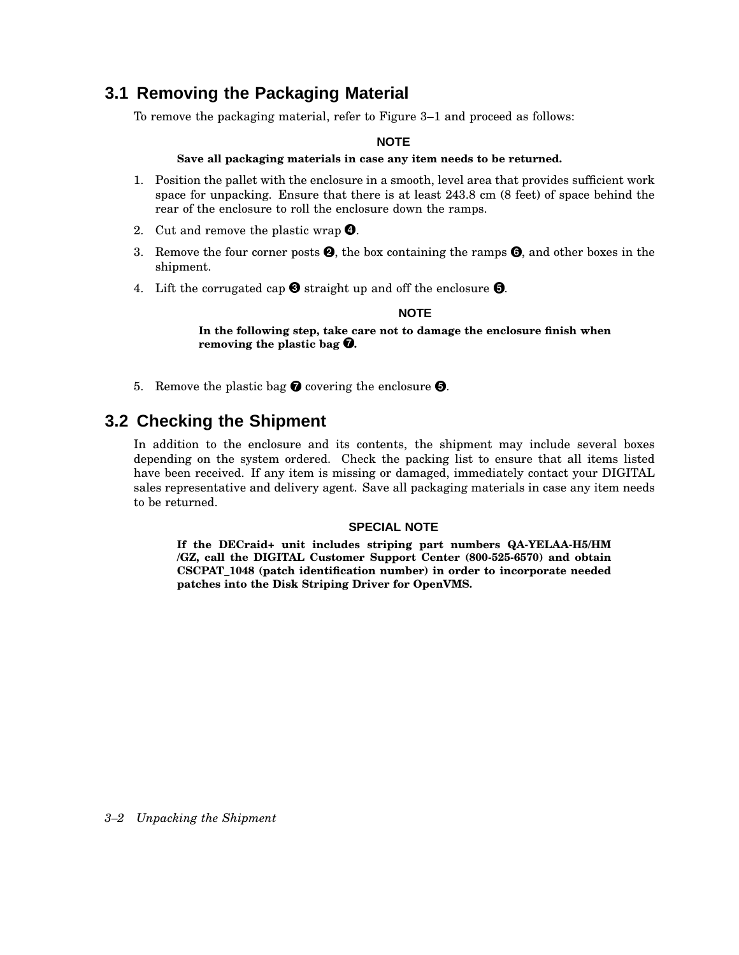### **3.1 Removing the Packaging Material**

To remove the packaging material, refer to Figure 3–1 and proceed as follows:

#### **NOTE**

#### **Save all packaging materials in case any item needs to be returned.**

- 1. Position the pallet with the enclosure in a smooth, level area that provides sufficient work space for unpacking. Ensure that there is at least 243.8 cm (8 feet) of space behind the rear of the enclosure to roll the enclosure down the ramps.
- 2. Cut and remove the plastic wrap  $\bullet$ .
- 3. Remove the four corner posts  $\bullet$ , the box containing the ramps  $\bullet$ , and other boxes in the shipment.
- 4. Lift the corrugated cap  $\bullet$  straight up and off the enclosure  $\bullet$ .

#### **NOTE**

**In the following step, take care not to damage the enclosure finish when removing the plastic bag** -**.**

5. Remove the plastic bag  $\bullet$  covering the enclosure  $\bullet$ .

### **3.2 Checking the Shipment**

In addition to the enclosure and its contents, the shipment may include several boxes depending on the system ordered. Check the packing list to ensure that all items listed have been received. If any item is missing or damaged, immediately contact your DIGITAL sales representative and delivery agent. Save all packaging materials in case any item needs to be returned.

#### **SPECIAL NOTE**

**If the DECraid+ unit includes striping part numbers QA-YELAA-H5/HM /GZ, call the DIGITAL Customer Support Center (800-525-6570) and obtain CSCPAT\_1048 (patch identification number) in order to incorporate needed patches into the Disk Striping Driver for OpenVMS.**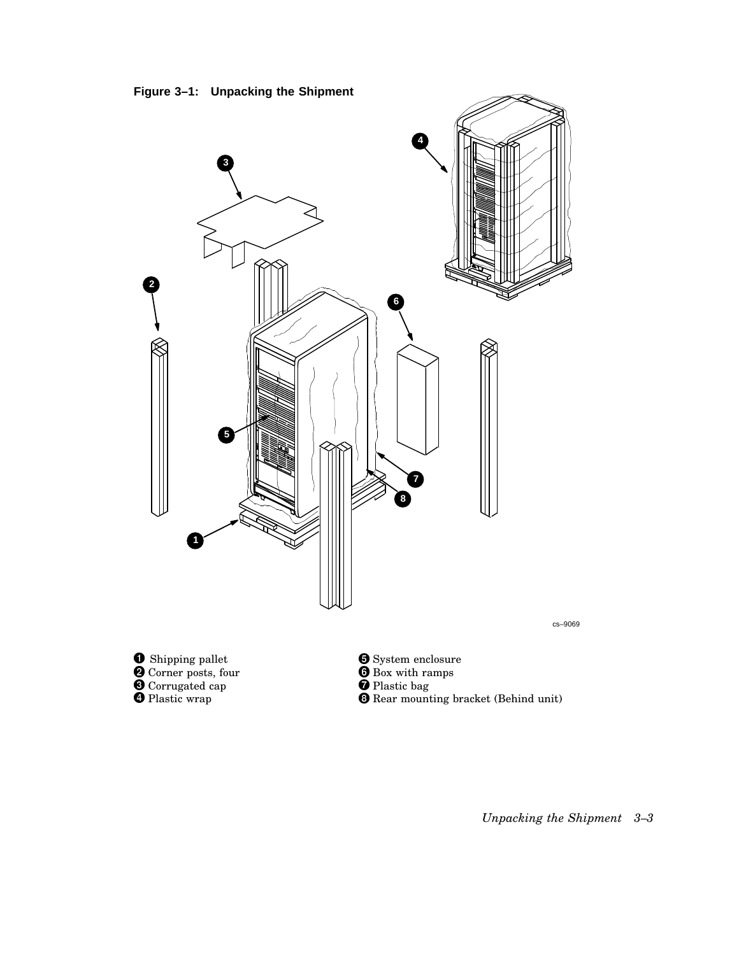



*Unpacking the Shipment 3–3*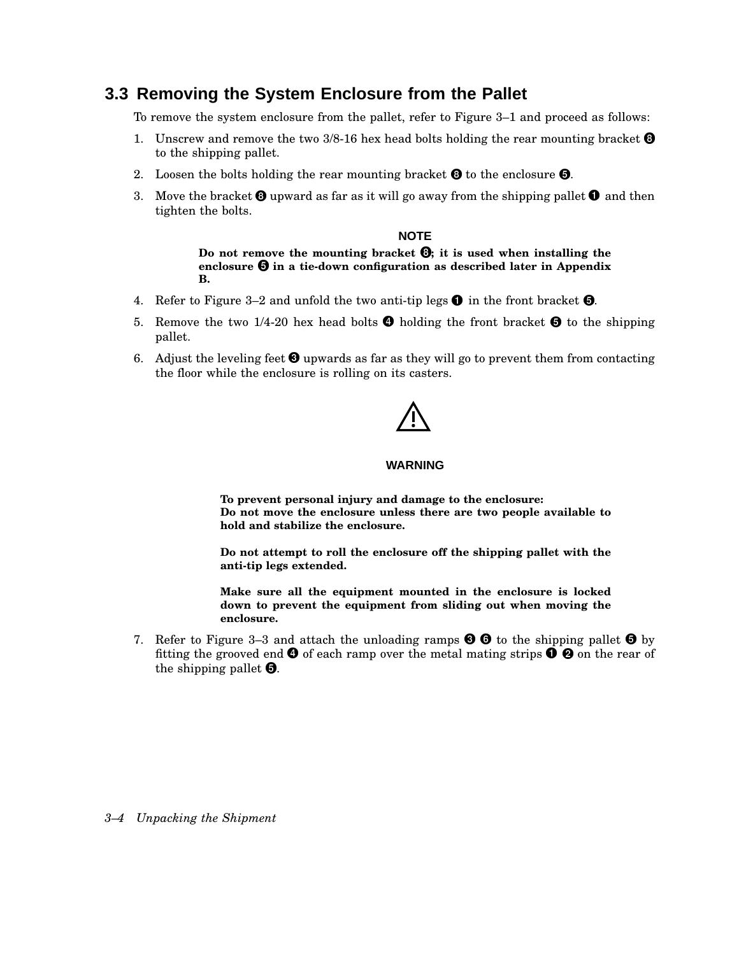### **3.3 Removing the System Enclosure from the Pallet**

To remove the system enclosure from the pallet, refer to Figure 3–1 and proceed as follows:

- 1. Unscrew and remove the two  $3/8$ -16 hex head bolts holding the rear mounting bracket  $\Theta$ to the shipping pallet.
- 2. Loosen the bolts holding the rear mounting bracket  $\Theta$  to the enclosure  $\Theta$ .
- 3. Move the bracket  $\bm{\Theta}$  upward as far as it will go away from the shipping pallet  $\bm{\Theta}$  and then tighten the bolts.

#### **NOTE**

**Do not remove the mounting bracket ; it is used when installing the enclosure in a tie-down configuration as described later in Appendix B.**

- 4. Refer to Figure 3–2 and unfold the two anti-tip legs  $\bm{\mathsf{O}}$  in the front bracket  $\bm{\mathsf{O}}$ .
- 5. Remove the two 1/4-20 hex head bolts  $\bullet$  holding the front bracket  $\bullet$  to the shipping pallet.
- 6. Adjust the leveling feet  $\Theta$  upwards as far as they will go to prevent them from contacting the floor while the enclosure is rolling on its casters.

#### **WARNING**

**To prevent personal injury and damage to the enclosure: Do not move the enclosure unless there are two people available to hold and stabilize the enclosure.**

**Do not attempt to roll the enclosure off the shipping pallet with the anti-tip legs extended.**

**Make sure all the equipment mounted in the enclosure is locked down to prevent the equipment from sliding out when moving the enclosure.**

7. Refer to Figure 3–3 and attach the unloading ramps  $\bigcirc \bigcirc$  to the shipping pallet  $\bigcirc$  by fitting the grooved end  $\bm{\Theta}$  of each ramp over the metal mating strips  $\bm{\Theta}$   $\bm{\Theta}$  on the rear of the shipping pallet  $\Theta$ .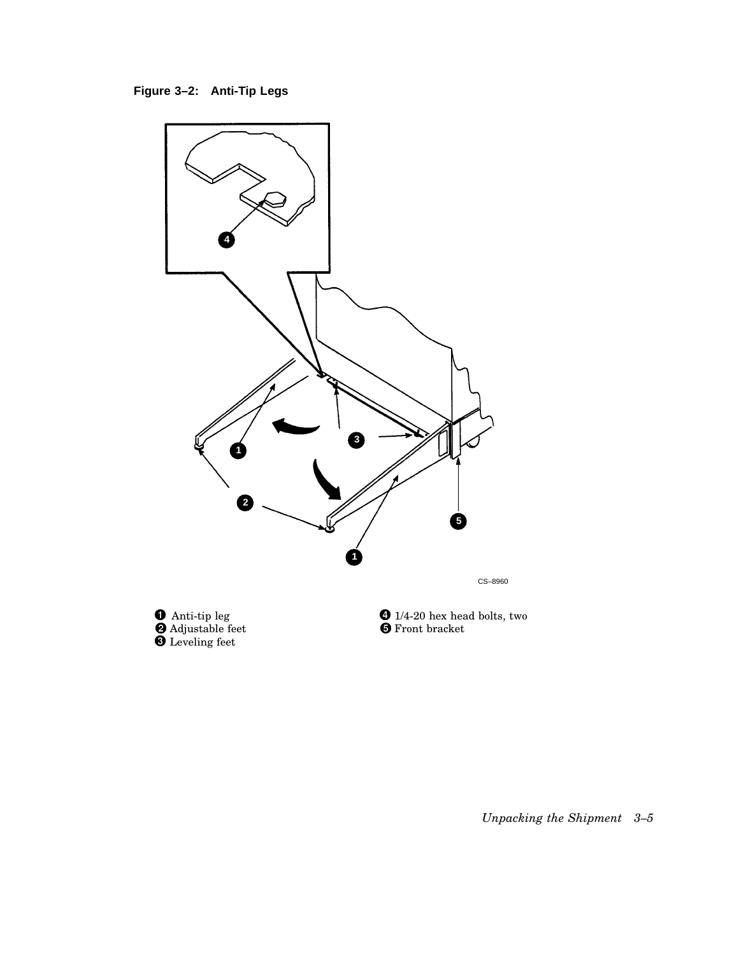



*Unpacking the Shipment 3–5*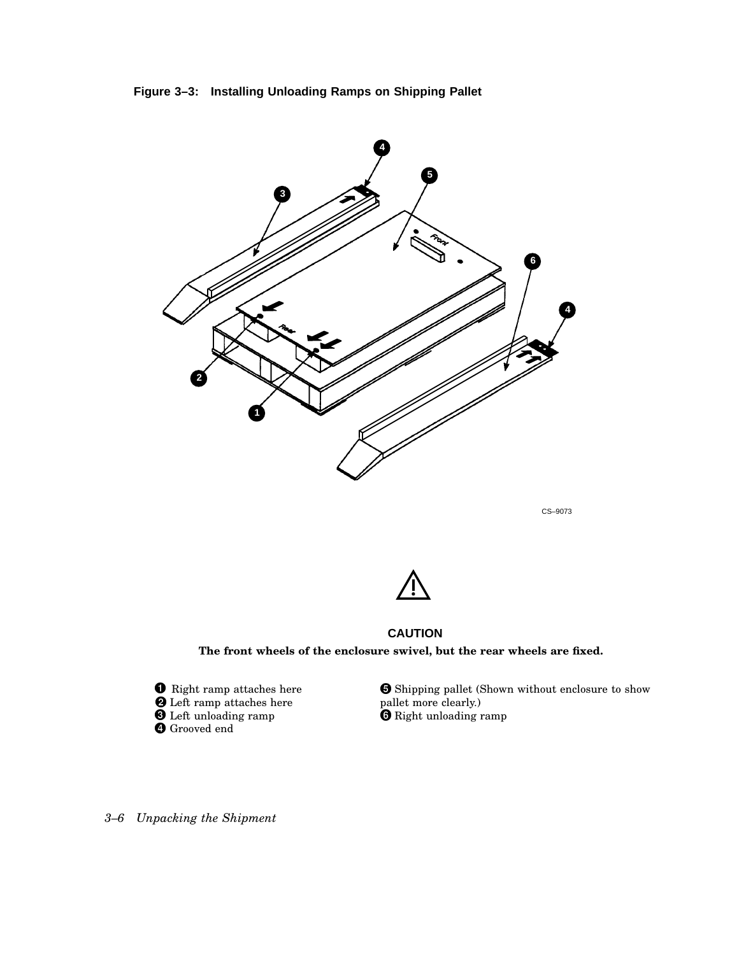



CS–9073



**CAUTION The front wheels of the enclosure swivel, but the rear wheels are fixed.**

 $\bullet$  Right ramp attaches here Left ramp attaches here Left unloading ramp Grooved end

 Shipping pallet (Shown without enclosure to show pallet more clearly.) Right unloading ramp

*3–6 Unpacking the Shipment*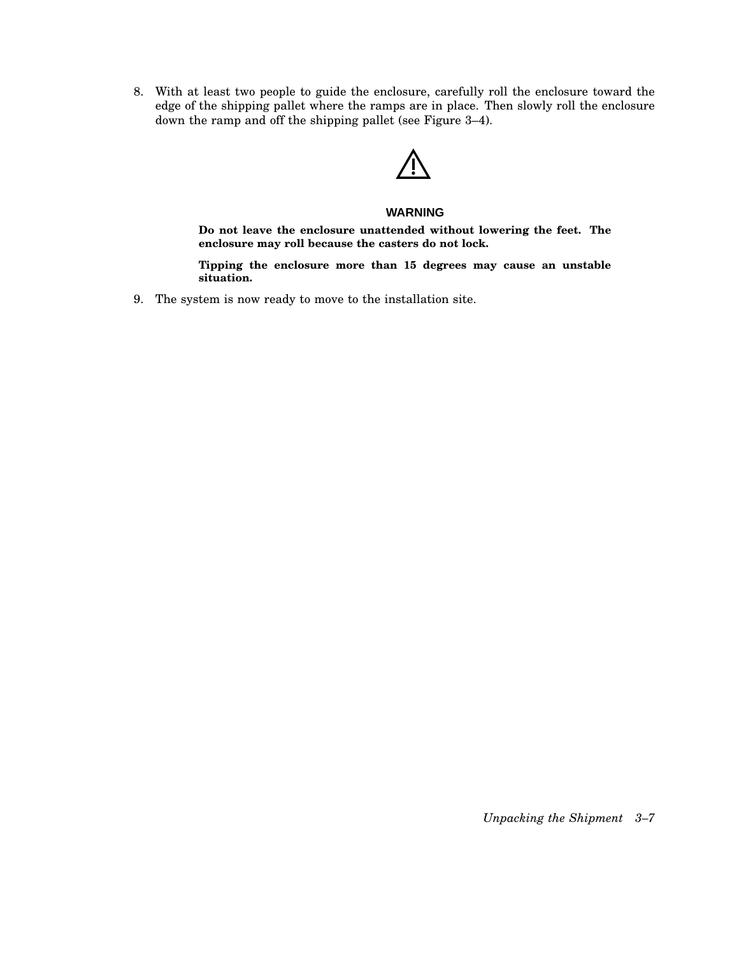8. With at least two people to guide the enclosure, carefully roll the enclosure toward the edge of the shipping pallet where the ramps are in place. Then slowly roll the enclosure down the ramp and off the shipping pallet (see Figure 3–4).

### **WARNING**

**Do not leave the enclosure unattended without lowering the feet. The enclosure may roll because the casters do not lock.**

**Tipping the enclosure more than 15 degrees may cause an unstable situation.**

9. The system is now ready to move to the installation site.

*Unpacking the Shipment 3–7*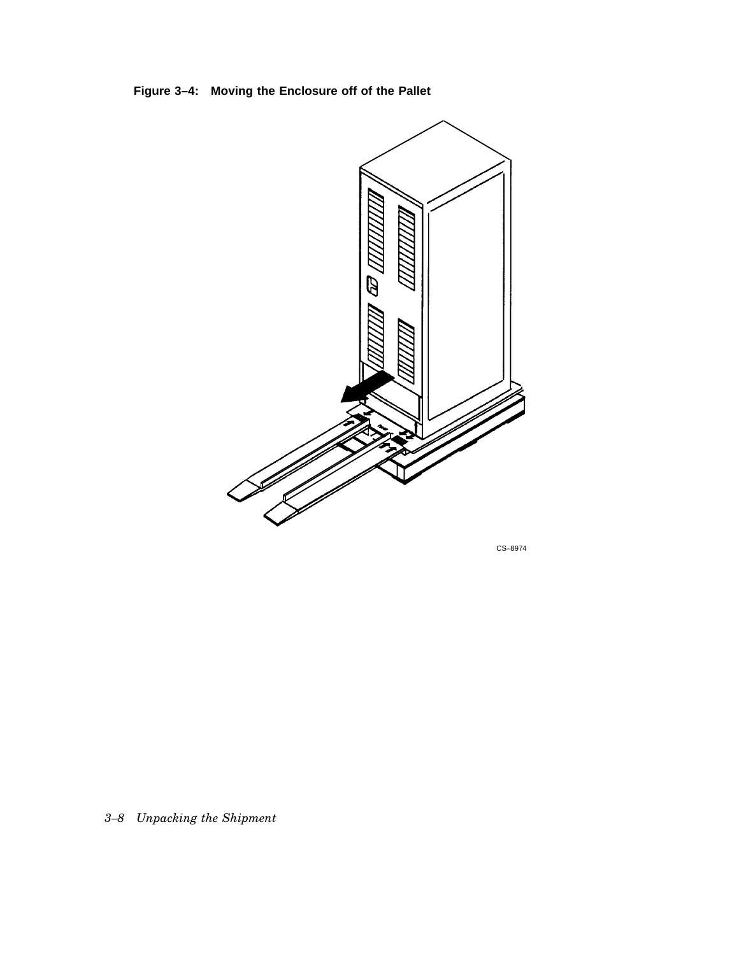**Figure 3–4: Moving the Enclosure off of the Pallet**



CS–8974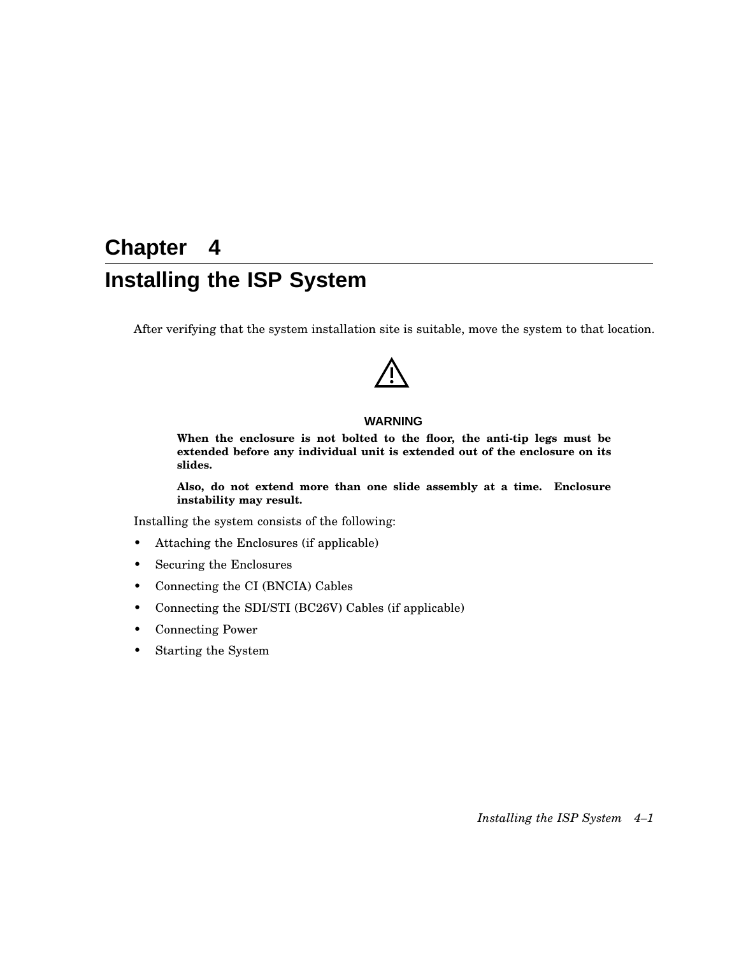# **Chapter 4 Installing the ISP System**

After verifying that the system installation site is suitable, move the system to that location.

### **WARNING**

**When the enclosure is not bolted to the floor, the anti-tip legs must be extended before any individual unit is extended out of the enclosure on its slides.**

**Also, do not extend more than one slide assembly at a time. Enclosure instability may result.**

Installing the system consists of the following:

- Attaching the Enclosures (if applicable)
- Securing the Enclosures
- Connecting the CI (BNCIA) Cables
- Connecting the SDI/STI (BC26V) Cables (if applicable)
- Connecting Power
- Starting the System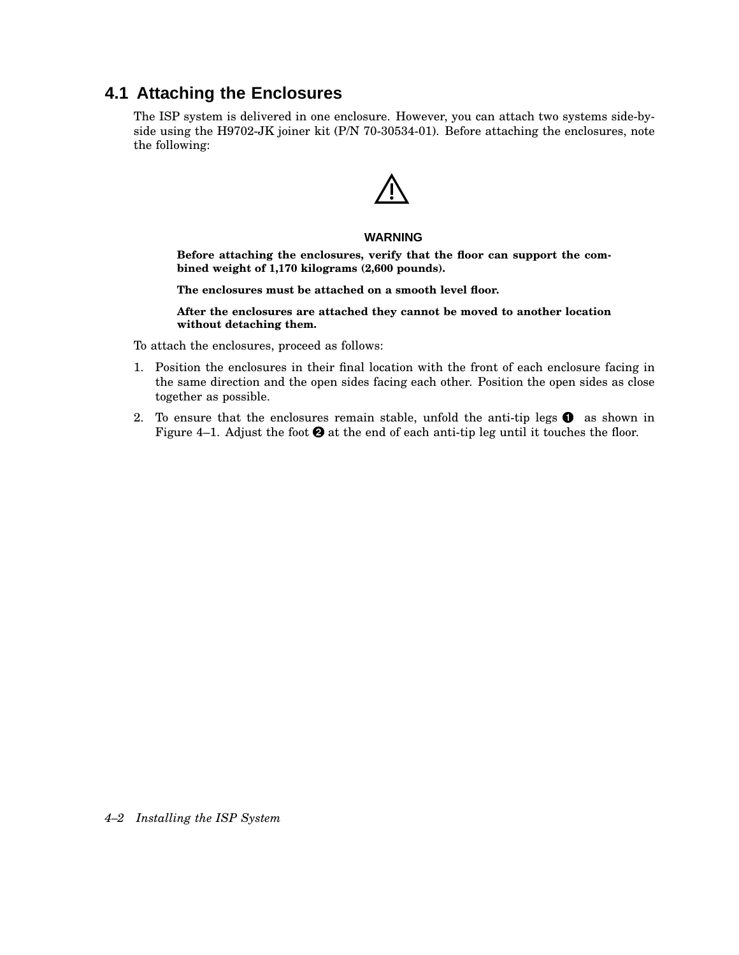## **4.1 Attaching the Enclosures**

The ISP system is delivered in one enclosure. However, you can attach two systems side-byside using the H9702-JK joiner kit (P/N 70-30534-01). Before attaching the enclosures, note the following:

### **WARNING**

**Before attaching the enclosures, verify that the floor can support the combined weight of 1,170 kilograms (2,600 pounds).**

**The enclosures must be attached on a smooth level floor.**

**After the enclosures are attached they cannot be moved to another location without detaching them.**

To attach the enclosures, proceed as follows:

- 1. Position the enclosures in their final location with the front of each enclosure facing in the same direction and the open sides facing each other. Position the open sides as close together as possible.
- 2. To ensure that the enclosures remain stable, unfold the anti-tip legs  $\bullet$  as shown in Figure 4–1. Adjust the foot  $\Theta$  at the end of each anti-tip leg until it touches the floor.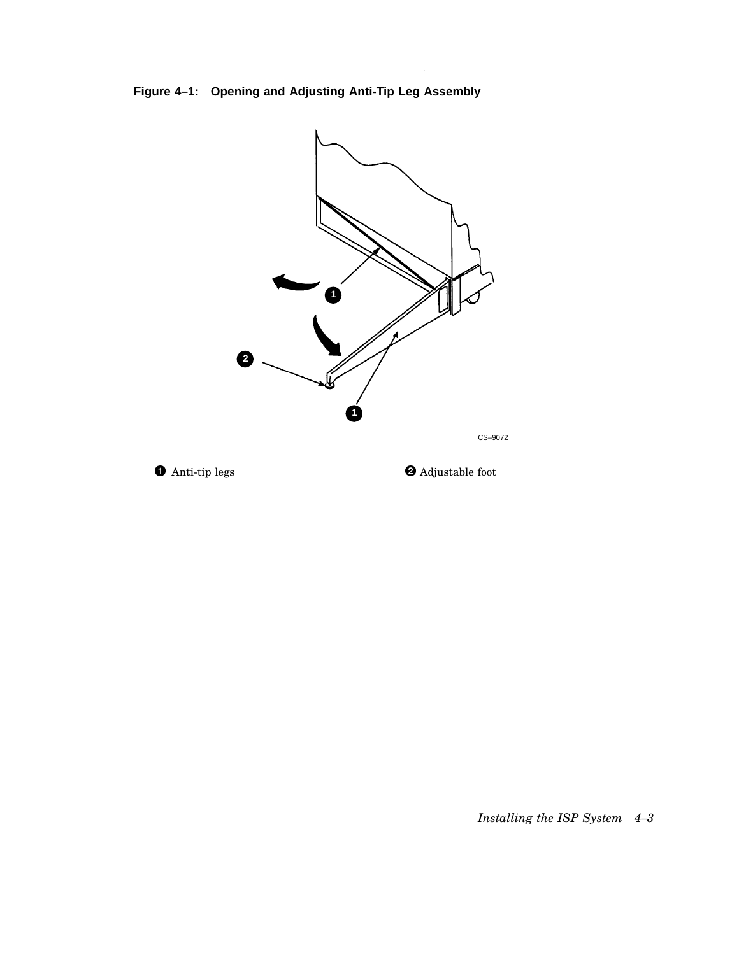





 $\bullet$  Adjustable foot

*Installing the ISP System 4–3*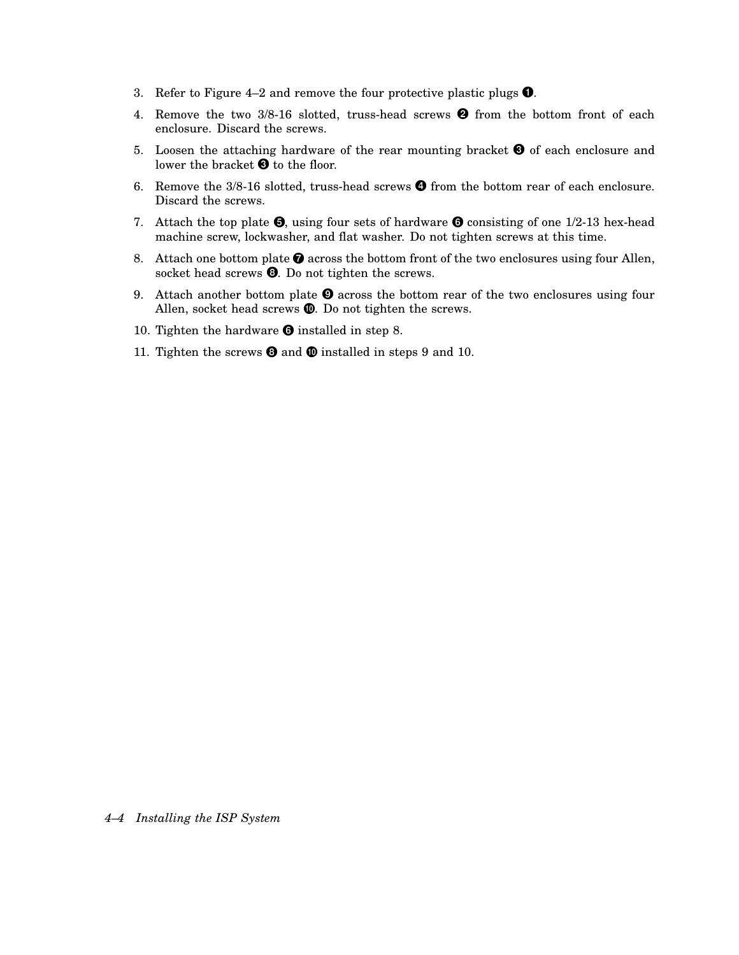- 3. Refer to Figure 4–2 and remove the four protective plastic plugs  $\bullet$ .
- 4. Remove the two  $3/8$ -16 slotted, truss-head screws  $\Theta$  from the bottom front of each enclosure. Discard the screws.
- 5. Loosen the attaching hardware of the rear mounting bracket  $\Theta$  of each enclosure and lower the bracket  $\bm{\Theta}$  to the floor.
- 6. Remove the  $3/8$ -16 slotted, truss-head screws  $\bullet$  from the bottom rear of each enclosure. Discard the screws.
- 7. Attach the top plate  $\Theta$ , using four sets of hardware  $\Theta$  consisting of one 1/2-13 hex-head machine screw, lockwasher, and flat washer. Do not tighten screws at this time.
- 8. Attach one bottom plate  $\bullet$  across the bottom front of the two enclosures using four Allen, socket head screws  $\Theta$ . Do not tighten the screws.
- 9. Attach another bottom plate  $\Theta$  across the bottom rear of the two enclosures using four Allen, socket head screws  $\mathbf{C}$ . Do not tighten the screws.
- 10. Tighten the hardware  $\bullet$  installed in step 8.
- 11. Tighten the screws  $\bullet$  and  $\bullet$  installed in steps 9 and 10.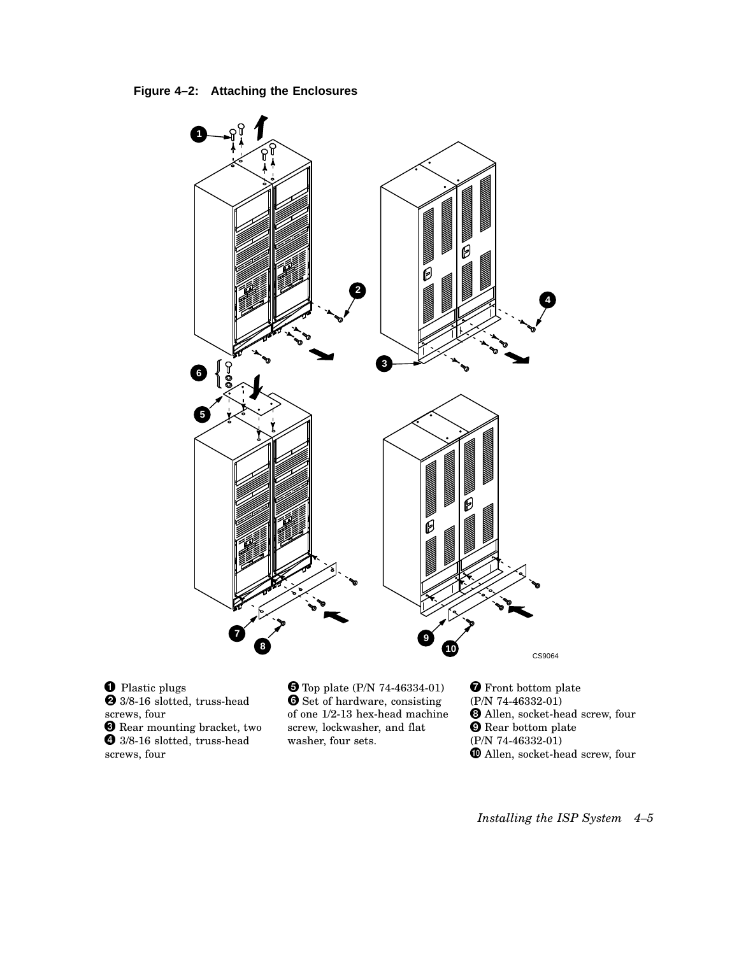**Figure 4–2: Attaching the Enclosures**



**O** Plastic plugs 3/8-16 slotted, truss-head **8** Rear mounting bracket, two screws, four <sup>3/8-16</sup> slotted, truss-head screws, four

 Top plate (P/N 74-46334-01) **O** Set of hardware, consisting of one 1/2-13 hex-head machine screw, lockwasher, and flat washer, four sets.

**The Front bottom plate** (P/N 74-46332-01) Allen, socket-head screw, four **O** Rear bottom plate (P/N 74-46332-01)  $\pmb{\mathbb{O}}$  Allen, socket-head screw, four

*Installing the ISP System 4–5*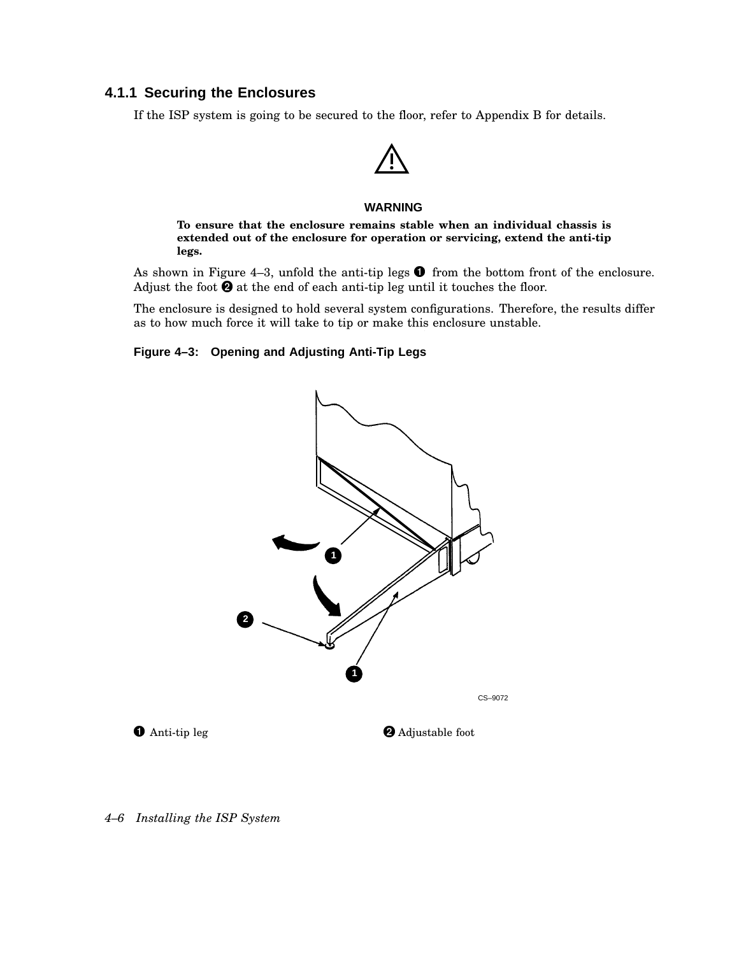### **4.1.1 Securing the Enclosures**

If the ISP system is going to be secured to the floor, refer to Appendix B for details.

#### **WARNING**

**To ensure that the enclosure remains stable when an individual chassis is extended out of the enclosure for operation or servicing, extend the anti-tip legs.**

As shown in Figure 4–3, unfold the anti-tip legs  $\bullet$  from the bottom front of the enclosure. Adjust the foot  $\Theta$  at the end of each anti-tip leg until it touches the floor.

The enclosure is designed to hold several system configurations. Therefore, the results differ as to how much force it will take to tip or make this enclosure unstable.

### **Figure 4–3: Opening and Adjusting Anti-Tip Legs**



*4–6 Installing the ISP System*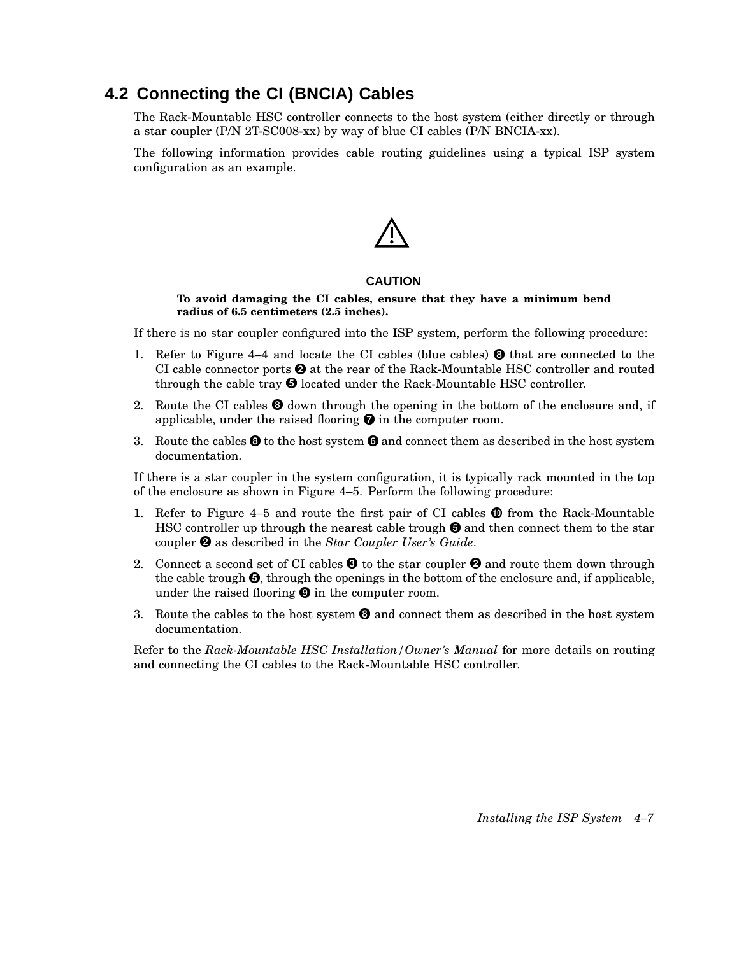## **4.2 Connecting the CI (BNCIA) Cables**

The Rack-Mountable HSC controller connects to the host system (either directly or through a star coupler (P/N 2T-SC008-xx) by way of blue CI cables (P/N BNCIA-xx).

The following information provides cable routing guidelines using a typical ISP system configuration as an example.

#### **CAUTION**

**To avoid damaging the CI cables, ensure that they have a minimum bend radius of 6.5 centimeters (2.5 inches).**

If there is no star coupler configured into the ISP system, perform the following procedure:

- 1. Refer to Figure 4–4 and locate the CI cables (blue cables)  $\Theta$  that are connected to the CI cable connector ports  $\Theta$  at the rear of the Rack-Mountable HSC controller and routed through the cable tray  $\Theta$  located under the Rack-Mountable HSC controller.
- 2. Route the CI cables  $\Theta$  down through the opening in the bottom of the enclosure and, if applicable, under the raised flooring  $\bullet$  in the computer room.
- 3. Route the cables  $\Theta$  to the host system  $\Theta$  and connect them as described in the host system documentation.

If there is a star coupler in the system configuration, it is typically rack mounted in the top of the enclosure as shown in Figure 4–5. Perform the following procedure:

- 1. Refer to Figure 4–5 and route the first pair of CI cables  $\bf{O}$  from the Rack-Mountable HSC controller up through the nearest cable trough  $\Theta$  and then connect them to the star coupler as described in the *Star Coupler User's Guide*.
- 2. Connect a second set of CI cables  $\bm{\Theta}$  to the star coupler  $\bm{\Theta}$  and route them down through the cable trough  $\bigcirc$ , through the openings in the bottom of the enclosure and, if applicable, under the raised flooring  $\Theta$  in the computer room.
- 3. Route the cables to the host system  $\Theta$  and connect them as described in the host system documentation.

Refer to the *Rack-Mountable HSC Installation/Owner's Manual* for more details on routing and connecting the CI cables to the Rack-Mountable HSC controller.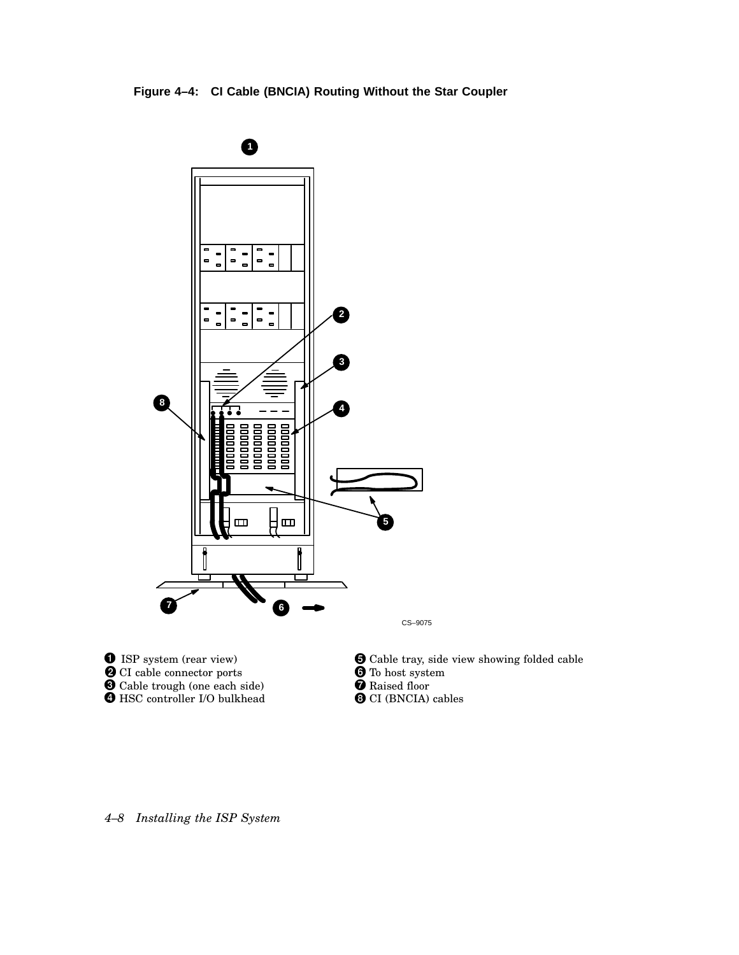



Cable trough (one each side)

 $\bm{\Theta}$  HSC controller I/O bulkhead

 Cable tray, side view showing folded cable **C** Raised floor  $\odot$  CI (BNCIA) cables

*4–8 Installing the ISP System*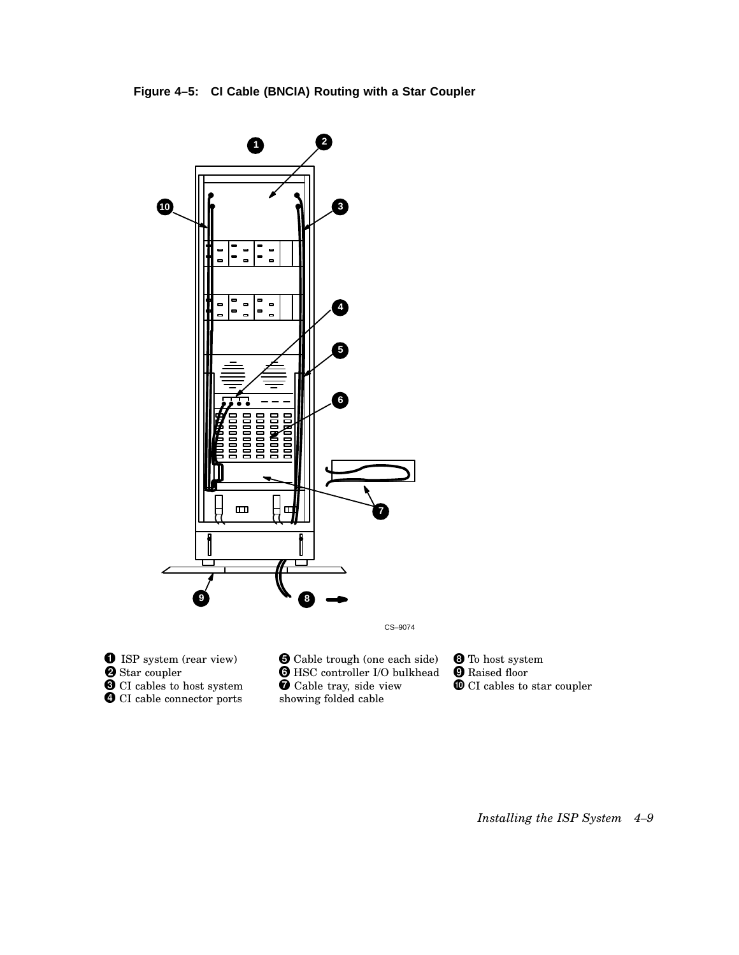

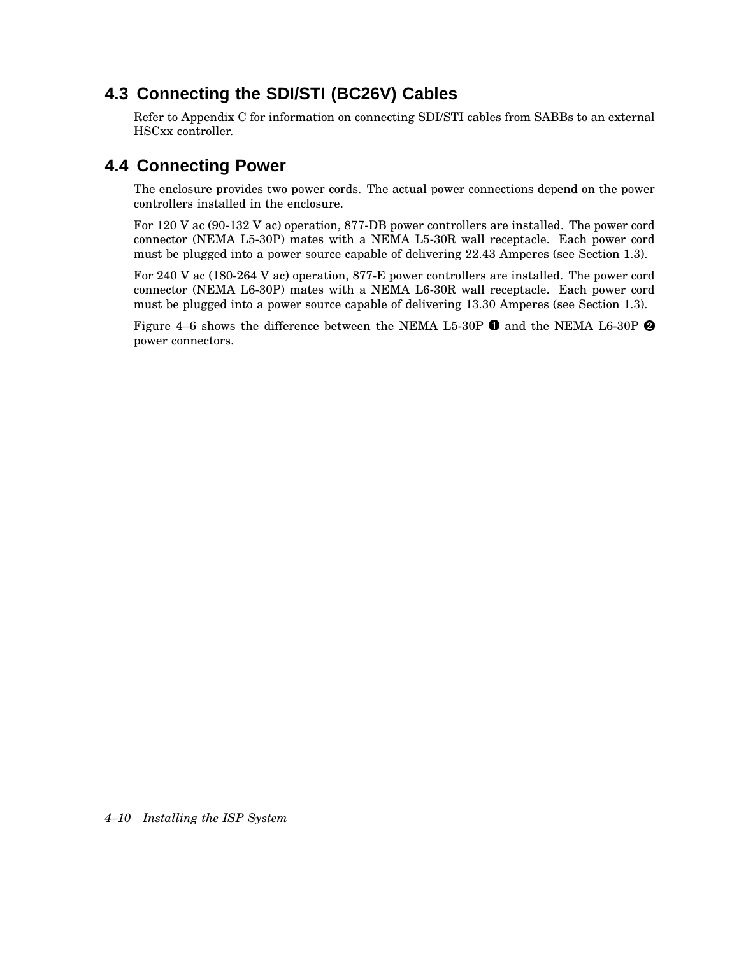## **4.3 Connecting the SDI/STI (BC26V) Cables**

Refer to Appendix C for information on connecting SDI/STI cables from SABBs to an external HSCxx controller.

## **4.4 Connecting Power**

The enclosure provides two power cords. The actual power connections depend on the power controllers installed in the enclosure.

For 120 V ac (90-132 V ac) operation, 877-DB power controllers are installed. The power cord connector (NEMA L5-30P) mates with a NEMA L5-30R wall receptacle. Each power cord must be plugged into a power source capable of delivering 22.43 Amperes (see Section 1.3).

For 240 V ac (180-264 V ac) operation, 877-E power controllers are installed. The power cord connector (NEMA L6-30P) mates with a NEMA L6-30R wall receptacle. Each power cord must be plugged into a power source capable of delivering 13.30 Amperes (see Section 1.3).

Figure 4–6 shows the difference between the NEMA L5-30P  $\bm{\Theta}$  and the NEMA L6-30P  $\bm{\Theta}$ power connectors.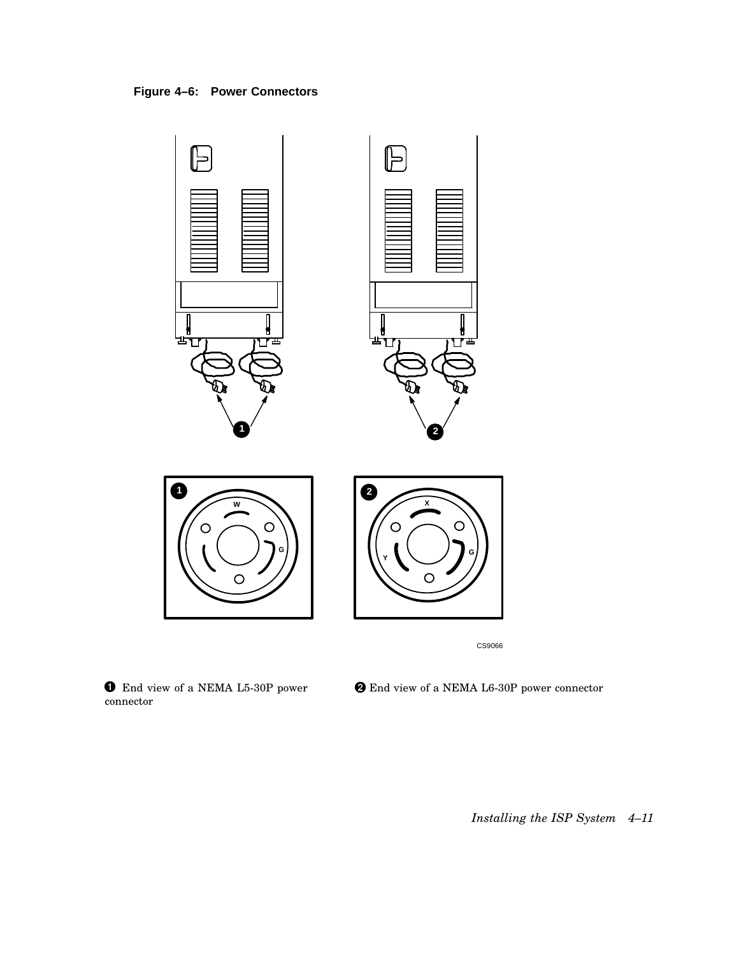



 $\bullet$  End view of a NEMA L5-30P power connector

End view of a NEMA L6-30P power connector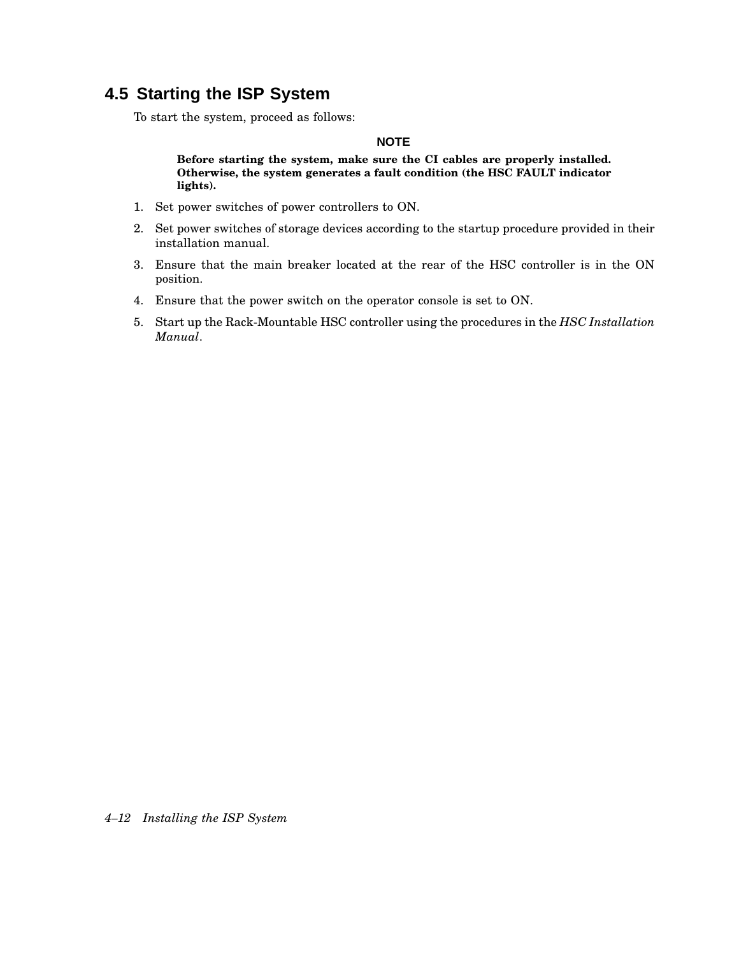## **4.5 Starting the ISP System**

To start the system, proceed as follows:

#### **NOTE**

**Before starting the system, make sure the CI cables are properly installed. Otherwise, the system generates a fault condition (the HSC FAULT indicator lights).**

- 1. Set power switches of power controllers to ON.
- 2. Set power switches of storage devices according to the startup procedure provided in their installation manual.
- 3. Ensure that the main breaker located at the rear of the HSC controller is in the ON position.
- 4. Ensure that the power switch on the operator console is set to ON.
- 5. Start up the Rack-Mountable HSC controller using the procedures in the *HSC Installation Manual*.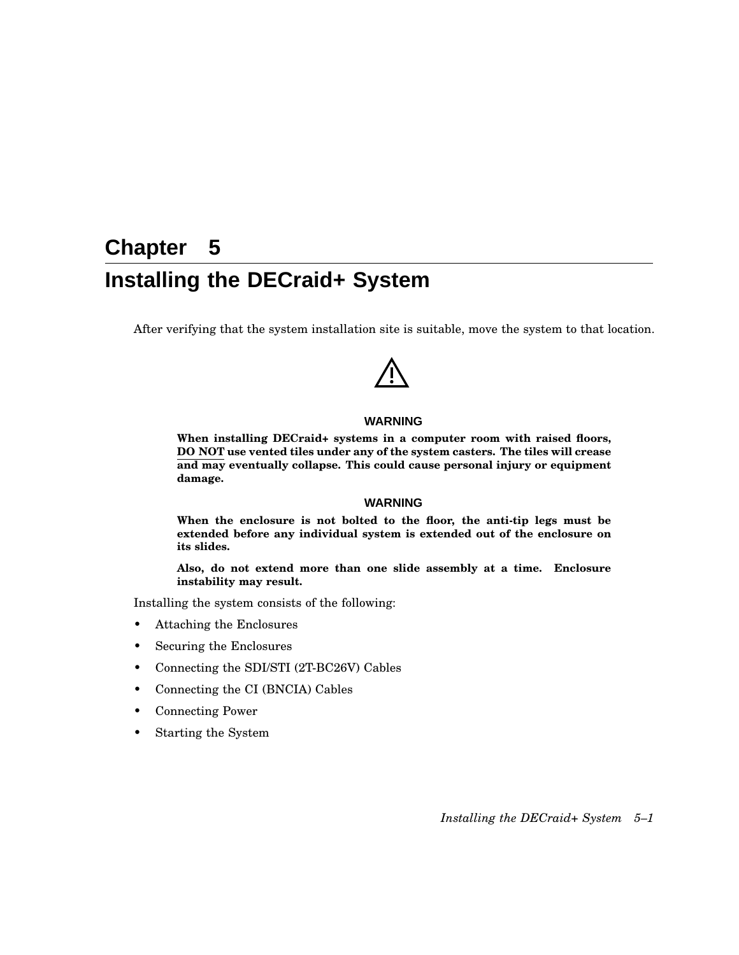# **Chapter 5 Installing the DECraid+ System**

After verifying that the system installation site is suitable, move the system to that location.

#### **WARNING**

**When installing DECraid+ systems in a computer room with raised floors, DO NOT use vented tiles under any of the system casters. The tiles will crease and may eventually collapse. This could cause personal injury or equipment damage.**

#### **WARNING**

**When the enclosure is not bolted to the floor, the anti-tip legs must be extended before any individual system is extended out of the enclosure on its slides.**

**Also, do not extend more than one slide assembly at a time. Enclosure instability may result.**

Installing the system consists of the following:

- Attaching the Enclosures
- Securing the Enclosures
- Connecting the SDI/STI (2T-BC26V) Cables
- Connecting the CI (BNCIA) Cables
- Connecting Power
- Starting the System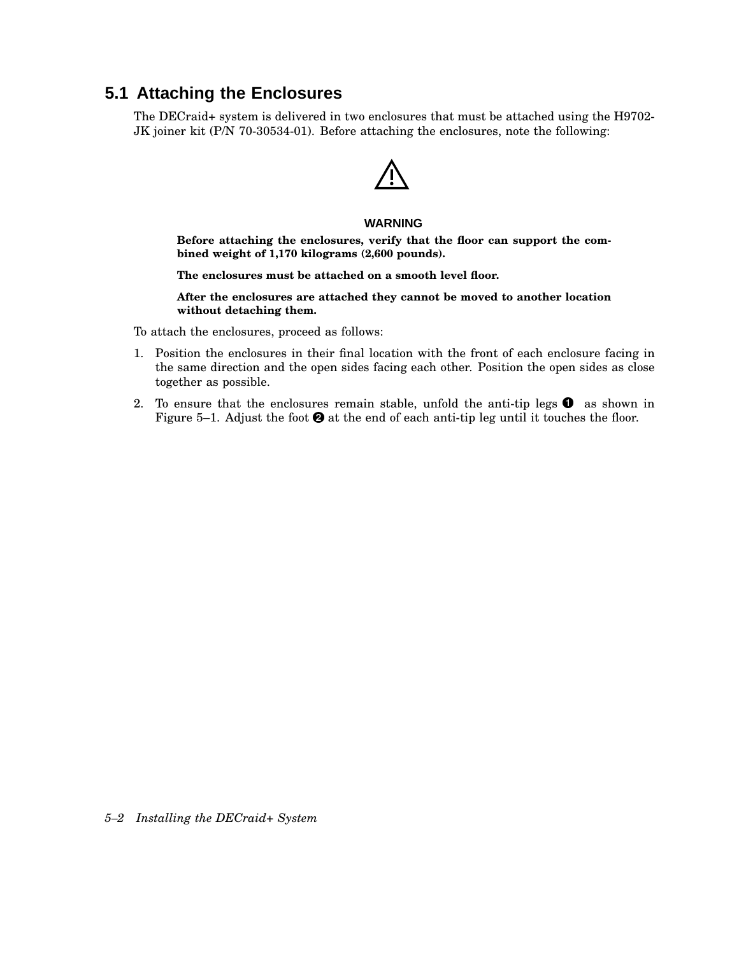## **5.1 Attaching the Enclosures**

The DECraid+ system is delivered in two enclosures that must be attached using the H9702- JK joiner kit (P/N 70-30534-01). Before attaching the enclosures, note the following:

#### **WARNING**

**Before attaching the enclosures, verify that the floor can support the combined weight of 1,170 kilograms (2,600 pounds).**

**The enclosures must be attached on a smooth level floor.**

**After the enclosures are attached they cannot be moved to another location without detaching them.**

To attach the enclosures, proceed as follows:

- 1. Position the enclosures in their final location with the front of each enclosure facing in the same direction and the open sides facing each other. Position the open sides as close together as possible.
- 2. To ensure that the enclosures remain stable, unfold the anti-tip legs  $\bullet$  as shown in Figure 5–1. Adjust the foot  $\Theta$  at the end of each anti-tip leg until it touches the floor.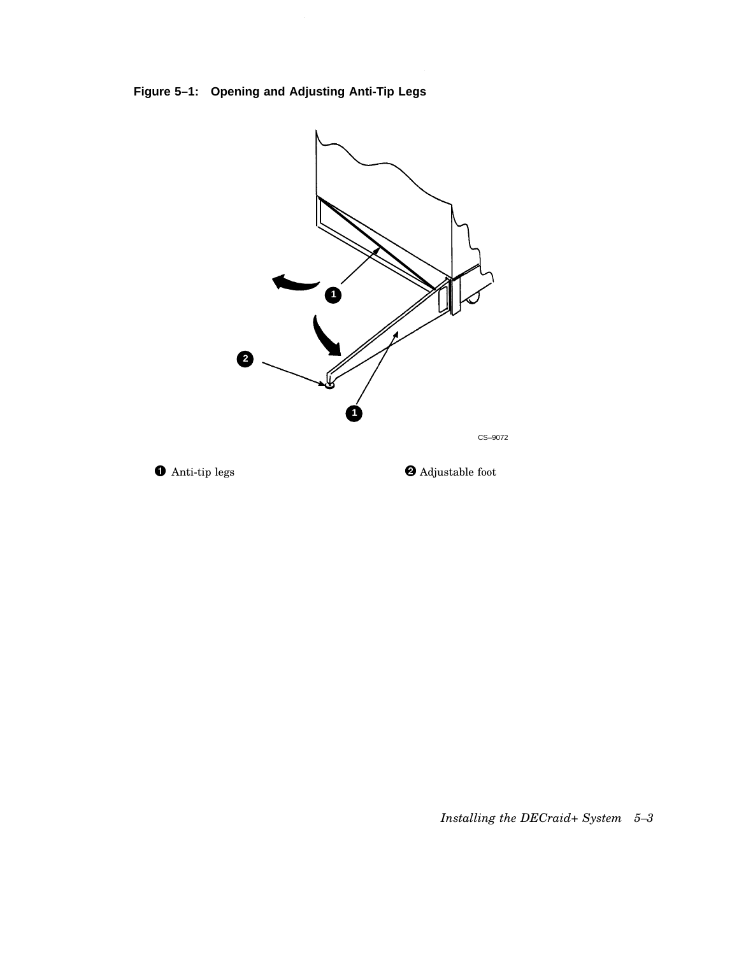**Figure 5–1: Opening and Adjusting Anti-Tip Legs**





 $\bullet$  Adjustable foot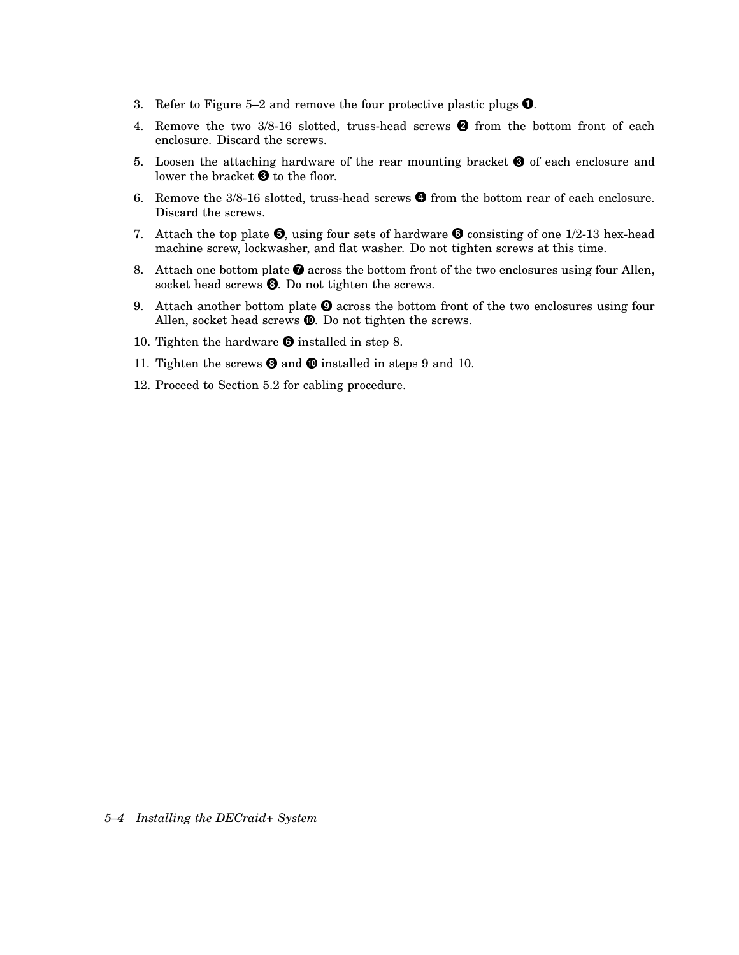- 3. Refer to Figure 5–2 and remove the four protective plastic plugs  $\bullet$ .
- 4. Remove the two  $3/8-16$  slotted, truss-head screws  $\bullet$  from the bottom front of each enclosure. Discard the screws.
- 5. Loosen the attaching hardware of the rear mounting bracket  $\bigcirc$  of each enclosure and lower the bracket  $\bm{\Theta}$  to the floor.
- 6. Remove the  $3/8$ -16 slotted, truss-head screws  $\bullet$  from the bottom rear of each enclosure. Discard the screws.
- 7. Attach the top plate  $\bullet$ , using four sets of hardware  $\bullet$  consisting of one 1/2-13 hex-head machine screw, lockwasher, and flat washer. Do not tighten screws at this time.
- 8. Attach one bottom plate  $\bullet$  across the bottom front of the two enclosures using four Allen, socket head screws  $\Theta$ . Do not tighten the screws.
- 9. Attach another bottom plate  $\Theta$  across the bottom front of the two enclosures using four Allen, socket head screws  $\mathbf{C}$ . Do not tighten the screws.
- 10. Tighten the hardware  $\bullet$  installed in step 8.
- 11. Tighten the screws  $\bullet$  and  $\bullet$  installed in steps 9 and 10.
- 12. Proceed to Section 5.2 for cabling procedure.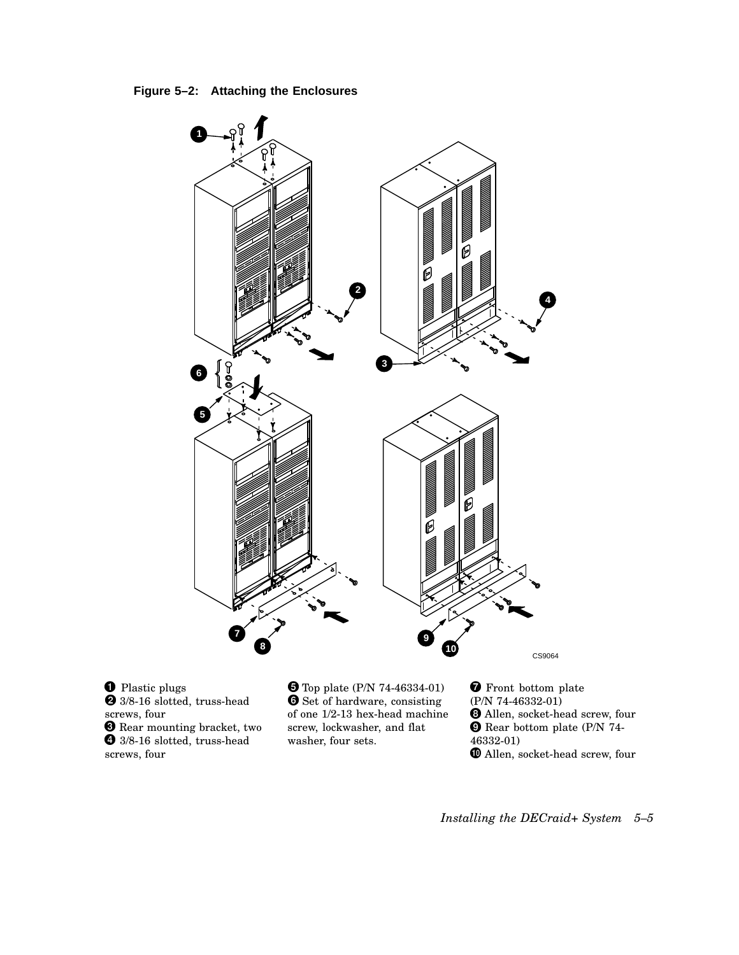**Figure 5–2: Attaching the Enclosures**



**O** Plastic plugs 3/8-16 slotted, truss-head **8** Rear mounting bracket, two screws, four <sup>3/8-16</sup> slotted, truss-head screws, four

 Top plate (P/N 74-46334-01) **O** Set of hardware, consisting of one 1/2-13 hex-head machine screw, lockwasher, and flat washer, four sets.

**T** Front bottom plate (P/N 74-46332-01) Allen, socket-head screw, four Rear bottom plate (P/N 74- 46332-01)  $\pmb{\mathbb{O}}$  Allen, socket-head screw, four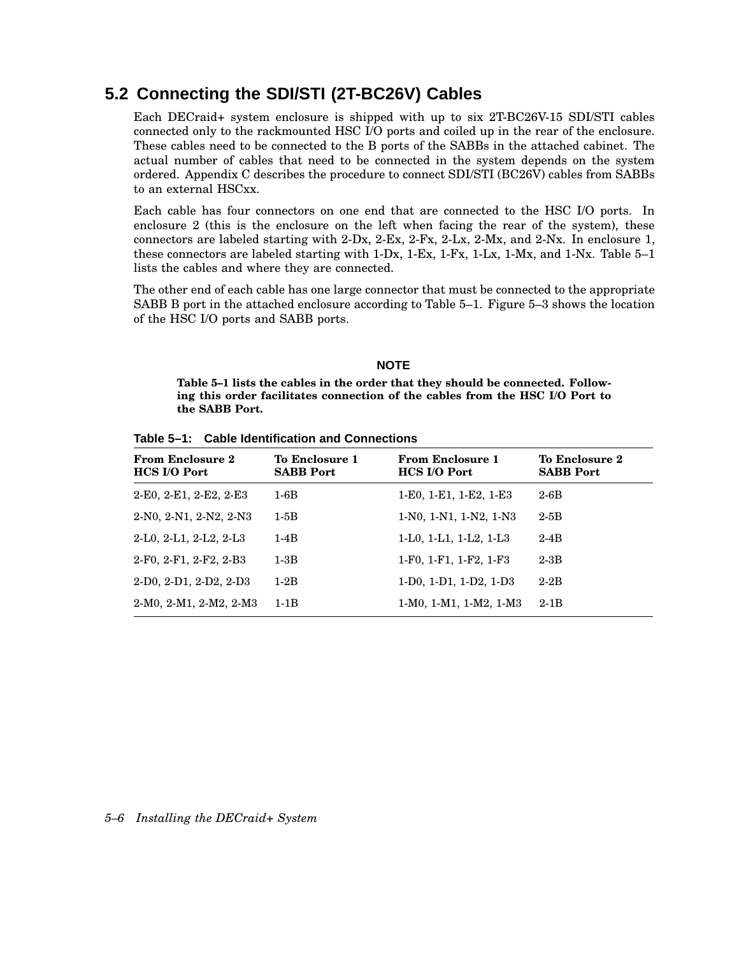## **5.2 Connecting the SDI/STI (2T-BC26V) Cables**

Each DECraid+ system enclosure is shipped with up to six 2T-BC26V-15 SDI/STI cables connected only to the rackmounted HSC I/O ports and coiled up in the rear of the enclosure. These cables need to be connected to the B ports of the SABBs in the attached cabinet. The actual number of cables that need to be connected in the system depends on the system ordered. Appendix C describes the procedure to connect SDI/STI (BC26V) cables from SABBs to an external HSCxx.

Each cable has four connectors on one end that are connected to the HSC I/O ports. In enclosure 2 (this is the enclosure on the left when facing the rear of the system), these connectors are labeled starting with 2-Dx, 2-Ex, 2-Fx, 2-Lx, 2-Mx, and 2-Nx. In enclosure 1, these connectors are labeled starting with 1-Dx, 1-Ex, 1-Fx, 1-Lx, 1-Mx, and 1-Nx. Table 5–1 lists the cables and where they are connected.

The other end of each cable has one large connector that must be connected to the appropriate SABB B port in the attached enclosure according to Table 5–1. Figure 5–3 shows the location of the HSC I/O ports and SABB ports.

#### **NOTE**

**Table 5–1 lists the cables in the order that they should be connected. Following this order facilitates connection of the cables from the HSC I/O Port to the SABB Port.**

**Table 5–1: Cable Identification and Connections**

| <b>From Enclosure 2</b><br><b>HCS I/O Port</b> | To Enclosure 1<br><b>SABB Port</b> | <b>From Enclosure 1</b><br><b>HCS I/O Port</b> | <b>To Enclosure 2</b><br><b>SABB Port</b> |
|------------------------------------------------|------------------------------------|------------------------------------------------|-------------------------------------------|
| $2-E0, 2-E1, 2-E2, 2-E3$                       | $1-6B$                             | 1-E0, 1-E1, 1-E2, 1-E3                         | $2-6B$                                    |
| 2-N0, 2-N1, 2-N2, 2-N3                         | $1-5B$                             | 1-N0, 1-N1, 1-N2, 1-N3                         | $2-5B$                                    |
| $2-L0, 2-L1, 2-L2, 2-L3$                       | $1-4B$                             | 1-L0, 1-L1, 1-L2, 1-L3                         | $2-4B$                                    |
| 2-F0, 2-F1, 2-F2, 2-B3                         | $1-3B$                             | 1-F0, 1-F1, 1-F2, 1-F3                         | $2-3B$                                    |
| $2-D0, 2-D1, 2-D2, 2-D3$                       | $1-2B$                             | 1-D0, 1-D1, 1-D2, 1-D3                         | $2-2B$                                    |
| $2-M0, 2-M1, 2-M2, 2-M3$                       | $1-1B$                             | $1-M0$ , $1-M1$ , $1-M2$ , $1-M3$              | $2-1B$                                    |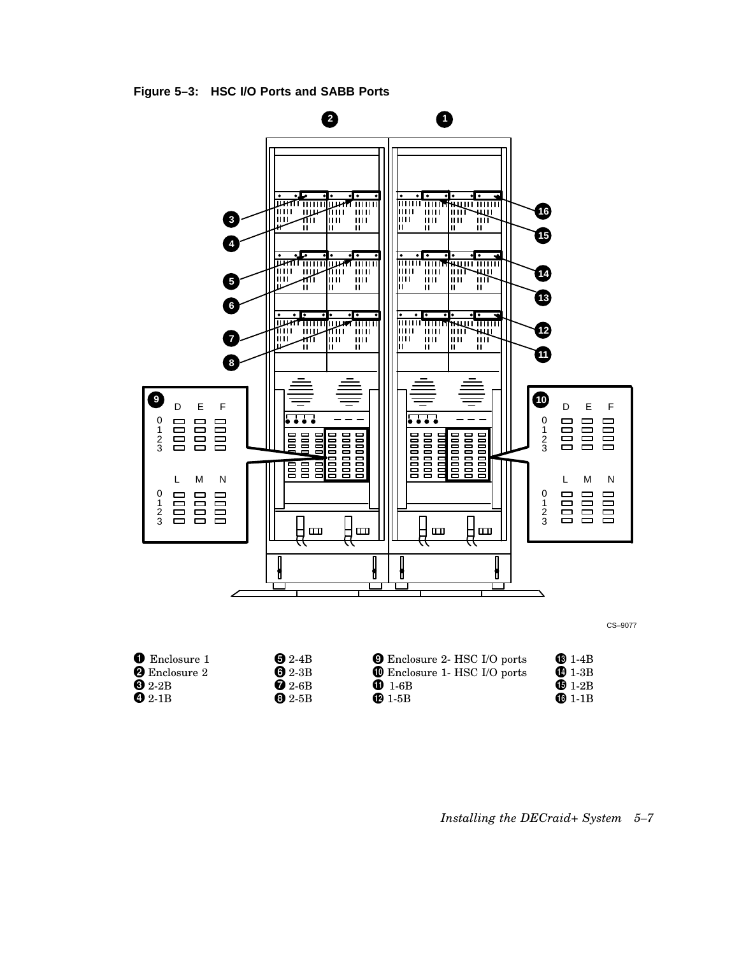



 $\ddot{\mathbf{O}}$  2-1B 2-1B **8** 2-5B **1-5B 1-1B** 

| ⊌ 2-4В              |  |
|---------------------|--|
| $\bullet$ 2-3B      |  |
| $\blacksquare$ 2-6B |  |
| 69 2-5B             |  |
|                     |  |

*Installing the DECraid+ System 5–7*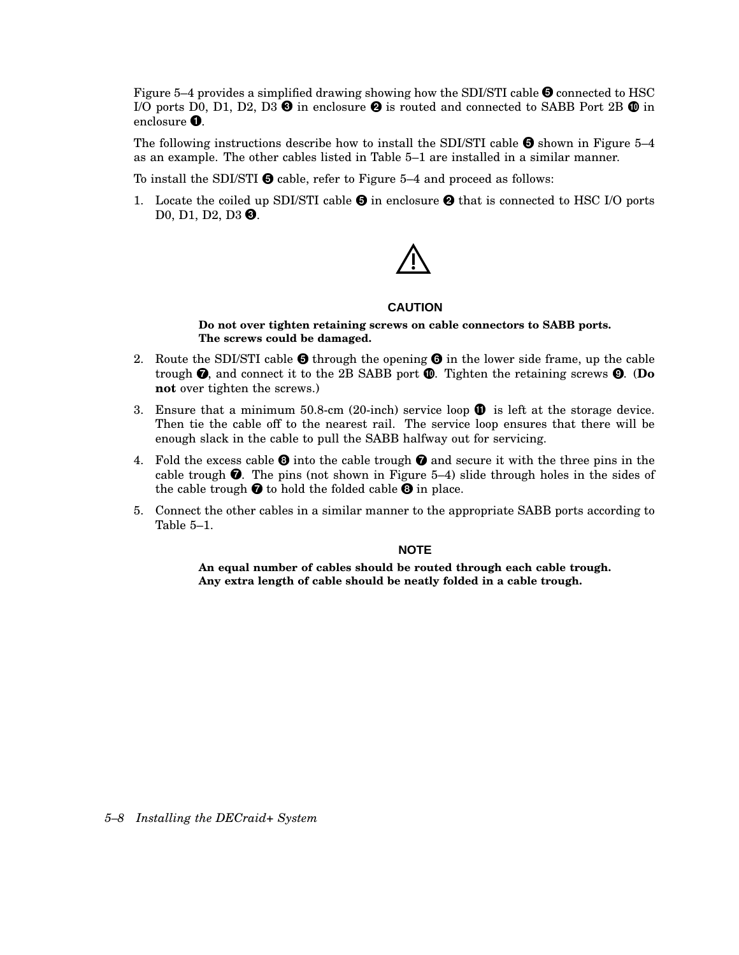Figure 5–4 provides a simplified drawing showing how the SDI/STI cable  $\bigcirc$  connected to HSC I/O ports D0, D1, D2, D3  $\bm{\Theta}$  in enclosure  $\bm{\Theta}$  is routed and connected to SABB Port 2B  $\bm{\mathbb{O}}$  in enclosure  $\bullet$ .

The following instructions describe how to install the SDI/STI cable  $\bullet$  shown in Figure 5–4 as an example. The other cables listed in Table 5–1 are installed in a similar manner.

To install the SDI/STI  $\Theta$  cable, refer to Figure 5–4 and proceed as follows:

1. Locate the coiled up SDI/STI cable  $\Theta$  in enclosure  $\Theta$  that is connected to HSC I/O ports D0, D1, D2, D3 <sup>(3)</sup>.

### **CAUTION**

**Do not over tighten retaining screws on cable connectors to SABB ports. The screws could be damaged.**

- 2. Route the SDI/STI cable  $\bullet$  through the opening  $\bullet$  in the lower side frame, up the cable trough  $\bullet$ , and connect it to the 2B SABB port  $\bullet$ . Tighten the retaining screws  $\bullet$ . (Do **not** over tighten the screws.)
- 3. Ensure that a minimum 50.8-cm (20-inch) service loop  $\mathbf{\Phi}$  is left at the storage device. Then tie the cable off to the nearest rail. The service loop ensures that there will be enough slack in the cable to pull the SABB halfway out for servicing.
- 4. Fold the excess cable  $\bullet$  into the cable trough  $\bullet$  and secure it with the three pins in the cable trough  $\bullet$ . The pins (not shown in Figure 5–4) slide through holes in the sides of the cable trough  $\bullet$  to hold the folded cable  $\bullet$  in place.
- 5. Connect the other cables in a similar manner to the appropriate SABB ports according to Table 5–1.

### **NOTE**

**An equal number of cables should be routed through each cable trough. Any extra length of cable should be neatly folded in a cable trough.**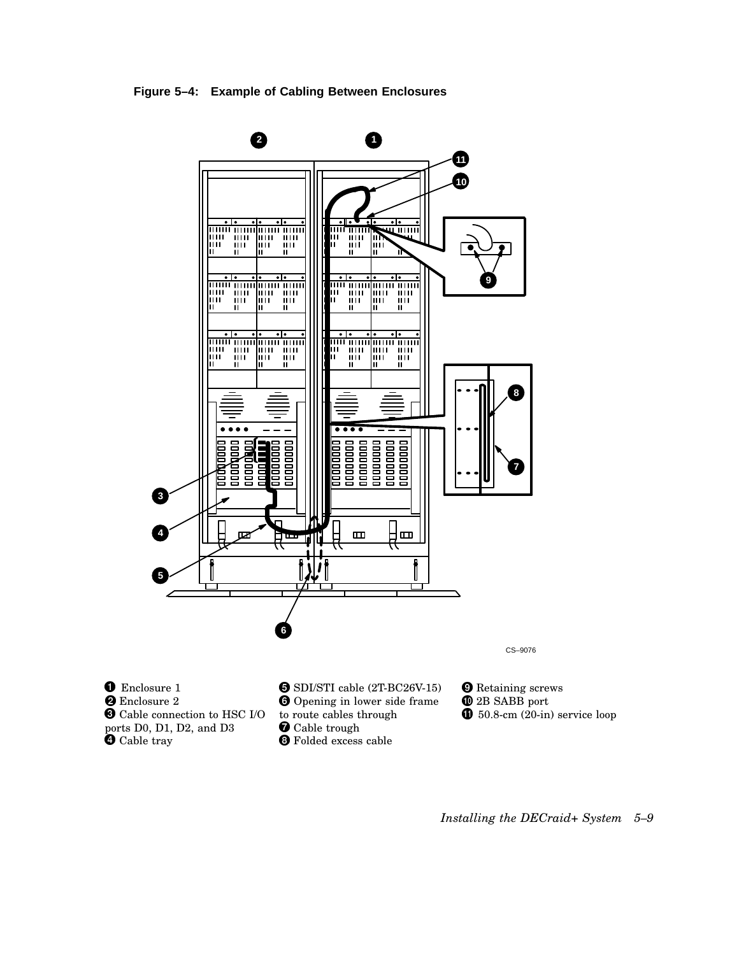**Figure 5–4: Example of Cabling Between Enclosures**



*Installing the DECraid+ System 5–9*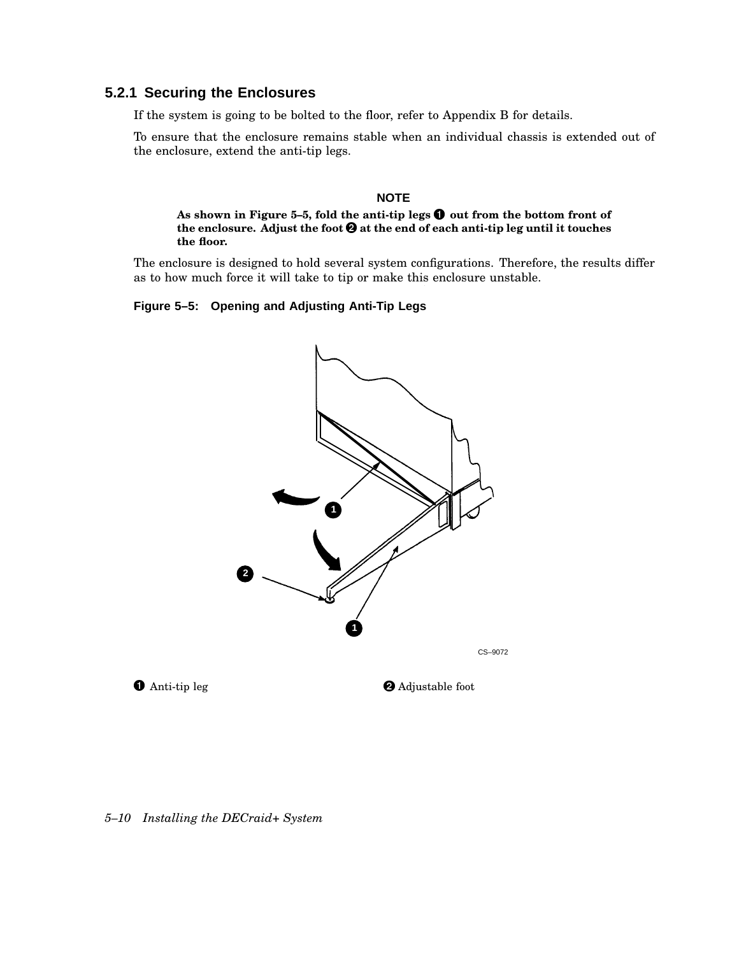### **5.2.1 Securing the Enclosures**

If the system is going to be bolted to the floor, refer to Appendix B for details.

To ensure that the enclosure remains stable when an individual chassis is extended out of the enclosure, extend the anti-tip legs.

#### **NOTE**

**As shown in Figure 5–5, fold the anti-tip legs out from the bottom front of the enclosure. Adjust the foot at the end of each anti-tip leg until it touches the floor.**

The enclosure is designed to hold several system configurations. Therefore, the results differ as to how much force it will take to tip or make this enclosure unstable.

### **Figure 5–5: Opening and Adjusting Anti-Tip Legs**



#### *5–10 Installing the DECraid+ System*

**O** Anti-tip leg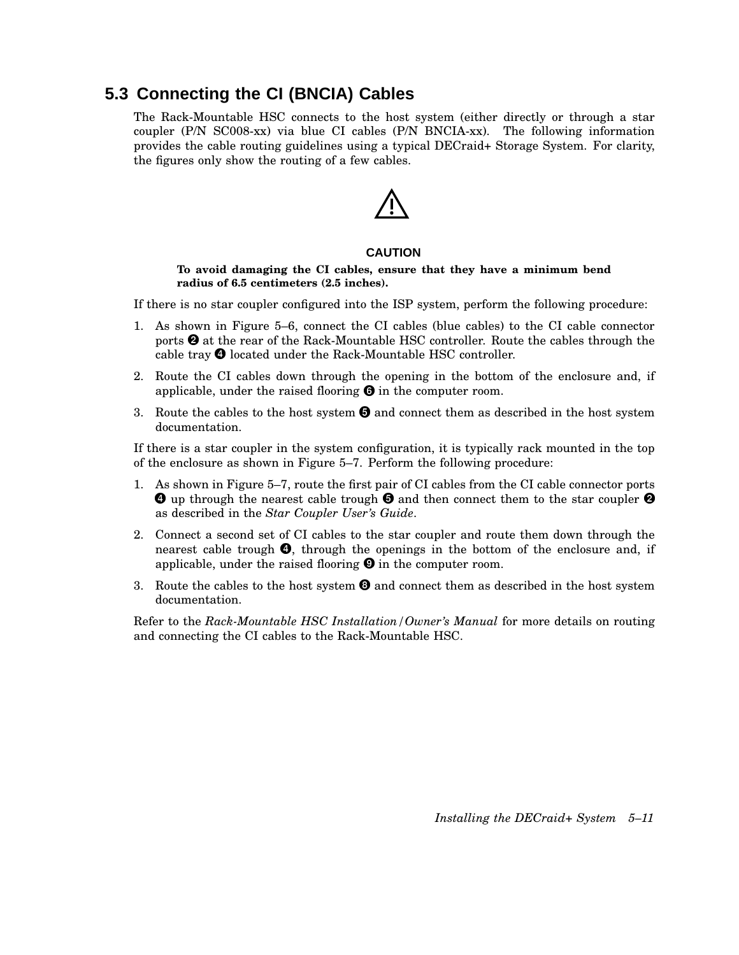## **5.3 Connecting the CI (BNCIA) Cables**

The Rack-Mountable HSC connects to the host system (either directly or through a star coupler (P/N SC008-xx) via blue CI cables (P/N BNCIA-xx). The following information provides the cable routing guidelines using a typical DECraid+ Storage System. For clarity, the figures only show the routing of a few cables.

#### **CAUTION**

#### **To avoid damaging the CI cables, ensure that they have a minimum bend radius of 6.5 centimeters (2.5 inches).**

If there is no star coupler configured into the ISP system, perform the following procedure:

- 1. As shown in Figure 5–6, connect the CI cables (blue cables) to the CI cable connector ports  $\Theta$  at the rear of the Rack-Mountable HSC controller. Route the cables through the cable tray  $\bullet$  located under the Rack-Mountable HSC controller.
- 2. Route the CI cables down through the opening in the bottom of the enclosure and, if applicable, under the raised flooring  $\Theta$  in the computer room.
- 3. Route the cables to the host system  $\Theta$  and connect them as described in the host system documentation.

If there is a star coupler in the system configuration, it is typically rack mounted in the top of the enclosure as shown in Figure 5–7. Perform the following procedure:

- 1. As shown in Figure 5–7, route the first pair of CI cables from the CI cable connector ports  $\bm{\Theta}$  up through the nearest cable trough  $\bm{\Theta}$  and then connect them to the star coupler  $\bm{\Theta}$ as described in the *Star Coupler User's Guide*.
- 2. Connect a second set of CI cables to the star coupler and route them down through the nearest cable trough  $\bullet$ , through the openings in the bottom of the enclosure and, if applicable, under the raised flooring  $\Theta$  in the computer room.
- 3. Route the cables to the host system  $\Theta$  and connect them as described in the host system documentation.

Refer to the *Rack-Mountable HSC Installation/Owner's Manual* for more details on routing and connecting the CI cables to the Rack-Mountable HSC.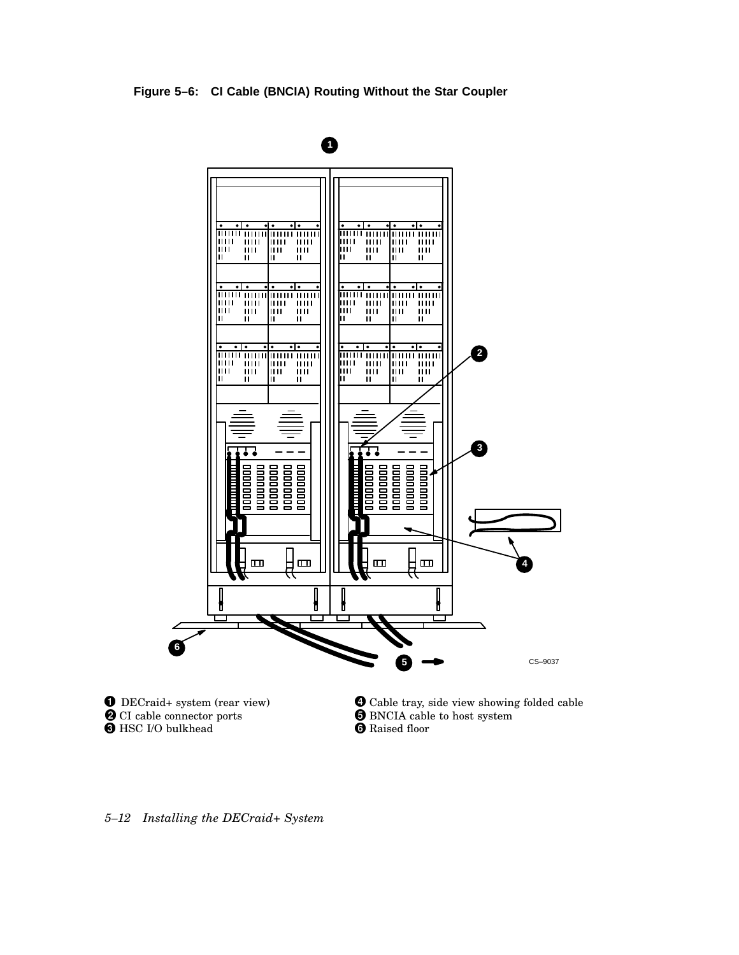**Figure 5–6: CI Cable (BNCIA) Routing Without the Star Coupler**



*5–12 Installing the DECraid+ System*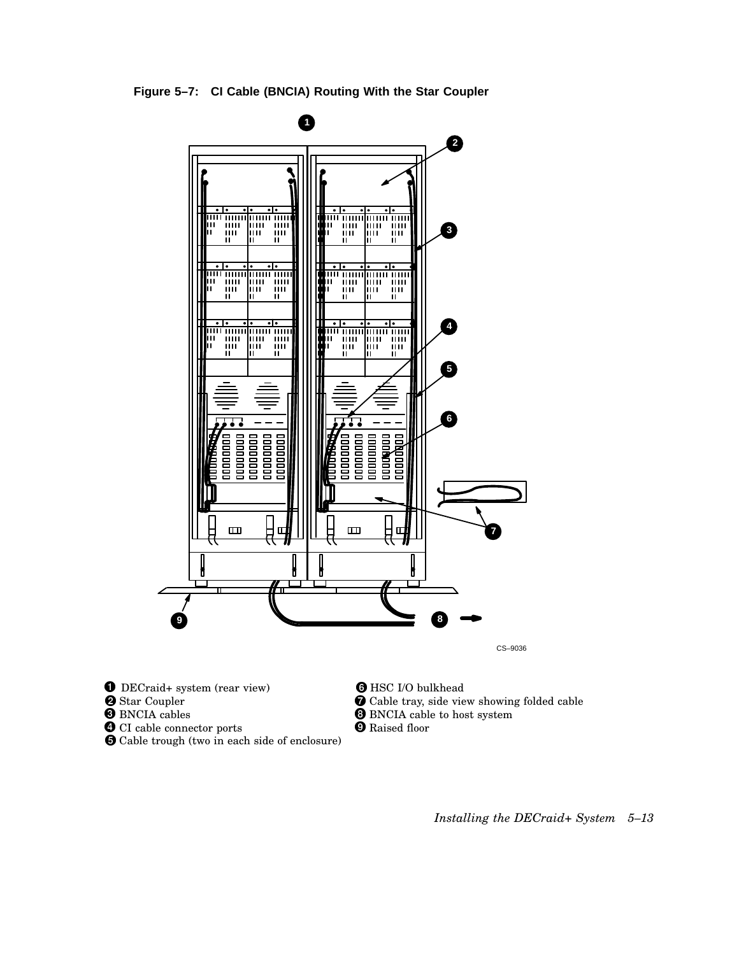**Figure 5–7: CI Cable (BNCIA) Routing With the Star Coupler**



CS–9036

DECraid+ system (rear view)

- **2** Star Coupler
- **O** BNCIA cables
- **O** CI cable connector ports
- Cable trough (two in each side of enclosure)
- **O** HSC I/O bulkhead
- Cable tray, side view showing folded cable
- **O** BNCIA cable to host system
- **O** Raised floor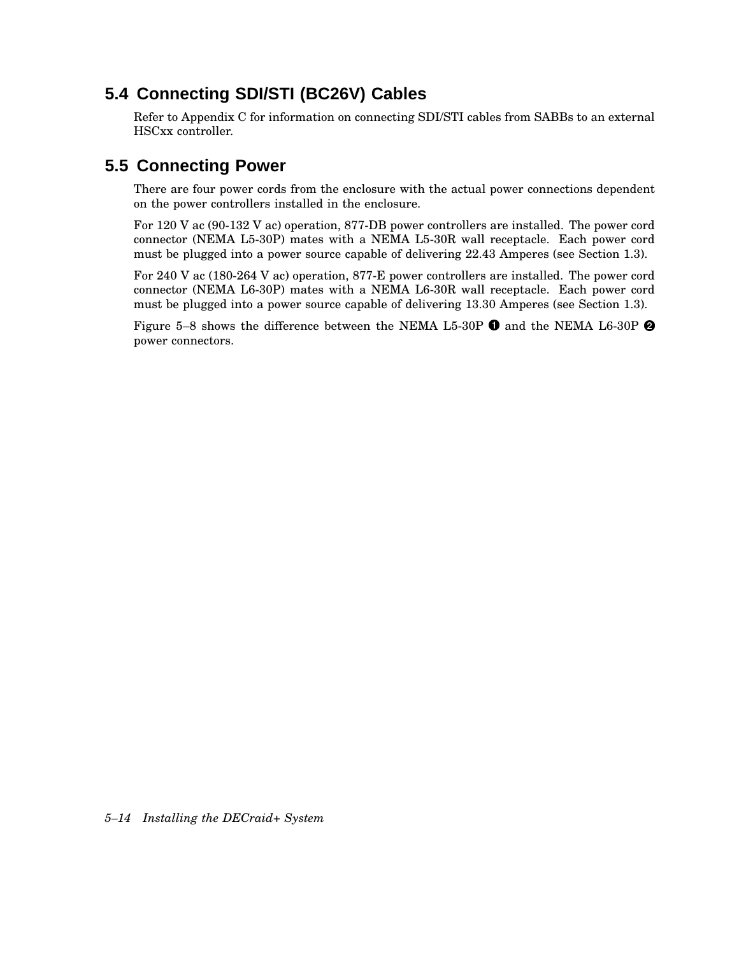## **5.4 Connecting SDI/STI (BC26V) Cables**

Refer to Appendix C for information on connecting SDI/STI cables from SABBs to an external HSCxx controller.

## **5.5 Connecting Power**

There are four power cords from the enclosure with the actual power connections dependent on the power controllers installed in the enclosure.

For 120 V ac (90-132 V ac) operation, 877-DB power controllers are installed. The power cord connector (NEMA L5-30P) mates with a NEMA L5-30R wall receptacle. Each power cord must be plugged into a power source capable of delivering 22.43 Amperes (see Section 1.3).

For 240 V ac (180-264 V ac) operation, 877-E power controllers are installed. The power cord connector (NEMA L6-30P) mates with a NEMA L6-30R wall receptacle. Each power cord must be plugged into a power source capable of delivering 13.30 Amperes (see Section 1.3).

Figure 5–8 shows the difference between the NEMA L5-30P  $\bm{\Theta}$  and the NEMA L6-30P  $\bm{\Theta}$ power connectors.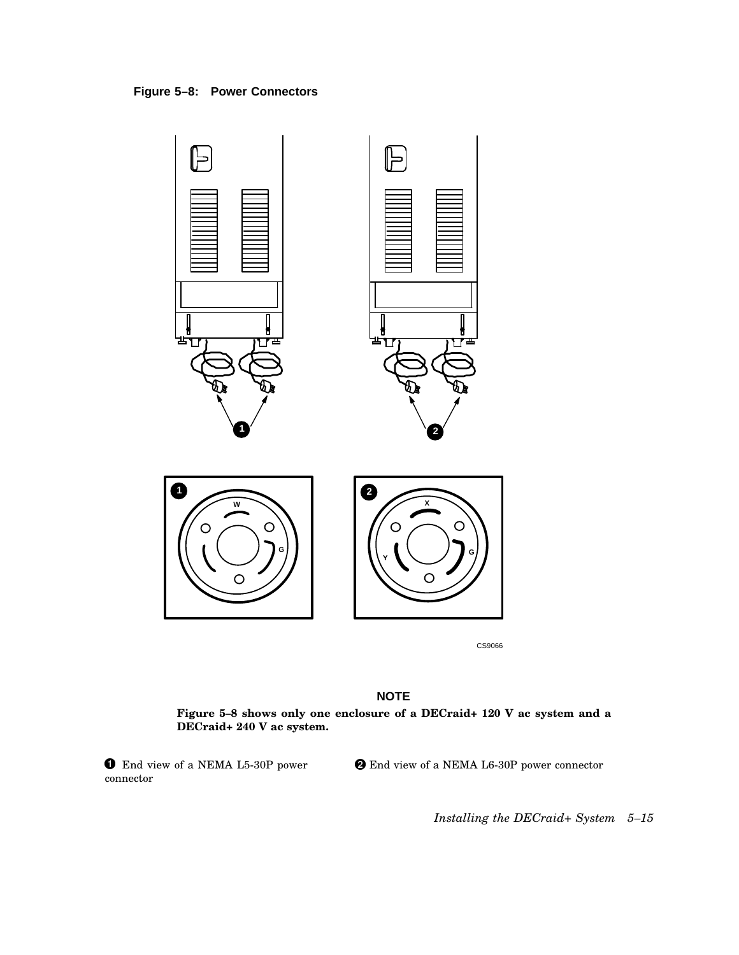



CS9066

### **NOTE**

**Figure 5–8 shows only one enclosure of a DECraid+ 120 V ac system and a DECraid+ 240 V ac system.**

 $\bullet$  End view of a NEMA L5-30P power connector

End view of a NEMA L6-30P power connector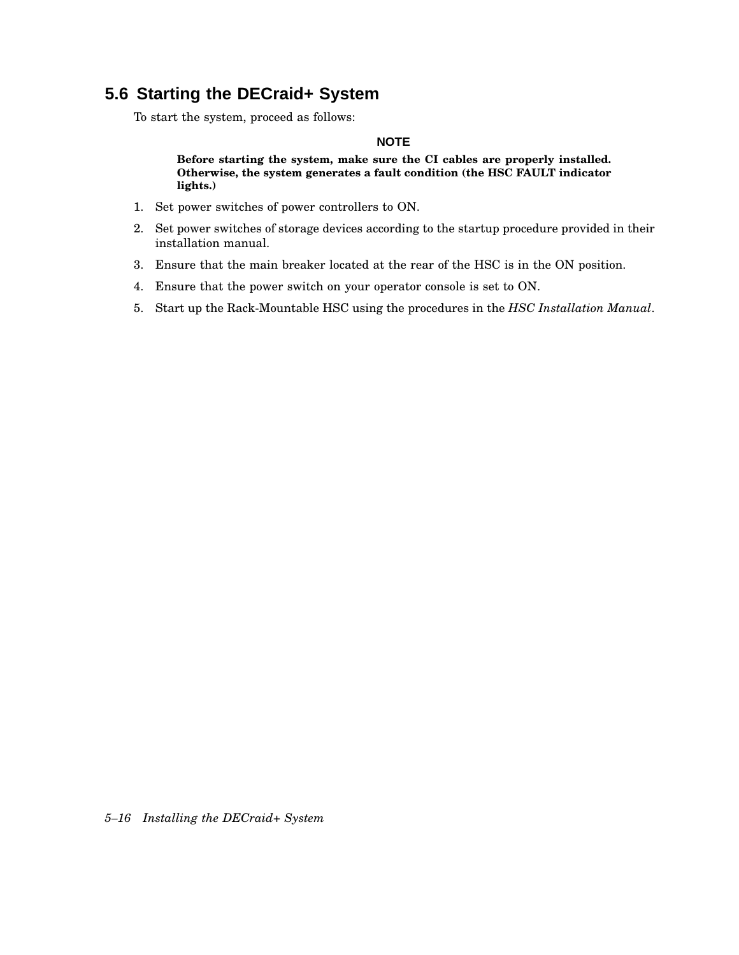## **5.6 Starting the DECraid+ System**

To start the system, proceed as follows:

### **NOTE**

**Before starting the system, make sure the CI cables are properly installed. Otherwise, the system generates a fault condition (the HSC FAULT indicator lights.)**

- 1. Set power switches of power controllers to ON.
- 2. Set power switches of storage devices according to the startup procedure provided in their installation manual.
- 3. Ensure that the main breaker located at the rear of the HSC is in the ON position.
- 4. Ensure that the power switch on your operator console is set to ON.
- 5. Start up the Rack-Mountable HSC using the procedures in the *HSC Installation Manual*.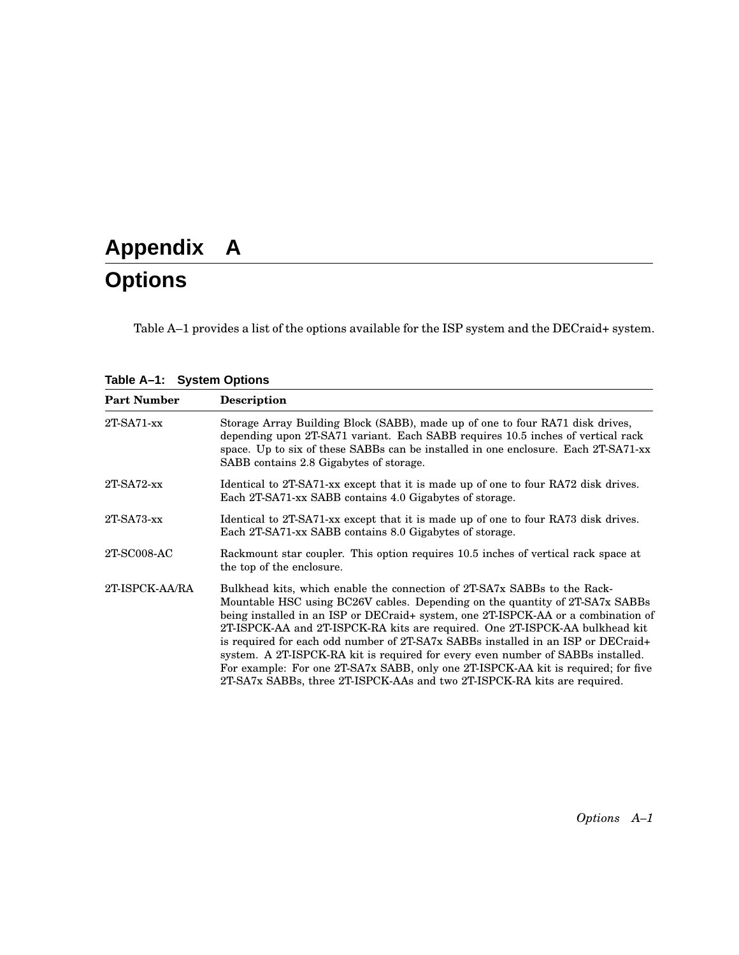# **Appendix A Options**

Table A–1 provides a list of the options available for the ISP system and the DECraid+ system.

**Table A–1: System Options**

| <b>Part Number</b> | <b>Description</b>                                                                                                                                                                                                                                                                                                                                                                                                                                                                                                                                                                                                                                                   |  |  |
|--------------------|----------------------------------------------------------------------------------------------------------------------------------------------------------------------------------------------------------------------------------------------------------------------------------------------------------------------------------------------------------------------------------------------------------------------------------------------------------------------------------------------------------------------------------------------------------------------------------------------------------------------------------------------------------------------|--|--|
| $2T-SA71-xx$       | Storage Array Building Block (SABB), made up of one to four RA71 disk drives,<br>depending upon 2T-SA71 variant. Each SABB requires 10.5 inches of vertical rack<br>space. Up to six of these SABBs can be installed in one enclosure. Each 2T-SA71-xx<br>SABB contains 2.8 Gigabytes of storage.                                                                                                                                                                                                                                                                                                                                                                    |  |  |
| $2T-SA72$ -xx      | Identical to 2T-SA71-xx except that it is made up of one to four RA72 disk drives.<br>Each 2T-SA71-xx SABB contains 4.0 Gigabytes of storage.                                                                                                                                                                                                                                                                                                                                                                                                                                                                                                                        |  |  |
| $2T-SA73$ -xx      | Identical to 2T-SA71-xx except that it is made up of one to four RA73 disk drives.<br>Each 2T-SA71-xx SABB contains 8.0 Gigabytes of storage.                                                                                                                                                                                                                                                                                                                                                                                                                                                                                                                        |  |  |
| 2T-SC008-AC        | Rackmount star coupler. This option requires 10.5 inches of vertical rack space at<br>the top of the enclosure.                                                                                                                                                                                                                                                                                                                                                                                                                                                                                                                                                      |  |  |
| 2T-ISPCK-AA/RA     | Bulkhead kits, which enable the connection of 2T-SA7x SABBs to the Rack-<br>Mountable HSC using BC26V cables. Depending on the quantity of 2T-SA7x SABBs<br>being installed in an ISP or DECraid+ system, one 2T-ISPCK-AA or a combination of<br>2T-ISPCK-AA and 2T-ISPCK-RA kits are required. One 2T-ISPCK-AA bulkhead kit<br>is required for each odd number of 2T-SA7x SABBs installed in an ISP or DECraid+<br>system. A 2T-ISPCK-RA kit is required for every even number of SABBs installed.<br>For example: For one 2T-SA7x SABB, only one 2T-ISPCK-AA kit is required; for five<br>2T-SA7x SABBs, three 2T-ISPCK-AAs and two 2T-ISPCK-RA kits are required. |  |  |

*Options A–1*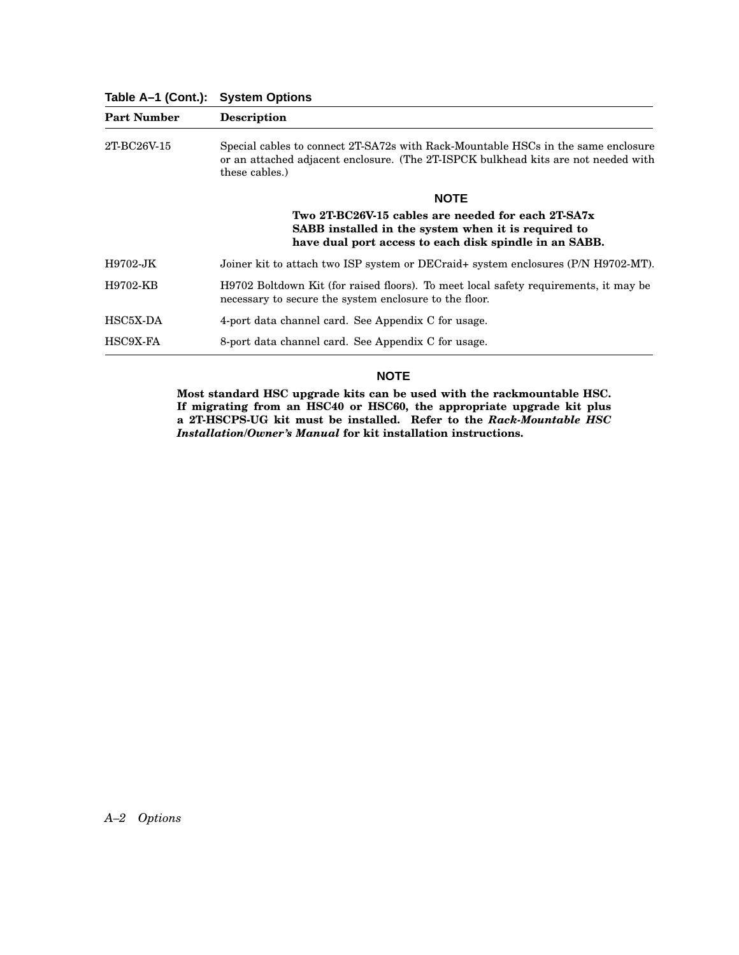**Table A–1 (Cont.): System Options**

| <b>Part Number</b> | <b>Description</b>                                                                                                                                                                        |  |  |
|--------------------|-------------------------------------------------------------------------------------------------------------------------------------------------------------------------------------------|--|--|
| 2T-BC26V-15        | Special cables to connect 2T-SA72s with Rack-Mountable HSCs in the same enclosure<br>or an attached adjacent enclosure. (The 2T-ISPCK bulkhead kits are not needed with<br>these cables.) |  |  |
|                    | <b>NOTE</b>                                                                                                                                                                               |  |  |
|                    | Two 2T-BC26V-15 cables are needed for each 2T-SA7x<br>SABB installed in the system when it is required to<br>have dual port access to each disk spindle in an SABB.                       |  |  |
| H9702-JK           | Joiner kit to attach two ISP system or DECraid+ system enclosures (P/N H9702-MT).                                                                                                         |  |  |
| H9702-KB           | H9702 Boltdown Kit (for raised floors). To meet local safety requirements, it may be<br>necessary to secure the system enclosure to the floor.                                            |  |  |
| HSC5X-DA           | 4-port data channel card. See Appendix C for usage.                                                                                                                                       |  |  |
| HSC9X-FA           | 8-port data channel card. See Appendix C for usage.                                                                                                                                       |  |  |

#### **NOTE**

**Most standard HSC upgrade kits can be used with the rackmountable HSC. If migrating from an HSC40 or HSC60, the appropriate upgrade kit plus a 2T-HSCPS-UG kit must be installed. Refer to the** *Rack-Mountable HSC Installation/Owner's Manual* **for kit installation instructions.**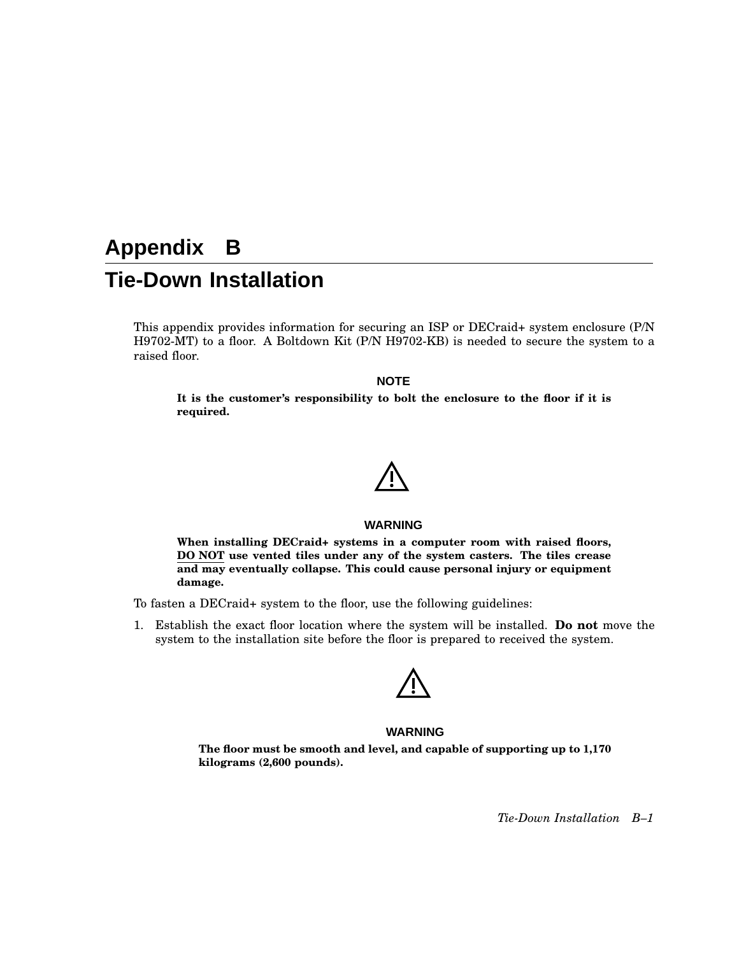# **Appendix B Tie-Down Installation**

This appendix provides information for securing an ISP or DECraid+ system enclosure (P/N H9702-MT) to a floor. A Boltdown Kit (P/N H9702-KB) is needed to secure the system to a raised floor.

#### **NOTE**

**It is the customer's responsibility to bolt the enclosure to the floor if it is required.**

#### **WARNING**

**When installing DECraid+ systems in a computer room with raised floors, DO NOT use vented tiles under any of the system casters. The tiles crease and may eventually collapse. This could cause personal injury or equipment damage.**

To fasten a DECraid+ system to the floor, use the following guidelines:

1. Establish the exact floor location where the system will be installed. **Do not** move the system to the installation site before the floor is prepared to received the system.



#### **WARNING**

**The floor must be smooth and level, and capable of supporting up to 1,170 kilograms (2,600 pounds).**

*Tie-Down Installation B–1*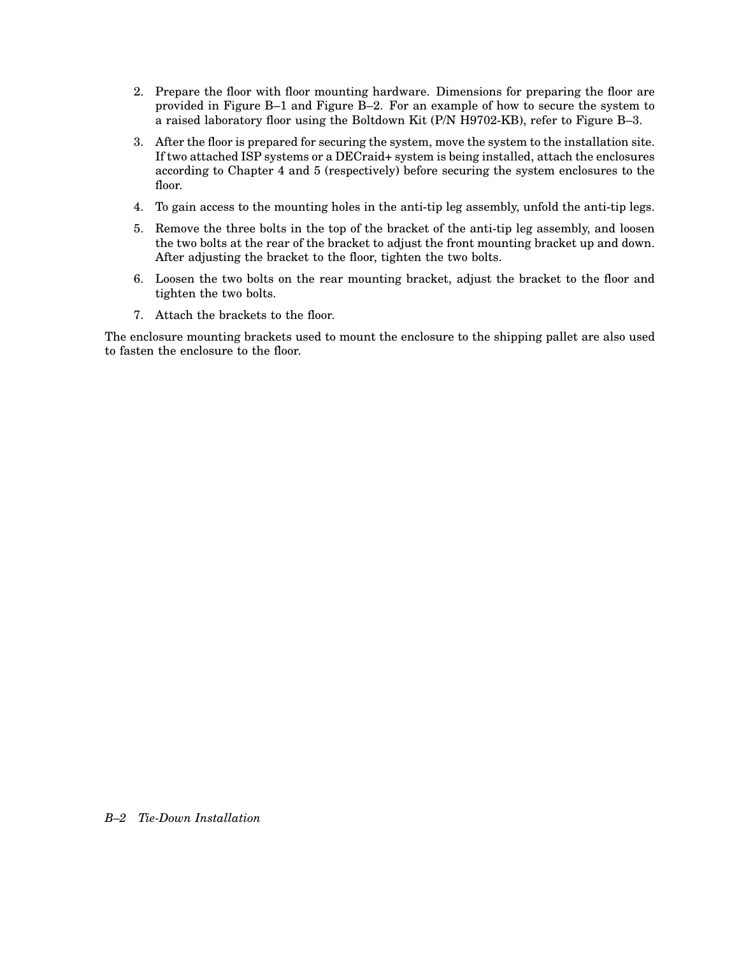- 2. Prepare the floor with floor mounting hardware. Dimensions for preparing the floor are provided in Figure B–1 and Figure B–2. For an example of how to secure the system to a raised laboratory floor using the Boltdown Kit (P/N H9702-KB), refer to Figure B–3.
- 3. After the floor is prepared for securing the system, move the system to the installation site. If two attached ISP systems or a DECraid+ system is being installed, attach the enclosures according to Chapter 4 and 5 (respectively) before securing the system enclosures to the floor.
- 4. To gain access to the mounting holes in the anti-tip leg assembly, unfold the anti-tip legs.
- 5. Remove the three bolts in the top of the bracket of the anti-tip leg assembly, and loosen the two bolts at the rear of the bracket to adjust the front mounting bracket up and down. After adjusting the bracket to the floor, tighten the two bolts.
- 6. Loosen the two bolts on the rear mounting bracket, adjust the bracket to the floor and tighten the two bolts.
- 7. Attach the brackets to the floor.

The enclosure mounting brackets used to mount the enclosure to the shipping pallet are also used to fasten the enclosure to the floor.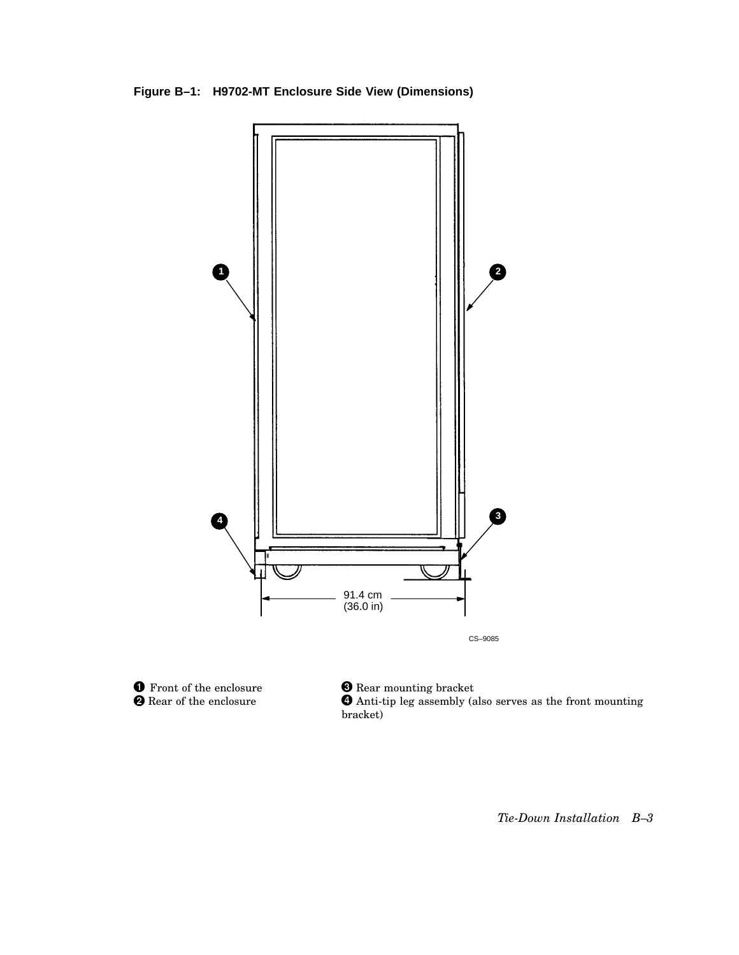**Figure B–1: H9702-MT Enclosure Side View (Dimensions)**





**8** Rear mounting bracket Anti-tip leg assembly (also serves as the front mounting bracket)

*Tie-Down Installation B–3*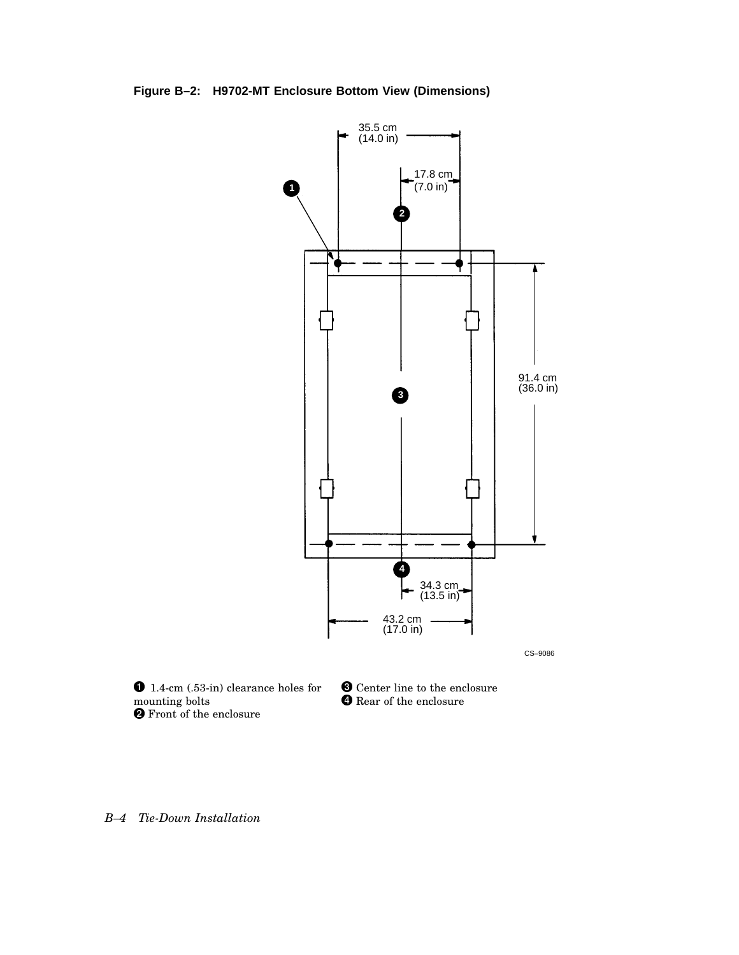**Figure B–2: H9702-MT Enclosure Bottom View (Dimensions)**



CS–9086

 1.4-cm (.53-in) clearance holes for mounting bolts Front of the enclosure

**O** Center line to the enclosure  $\bm{\Theta}$  Rear of the enclosure

*B–4 Tie-Down Installation*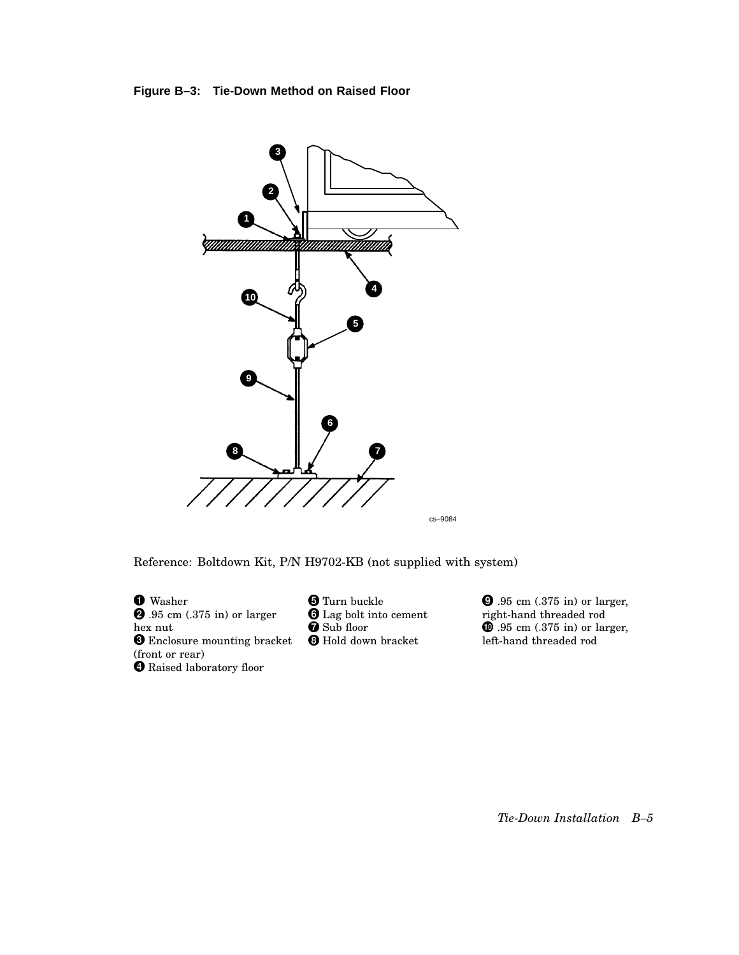#### **Figure B–3: Tie-Down Method on Raised Floor**



Reference: Boltdown Kit, P/N H9702-KB (not supplied with system)

**O** Washer  $\overline{\textbf{9}}$ .95 cm (.375 in) or larger hex nut **O** Enclosure mounting bracket (front or rear) Raised laboratory floor

**O** Turn buckle **O** Lag bolt into cement **Sub floor O** Hold down bracket

**9**.95 cm (.375 in) or larger, right-hand threaded rod  $\mathbf 0$  .95 cm (.375 in) or larger, left-hand threaded rod

*Tie-Down Installation B–5*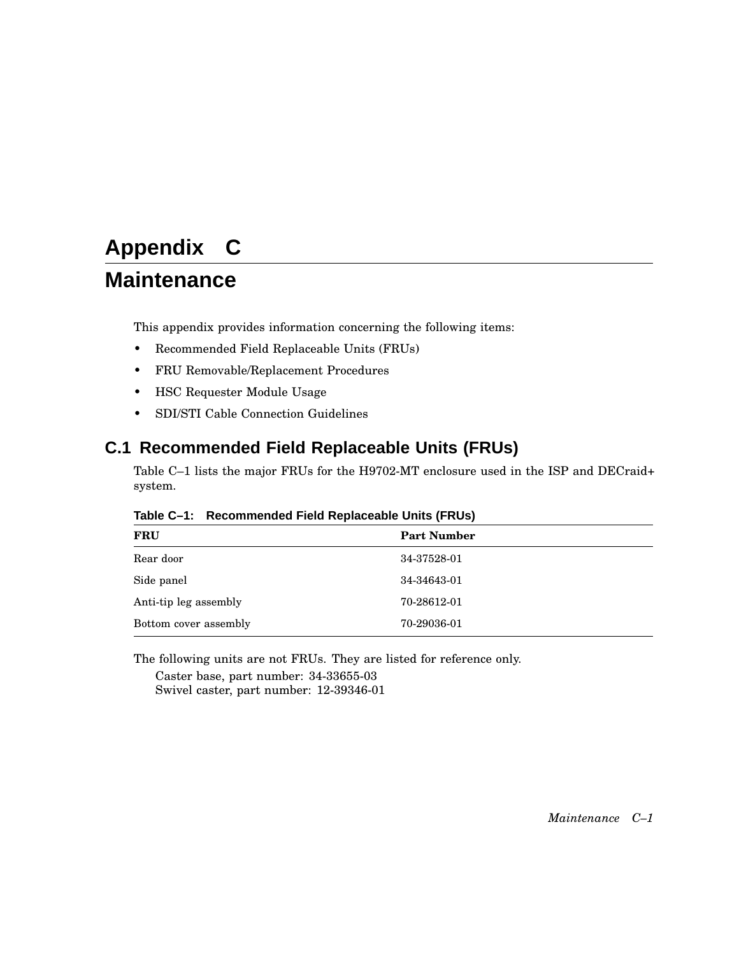# **Appendix C**

# **Maintenance**

This appendix provides information concerning the following items:

- Recommended Field Replaceable Units (FRUs)
- FRU Removable/Replacement Procedures
- HSC Requester Module Usage
- SDI/STI Cable Connection Guidelines

## **C.1 Recommended Field Replaceable Units (FRUs)**

Table C–1 lists the major FRUs for the H9702-MT enclosure used in the ISP and DECraid+ system.

| <b>FRU</b>            | <b>Part Number</b> |
|-----------------------|--------------------|
| Rear door             | 34-37528-01        |
| Side panel            | 34-34643-01        |
| Anti-tip leg assembly | 70-28612-01        |
| Bottom cover assembly | 70-29036-01        |

#### **Table C–1: Recommended Field Replaceable Units (FRUs)**

The following units are not FRUs. They are listed for reference only.

Caster base, part number: 34-33655-03 Swivel caster, part number: 12-39346-01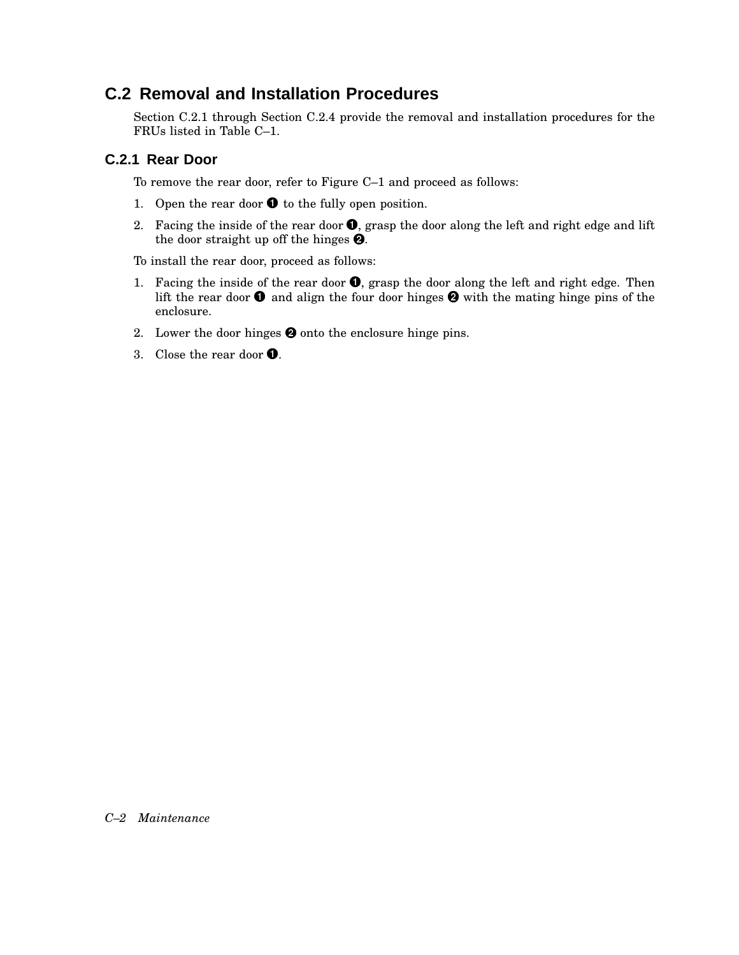### **C.2 Removal and Installation Procedures**

Section C.2.1 through Section C.2.4 provide the removal and installation procedures for the FRUs listed in Table C–1.

### **C.2.1 Rear Door**

To remove the rear door, refer to Figure C–1 and proceed as follows:

- 1. Open the rear door  $\bullet$  to the fully open position.
- 2. Facing the inside of the rear door  $\bullet$ , grasp the door along the left and right edge and lift the door straight up off the hinges  $\bullet$ .

To install the rear door, proceed as follows:

- 1. Facing the inside of the rear door  $\bullet$ , grasp the door along the left and right edge. Then lift the rear door  $\bullet$  and align the four door hinges  $\bullet$  with the mating hinge pins of the enclosure.
- 2. Lower the door hinges  $\Theta$  onto the enclosure hinge pins.
- 3. Close the rear door  $\bullet$ .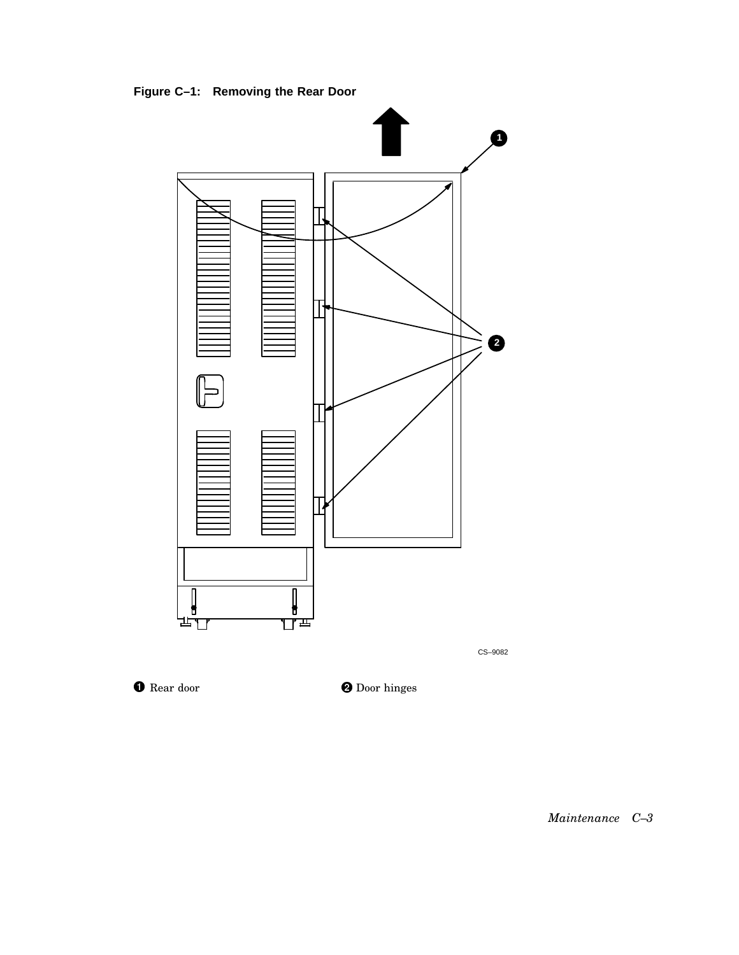**Figure C–1: Removing the Rear Door**



CS–9082

**O** Rear door

**O** Door hinges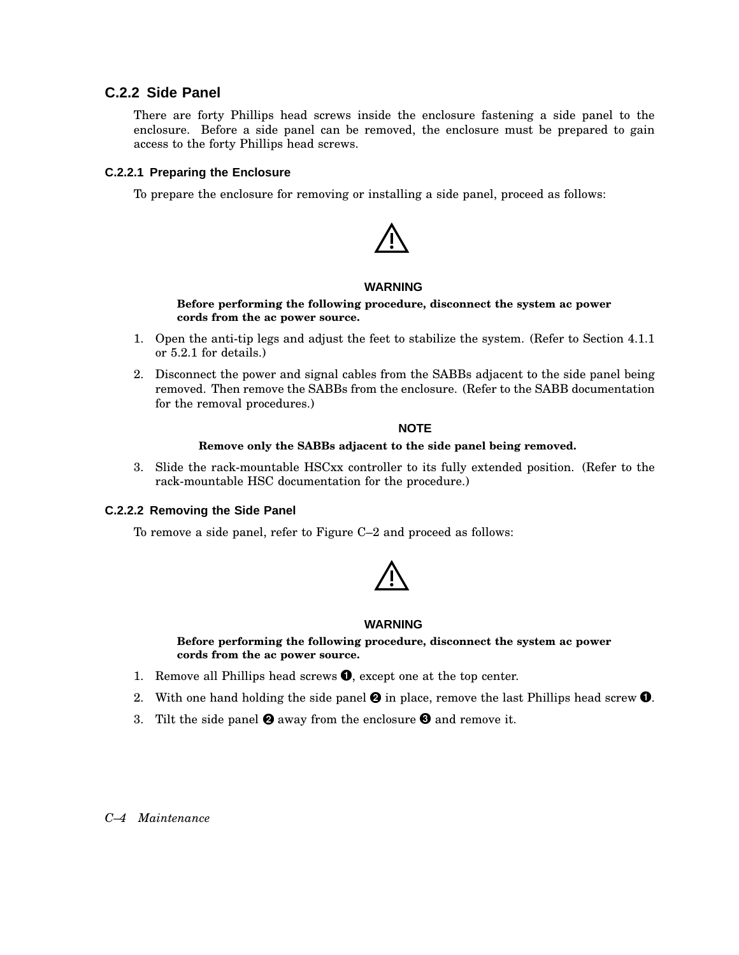#### **C.2.2 Side Panel**

There are forty Phillips head screws inside the enclosure fastening a side panel to the enclosure. Before a side panel can be removed, the enclosure must be prepared to gain access to the forty Phillips head screws.

#### **C.2.2.1 Preparing the Enclosure**

To prepare the enclosure for removing or installing a side panel, proceed as follows:



#### **WARNING**

#### **Before performing the following procedure, disconnect the system ac power cords from the ac power source.**

- 1. Open the anti-tip legs and adjust the feet to stabilize the system. (Refer to Section 4.1.1 or 5.2.1 for details.)
- 2. Disconnect the power and signal cables from the SABBs adjacent to the side panel being removed. Then remove the SABBs from the enclosure. (Refer to the SABB documentation for the removal procedures.)

#### **NOTE**

#### **Remove only the SABBs adjacent to the side panel being removed.**

3. Slide the rack-mountable HSCxx controller to its fully extended position. (Refer to the rack-mountable HSC documentation for the procedure.)

#### **C.2.2.2 Removing the Side Panel**

To remove a side panel, refer to Figure C–2 and proceed as follows:



#### **WARNING**

**Before performing the following procedure, disconnect the system ac power cords from the ac power source.**

- 1. Remove all Phillips head screws  $\bullet$ , except one at the top center.
- 2. With one hand holding the side panel  $\bm{\Theta}$  in place, remove the last Phillips head screw  $\bm{\Theta}$ .
- 3. Tilt the side panel  $\bullet$  away from the enclosure  $\bullet$  and remove it.

#### *C–4 Maintenance*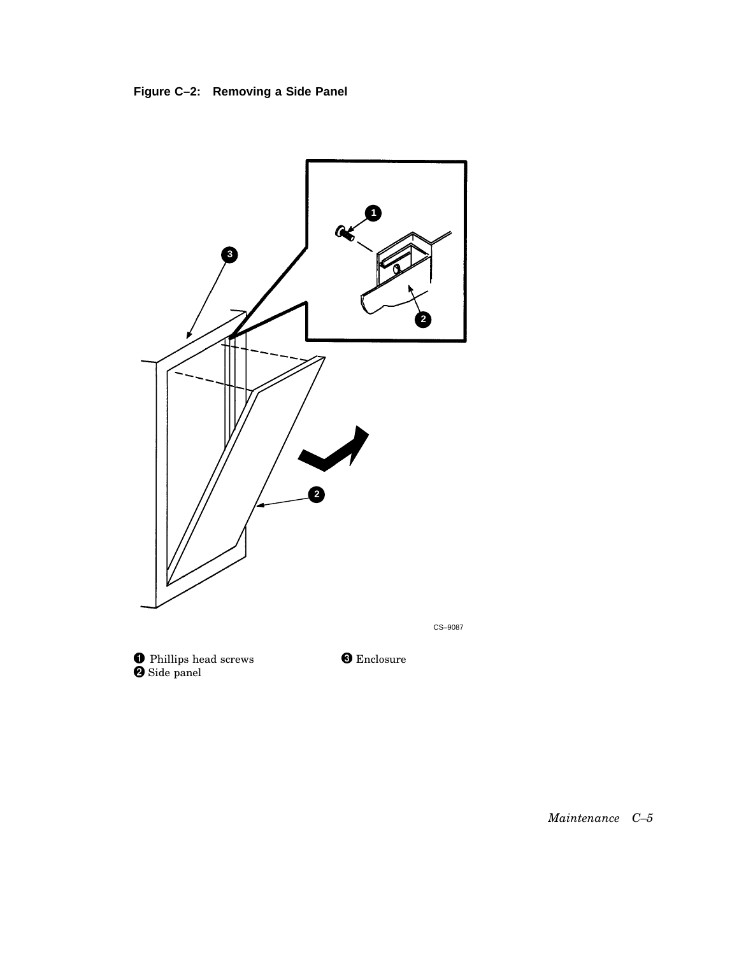



**O** Phillips head screws  $\bullet$  Side panel

**O** Enclosure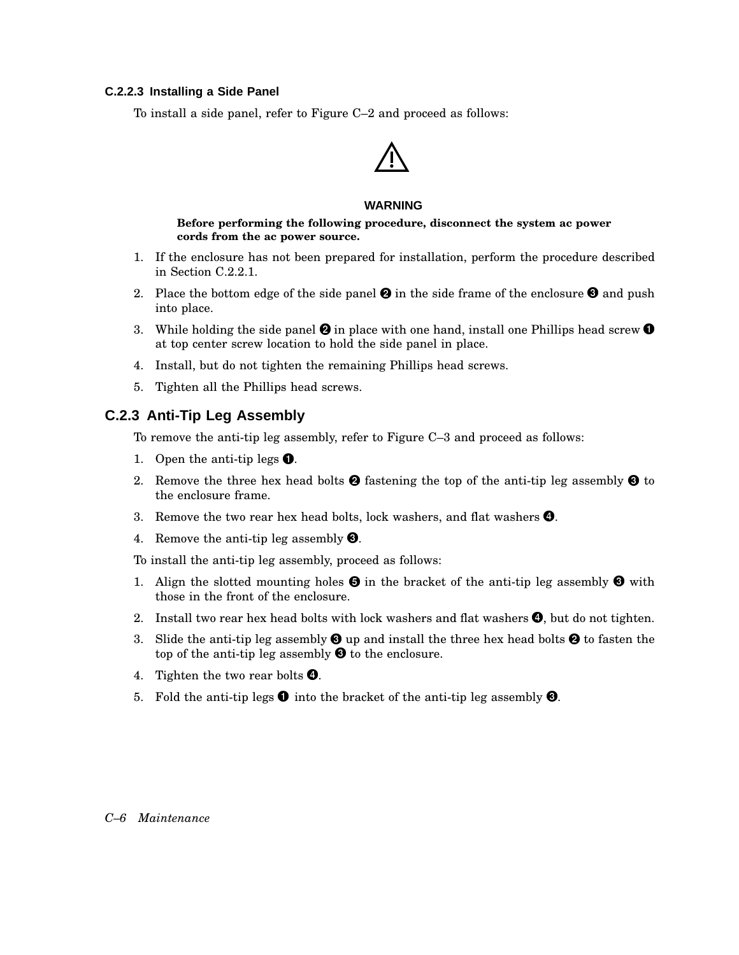#### **C.2.2.3 Installing a Side Panel**

To install a side panel, refer to Figure C–2 and proceed as follows:

#### **WARNING**

**Before performing the following procedure, disconnect the system ac power cords from the ac power source.**

- 1. If the enclosure has not been prepared for installation, perform the procedure described in Section C.2.2.1.
- 2. Place the bottom edge of the side panel  $\bullet$  in the side frame of the enclosure  $\bullet$  and push into place.
- 3. While holding the side panel  $\Theta$  in place with one hand, install one Phillips head screw  $\Theta$ at top center screw location to hold the side panel in place.
- 4. Install, but do not tighten the remaining Phillips head screws.
- 5. Tighten all the Phillips head screws.

#### **C.2.3 Anti-Tip Leg Assembly**

To remove the anti-tip leg assembly, refer to Figure C–3 and proceed as follows:

- 1. Open the anti-tip legs  $\bullet$ .
- 2. Remove the three hex head bolts  $\bullet$  fastening the top of the anti-tip leg assembly  $\bullet$  to the enclosure frame.
- 3. Remove the two rear hex head bolts, lock washers, and flat washers  $\bullet$ .
- 4. Remove the anti-tip leg assembly  $\bigcirc$ .

To install the anti-tip leg assembly, proceed as follows:

- 1. Align the slotted mounting holes  $\Theta$  in the bracket of the anti-tip leg assembly  $\Theta$  with those in the front of the enclosure.
- 2. Install two rear hex head bolts with lock washers and flat washers  $\bullet$ , but do not tighten.
- 3. Slide the anti-tip leg assembly  $\bigcirc$  up and install the three hex head bolts  $\bigcirc$  to fasten the top of the anti-tip leg assembly  $\Theta$  to the enclosure.
- 4. Tighten the two rear bolts  $\bullet$ .
- 5. Fold the anti-tip legs  $\bullet$  into the bracket of the anti-tip leg assembly  $\bullet$ .

#### *C–6 Maintenance*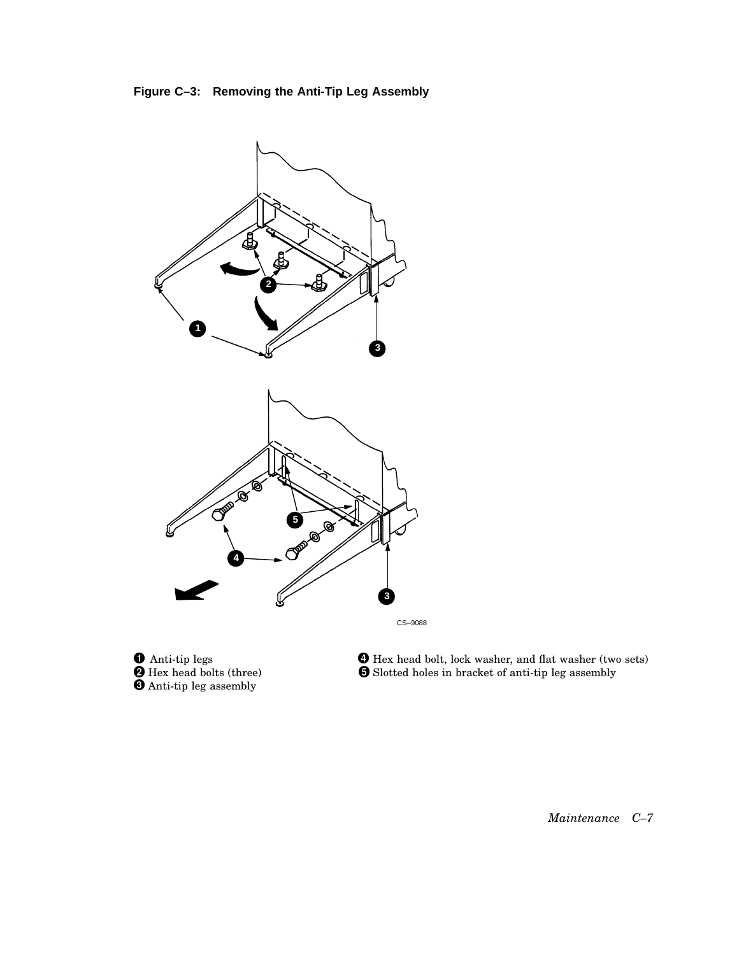



**O** Anti-tip legs Hex head bolts (three) Anti-tip leg assembly

 Hex head bolt, lock washer, and flat washer (two sets) Slotted holes in bracket of anti-tip leg assembly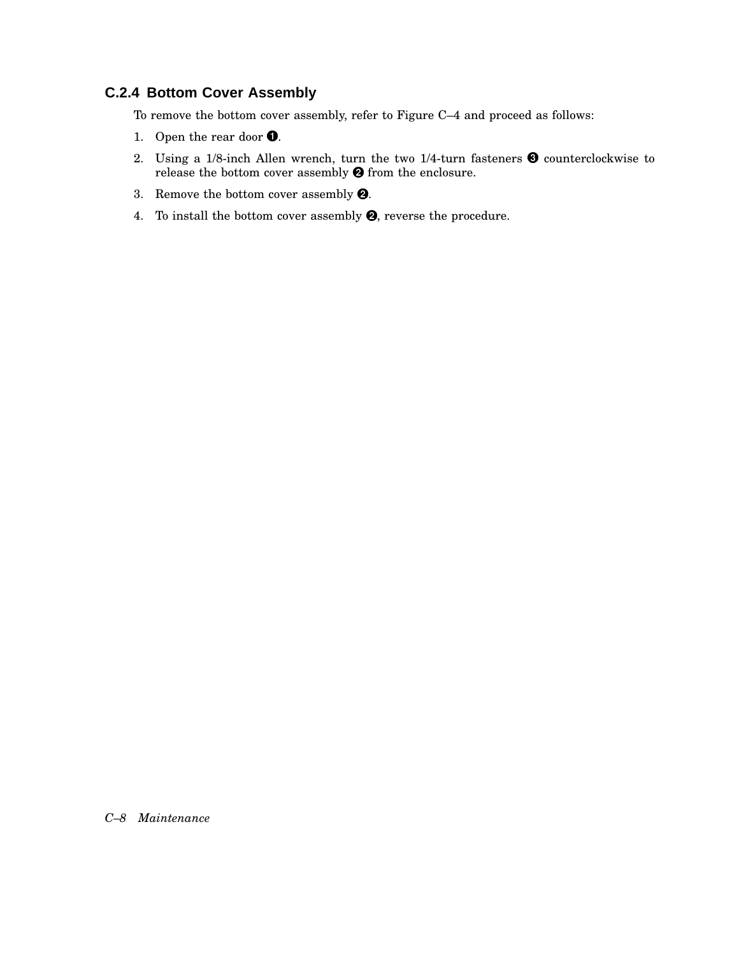### **C.2.4 Bottom Cover Assembly**

To remove the bottom cover assembly, refer to Figure C–4 and proceed as follows:

- 1. Open the rear door  $\bullet$ .
- 2. Using a 1/8-inch Allen wrench, turn the two 1/4-turn fasteners  $\bullet$  counterclockwise to release the bottom cover assembly  $\Theta$  from the enclosure.
- 3. Remove the bottom cover assembly  $\pmb{\Theta}$ .
- 4. To install the bottom cover assembly  $\Theta$ , reverse the procedure.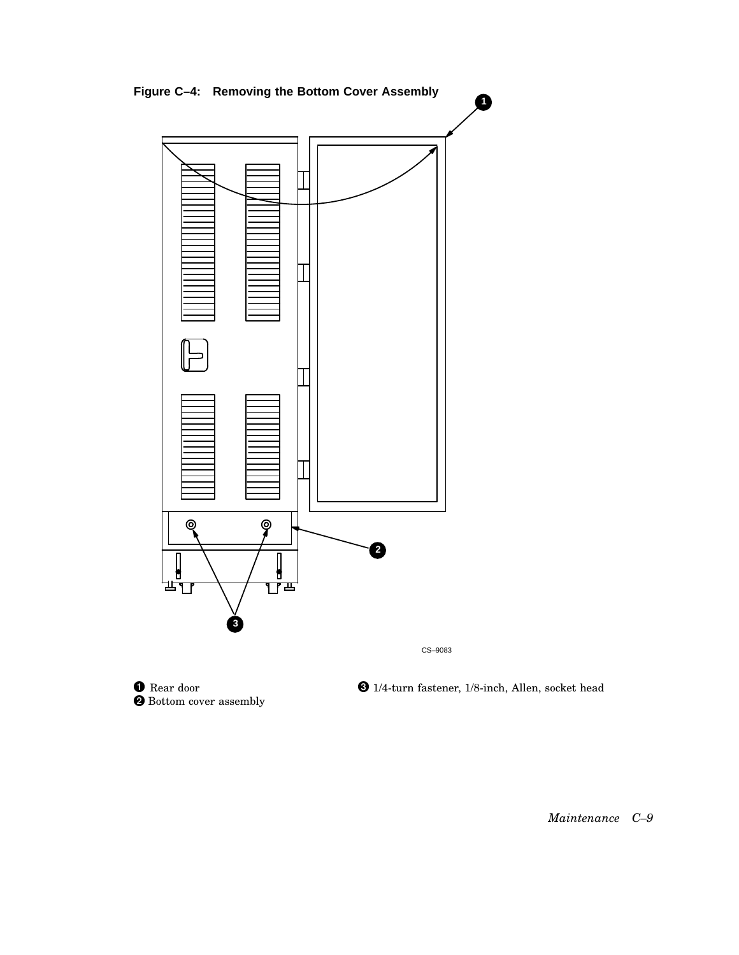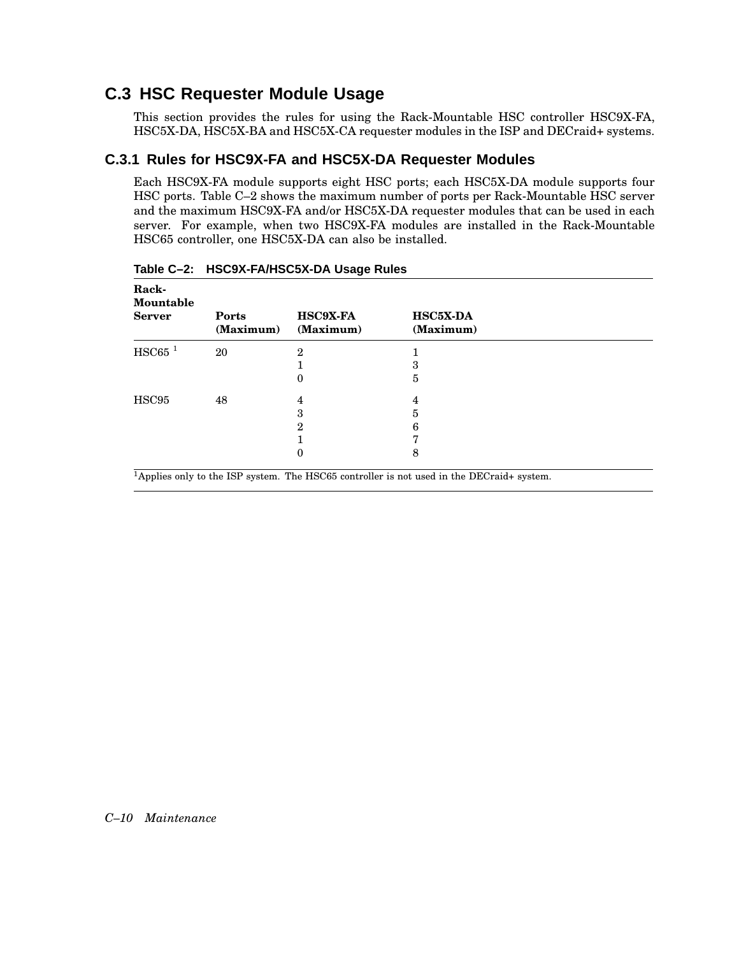### **C.3 HSC Requester Module Usage**

This section provides the rules for using the Rack-Mountable HSC controller HSC9X-FA, HSC5X-DA, HSC5X-BA and HSC5X-CA requester modules in the ISP and DECraid+ systems.

### **C.3.1 Rules for HSC9X-FA and HSC5X-DA Requester Modules**

Each HSC9X-FA module supports eight HSC ports; each HSC5X-DA module supports four HSC ports. Table C–2 shows the maximum number of ports per Rack-Mountable HSC server and the maximum HSC9X-FA and/or HSC5X-DA requester modules that can be used in each server. For example, when two HSC9X-FA modules are installed in the Rack-Mountable HSC65 controller, one HSC5X-DA can also be installed.

| Rack-<br>Mountable<br><b>Server</b> | Ports<br>(Maximum) | <b>HSC9X-FA</b><br>(Maximum) | <b>HSC5X-DA</b><br>(Maximum) |
|-------------------------------------|--------------------|------------------------------|------------------------------|
| $HSC65$ <sup>1</sup>                | 20                 | 2                            |                              |
|                                     |                    |                              | 3                            |
|                                     |                    | 0                            | 5                            |
| HSC95                               | 48                 | 4                            | 4                            |
|                                     |                    | 3                            | 5                            |
|                                     |                    | 2                            | 6                            |
|                                     |                    |                              |                              |
|                                     |                    | 0                            | 8                            |

**Table C–2: HSC9X-FA/HSC5X-DA Usage Rules**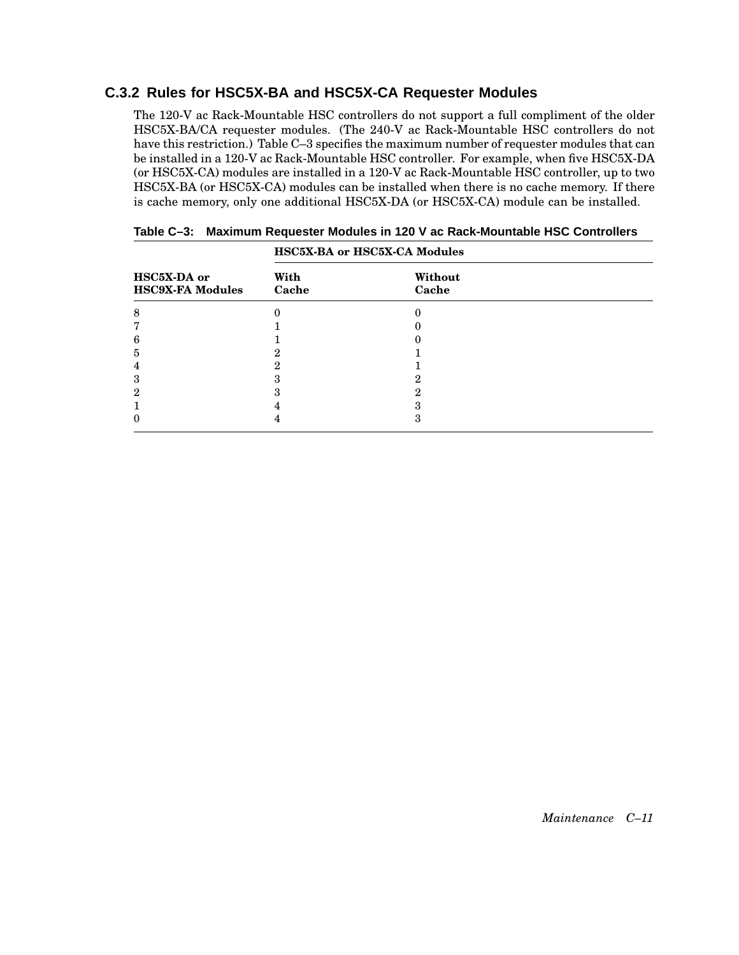### **C.3.2 Rules for HSC5X-BA and HSC5X-CA Requester Modules**

The 120-V ac Rack-Mountable HSC controllers do not support a full compliment of the older HSC5X-BA/CA requester modules. (The 240-V ac Rack-Mountable HSC controllers do not have this restriction.) Table C–3 specifies the maximum number of requester modules that can be installed in a 120-V ac Rack-Mountable HSC controller. For example, when five HSC5X-DA (or HSC5X-CA) modules are installed in a 120-V ac Rack-Mountable HSC controller, up to two HSC5X-BA (or HSC5X-CA) modules can be installed when there is no cache memory. If there is cache memory, only one additional HSC5X-DA (or HSC5X-CA) module can be installed.

|                                        | HSC5X-BA or HSC5X-CA Modules |                  |  |
|----------------------------------------|------------------------------|------------------|--|
| HSC5X-DA or<br><b>HSC9X-FA Modules</b> | With<br>Cache                | Without<br>Cache |  |
| 8                                      |                              |                  |  |
|                                        |                              |                  |  |
| 6                                      |                              |                  |  |
| Ð.                                     |                              |                  |  |
| 4                                      |                              |                  |  |
| 3                                      |                              | റ                |  |
| 2                                      |                              | റ                |  |
|                                        |                              |                  |  |
|                                        |                              | ה                |  |

|  | Table C-3: Maximum Requester Modules in 120 V ac Rack-Mountable HSC Controllers |  |  |  |
|--|---------------------------------------------------------------------------------|--|--|--|
|--|---------------------------------------------------------------------------------|--|--|--|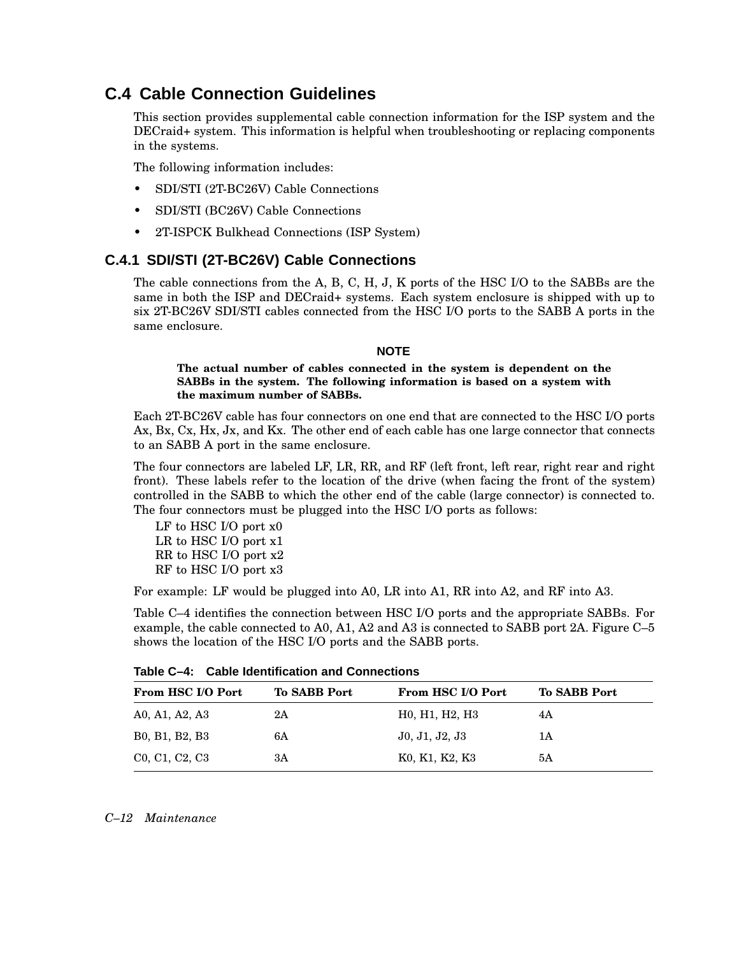### **C.4 Cable Connection Guidelines**

This section provides supplemental cable connection information for the ISP system and the DECraid+ system. This information is helpful when troubleshooting or replacing components in the systems.

The following information includes:

- SDI/STI (2T-BC26V) Cable Connections
- SDI/STI (BC26V) Cable Connections
- 2T-ISPCK Bulkhead Connections (ISP System)

#### **C.4.1 SDI/STI (2T-BC26V) Cable Connections**

The cable connections from the A, B, C, H, J, K ports of the HSC I/O to the SABBs are the same in both the ISP and DECraid+ systems. Each system enclosure is shipped with up to six 2T-BC26V SDI/STI cables connected from the HSC I/O ports to the SABB A ports in the same enclosure.

#### **NOTE**

#### **The actual number of cables connected in the system is dependent on the SABBs in the system. The following information is based on a system with the maximum number of SABBs.**

Each 2T-BC26V cable has four connectors on one end that are connected to the HSC I/O ports Ax, Bx, Cx, Hx, Jx, and Kx. The other end of each cable has one large connector that connects to an SABB A port in the same enclosure.

The four connectors are labeled LF, LR, RR, and RF (left front, left rear, right rear and right front). These labels refer to the location of the drive (when facing the front of the system) controlled in the SABB to which the other end of the cable (large connector) is connected to. The four connectors must be plugged into the HSC I/O ports as follows:

LF to HSC I/O port x0 LR to HSC I/O port x1 RR to HSC I/O port x2 RF to HSC I/O port x3

For example: LF would be plugged into A0, LR into A1, RR into A2, and RF into A3.

Table C–4 identifies the connection between HSC I/O ports and the appropriate SABBs. For example, the cable connected to A0, A1, A2 and A3 is connected to SABB port 2A. Figure C–5 shows the location of the HSC I/O ports and the SABB ports.

| <b>From HSC I/O Port</b>                                          | <b>To SABB Port</b> | <b>From HSC I/O Port</b>                                          | <b>To SABB Port</b> |
|-------------------------------------------------------------------|---------------------|-------------------------------------------------------------------|---------------------|
| A0, A1, A2, A3                                                    | 2Α                  | H <sub>0</sub> , H <sub>1</sub> , H <sub>2</sub> , H <sub>3</sub> | 4Α                  |
| B <sub>0</sub> , B <sub>1</sub> , B <sub>2</sub> , B <sub>3</sub> | 6A                  | J0, J1, J2, J3                                                    | 1А                  |
| C <sub>0</sub> , C <sub>1</sub> , C <sub>2</sub> , C <sub>3</sub> | ЗA                  | K0, K1, K2, K3                                                    | 5А                  |

**Table C–4: Cable Identification and Connections**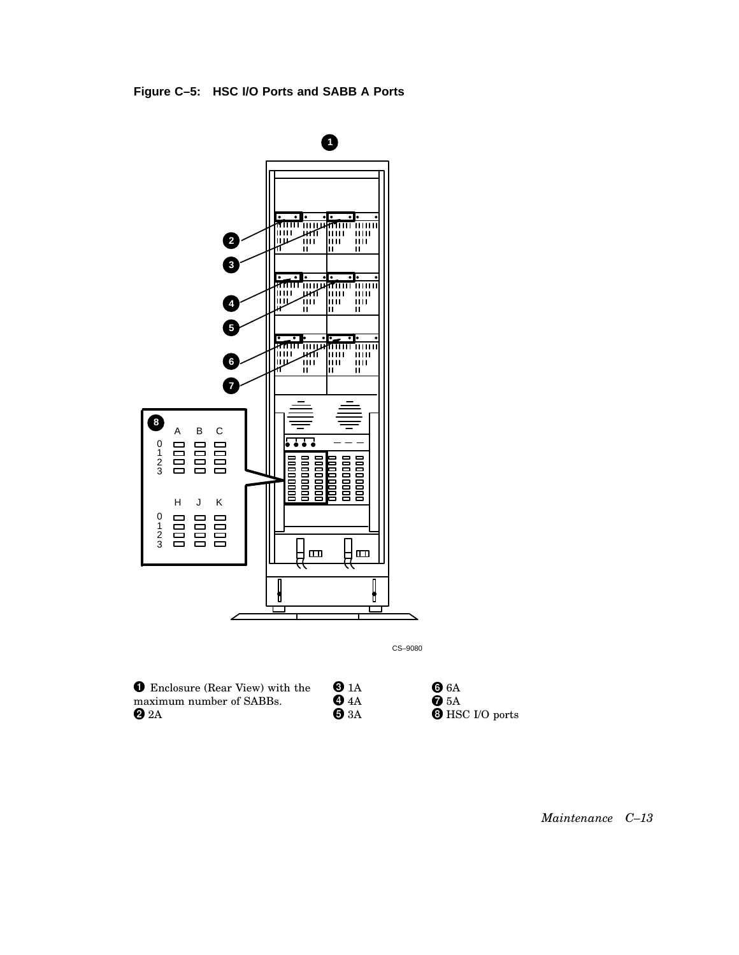

CS–9080

 Enclosure (Rear View) with the maximum number of SABBs.  $2A$  $\bullet$  3A

| $\mathbf{0}$ 1A | 66A                    |
|-----------------|------------------------|
| 0 4A            | $\bullet$ 5A           |
| $\mathbf 0$ 3A  | <b>O</b> HSC I/O ports |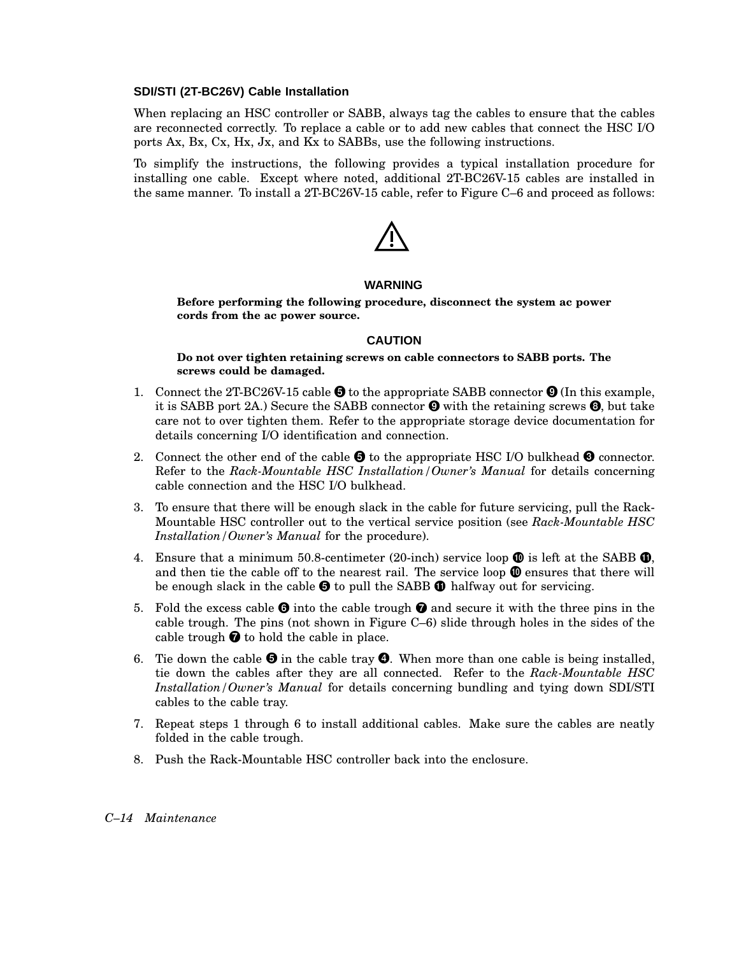#### **SDI/STI (2T-BC26V) Cable Installation**

When replacing an HSC controller or SABB, always tag the cables to ensure that the cables are reconnected correctly. To replace a cable or to add new cables that connect the HSC I/O ports Ax, Bx, Cx, Hx, Jx, and Kx to SABBs, use the following instructions.

To simplify the instructions, the following provides a typical installation procedure for installing one cable. Except where noted, additional 2T-BC26V-15 cables are installed in the same manner. To install a 2T-BC26V-15 cable, refer to Figure C–6 and proceed as follows:



#### **WARNING**

**Before performing the following procedure, disconnect the system ac power cords from the ac power source.**

#### **CAUTION**

**Do not over tighten retaining screws on cable connectors to SABB ports. The screws could be damaged.**

- 1. Connect the 2T-BC26V-15 cable  $\bigcirc$  to the appropriate SABB connector  $\bigcirc$  (In this example, it is SABB port 2A.) Secure the SABB connector  $\bullet$  with the retaining screws  $\bullet$ , but take care not to over tighten them. Refer to the appropriate storage device documentation for details concerning I/O identification and connection.
- 2. Connect the other end of the cable  $\Theta$  to the appropriate HSC I/O bulkhead  $\Theta$  connector. Refer to the *Rack-Mountable HSC Installation/Owner's Manual* for details concerning cable connection and the HSC I/O bulkhead.
- 3. To ensure that there will be enough slack in the cable for future servicing, pull the Rack-Mountable HSC controller out to the vertical service position (see *Rack-Mountable HSC Installation/Owner's Manual* for the procedure).
- 4. Ensure that a minimum 50.8-centimeter (20-inch) service loop  $\bm{\mathbb{O}}$  is left at the SABB  $\bm{\mathbb{O}}$ , and then tie the cable off to the nearest rail. The service loop  $\mathbf \Phi$  ensures that there will be enough slack in the cable  $\Theta$  to pull the SABB  $\Phi$  halfway out for servicing.
- 5. Fold the excess cable  $\Theta$  into the cable trough  $\Theta$  and secure it with the three pins in the cable trough. The pins (not shown in Figure C–6) slide through holes in the sides of the cable trough  $\bullet$  to hold the cable in place.
- 6. Tie down the cable  $\Theta$  in the cable tray  $\Theta$ . When more than one cable is being installed, tie down the cables after they are all connected. Refer to the *Rack-Mountable HSC Installation/Owner's Manual* for details concerning bundling and tying down SDI/STI cables to the cable tray.
- 7. Repeat steps 1 through 6 to install additional cables. Make sure the cables are neatly folded in the cable trough.
- 8. Push the Rack-Mountable HSC controller back into the enclosure.

#### *C–14 Maintenance*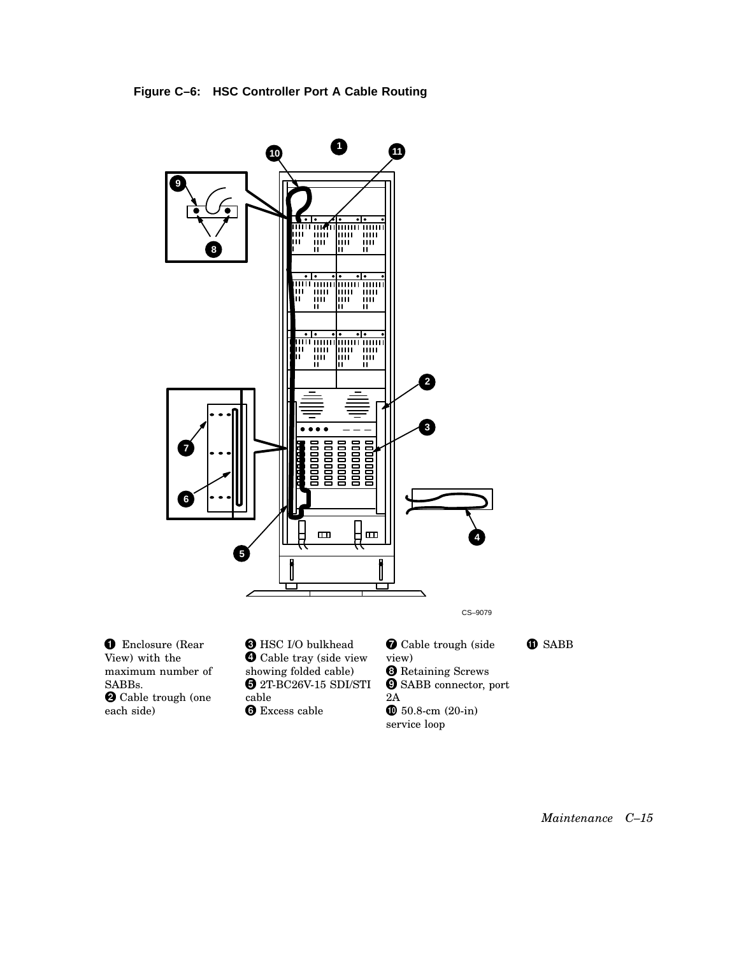**Figure C–6: HSC Controller Port A Cable Routing**

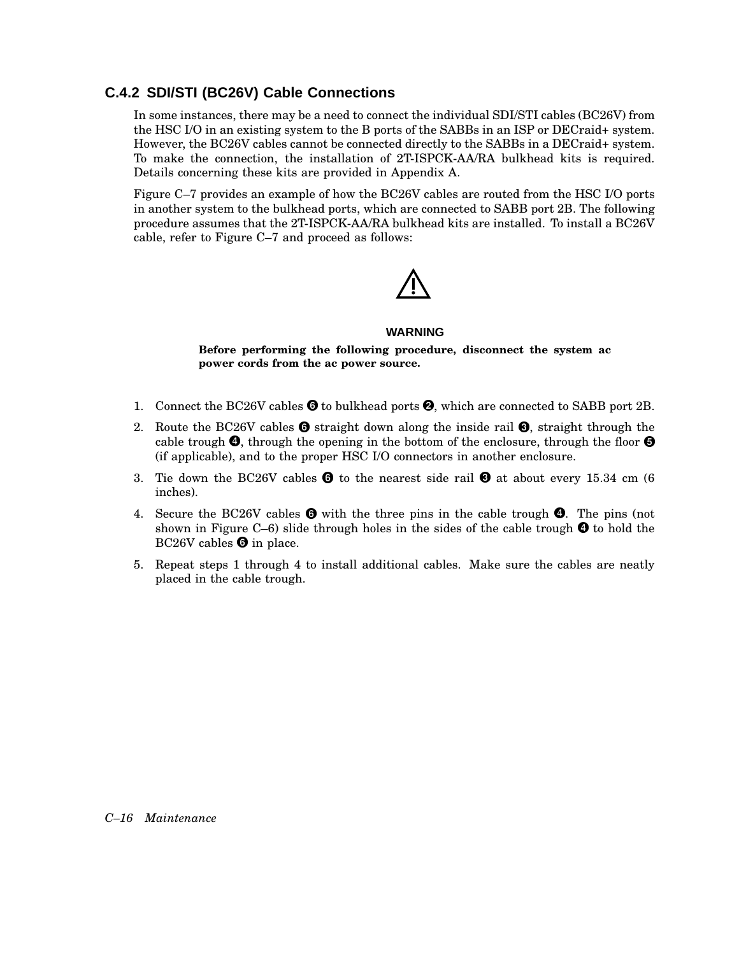### **C.4.2 SDI/STI (BC26V) Cable Connections**

In some instances, there may be a need to connect the individual SDI/STI cables (BC26V) from the HSC I/O in an existing system to the B ports of the SABBs in an ISP or DECraid+ system. However, the BC26V cables cannot be connected directly to the SABBs in a DECraid+ system. To make the connection, the installation of 2T-ISPCK-AA/RA bulkhead kits is required. Details concerning these kits are provided in Appendix A.

Figure C–7 provides an example of how the BC26V cables are routed from the HSC I/O ports in another system to the bulkhead ports, which are connected to SABB port 2B. The following procedure assumes that the 2T-ISPCK-AA/RA bulkhead kits are installed. To install a BC26V cable, refer to Figure C–7 and proceed as follows:



#### **WARNING**

**Before performing the following procedure, disconnect the system ac power cords from the ac power source.**

- 1. Connect the BC26V cables  $\Theta$  to bulkhead ports  $\Theta$ , which are connected to SABB port 2B.
- 2. Route the BC26V cables  $\bullet$  straight down along the inside rail  $\bullet$ , straight through the cable trough  $\bm{\Theta}$ , through the opening in the bottom of the enclosure, through the floor  $\bm{\Theta}$ (if applicable), and to the proper HSC I/O connectors in another enclosure.
- 3. Tie down the BC26V cables  $\bullet$  to the nearest side rail  $\bullet$  at about every 15.34 cm (6 inches).
- 4. Secure the BC26V cables  $\bullet$  with the three pins in the cable trough  $\bullet$ . The pins (not shown in Figure C–6) slide through holes in the sides of the cable trough  $\bullet$  to hold the BC26V cables  $\Theta$  in place.
- 5. Repeat steps 1 through 4 to install additional cables. Make sure the cables are neatly placed in the cable trough.

#### *C–16 Maintenance*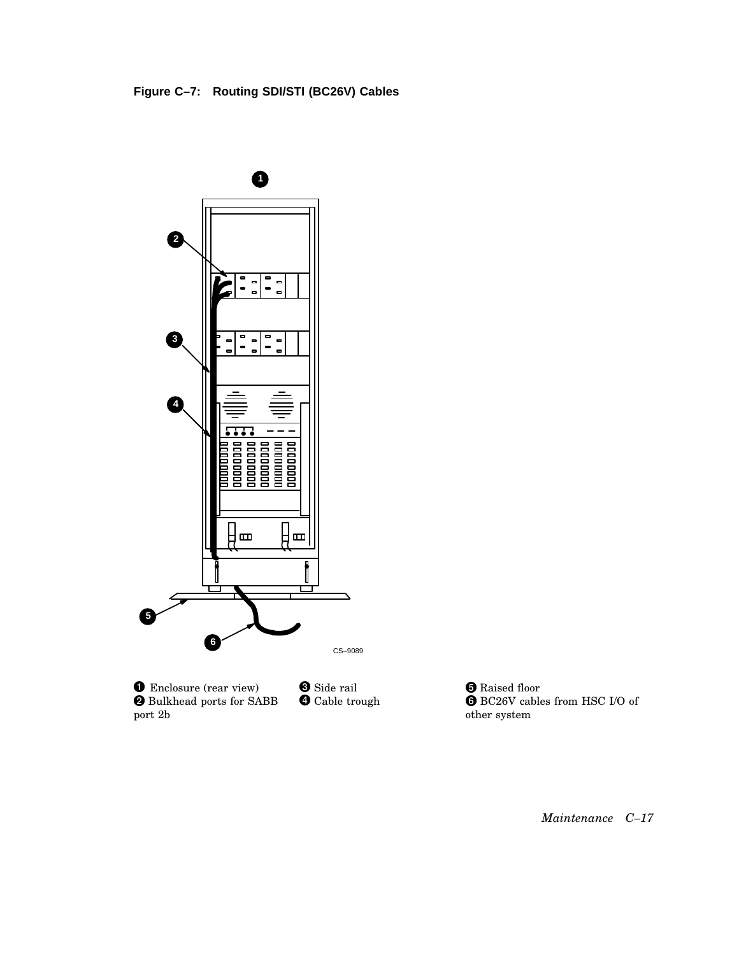



 Enclosure (rear view) Bulkhead ports for SABB port 2b **S** Side rail **O** Cable trough

**O** Raised floor BC26V cables from HSC I/O of other system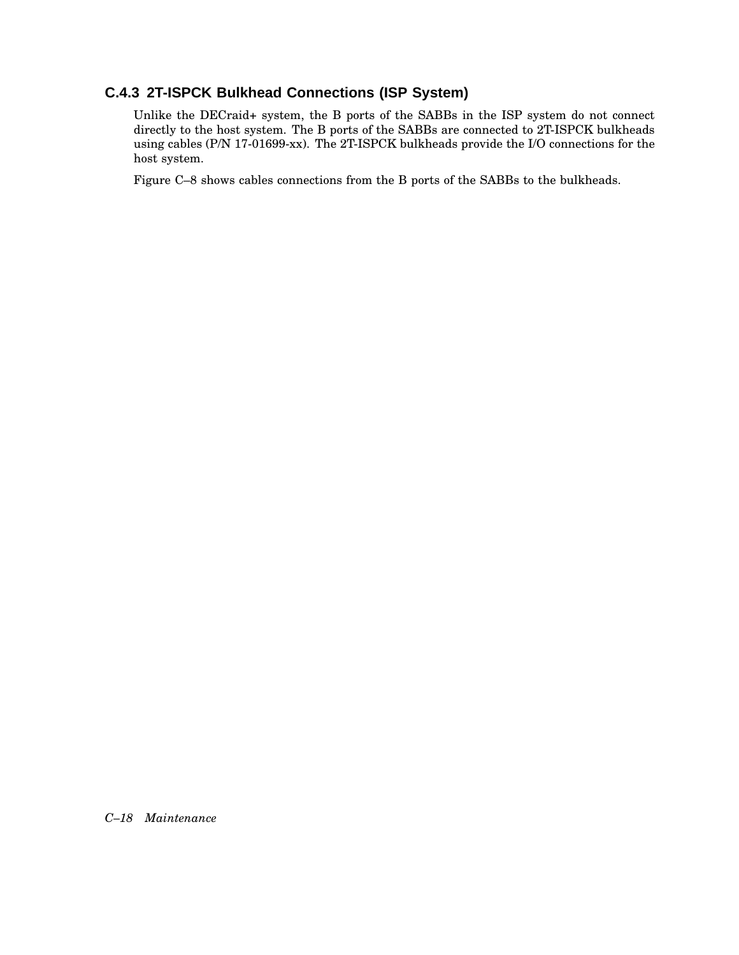### **C.4.3 2T-ISPCK Bulkhead Connections (ISP System)**

Unlike the DECraid+ system, the B ports of the SABBs in the ISP system do not connect directly to the host system. The B ports of the SABBs are connected to 2T-ISPCK bulkheads using cables (P/N 17-01699-xx). The 2T-ISPCK bulkheads provide the I/O connections for the host system.

Figure C–8 shows cables connections from the B ports of the SABBs to the bulkheads.

*C–18 Maintenance*